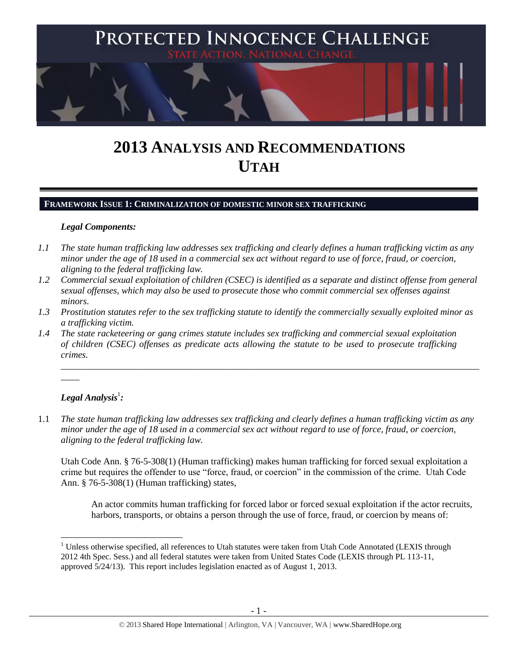

# **2013 ANALYSIS AND RECOMMENDATIONS UTAH**

## **FRAMEWORK ISSUE 1: CRIMINALIZATION OF DOMESTIC MINOR SEX TRAFFICKING**

## *Legal Components:*

- *1.1 The state human trafficking law addresses sex trafficking and clearly defines a human trafficking victim as any minor under the age of 18 used in a commercial sex act without regard to use of force, fraud, or coercion, aligning to the federal trafficking law.*
- *1.2 Commercial sexual exploitation of children (CSEC) is identified as a separate and distinct offense from general sexual offenses, which may also be used to prosecute those who commit commercial sex offenses against minors.*
- *1.3 Prostitution statutes refer to the sex trafficking statute to identify the commercially sexually exploited minor as a trafficking victim.*

\_\_\_\_\_\_\_\_\_\_\_\_\_\_\_\_\_\_\_\_\_\_\_\_\_\_\_\_\_\_\_\_\_\_\_\_\_\_\_\_\_\_\_\_\_\_\_\_\_\_\_\_\_\_\_\_\_\_\_\_\_\_\_\_\_\_\_\_\_\_\_\_\_\_\_\_\_\_\_\_\_\_\_\_\_\_\_\_\_\_

*1.4 The state racketeering or gang crimes statute includes sex trafficking and commercial sexual exploitation of children (CSEC) offenses as predicate acts allowing the statute to be used to prosecute trafficking crimes.* 

# $\bm{L}$ egal Analysis $^{\rm l}$ :

 $\overline{\phantom{a}}$ 

 $\overline{\phantom{a}}$ 

1.1 *The state human trafficking law addresses sex trafficking and clearly defines a human trafficking victim as any minor under the age of 18 used in a commercial sex act without regard to use of force, fraud, or coercion, aligning to the federal trafficking law.*

Utah Code Ann. § 76-5-308(1) (Human trafficking) makes human trafficking for forced sexual exploitation a crime but requires the offender to use "force, fraud, or coercion" in the commission of the crime. Utah Code Ann. § 76-5-308(1) (Human trafficking) states,

An actor commits human trafficking for forced labor or forced sexual exploitation if the actor recruits, harbors, transports, or obtains a person through the use of force, fraud, or coercion by means of:

<sup>&</sup>lt;sup>1</sup> Unless otherwise specified, all references to Utah statutes were taken from Utah Code Annotated (LEXIS through 2012 4th Spec. Sess.) and all federal statutes were taken from United States Code (LEXIS through PL 113-11, approved 5/24/13). This report includes legislation enacted as of August 1, 2013.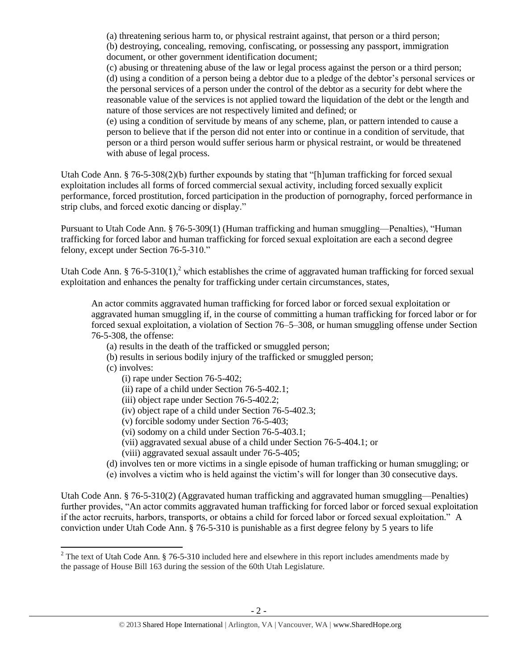(a) threatening serious harm to, or physical restraint against, that person or a third person; (b) destroying, concealing, removing, confiscating, or possessing any passport, immigration

document, or other government identification document;

(c) abusing or threatening abuse of the law or legal process against the person or a third person; (d) using a condition of a person being a debtor due to a pledge of the debtor's personal services or the personal services of a person under the control of the debtor as a security for debt where the reasonable value of the services is not applied toward the liquidation of the debt or the length and nature of those services are not respectively limited and defined; or

(e) using a condition of servitude by means of any scheme, plan, or pattern intended to cause a person to believe that if the person did not enter into or continue in a condition of servitude, that person or a third person would suffer serious harm or physical restraint, or would be threatened with abuse of legal process.

Utah Code Ann. § 76-5-308(2)(b) further expounds by stating that "[h]uman trafficking for forced sexual exploitation includes all forms of forced commercial sexual activity, including forced sexually explicit performance, forced prostitution, forced participation in the production of pornography, forced performance in strip clubs, and forced exotic dancing or display."

Pursuant to Utah Code Ann. § 76-5-309(1) (Human trafficking and human smuggling—Penalties), "Human trafficking for forced labor and human trafficking for forced sexual exploitation are each a second degree felony, except under Section 76-5-310."

Utah Code Ann. § 76-5-310(1),<sup>2</sup> which establishes the crime of aggravated human trafficking for forced sexual exploitation and enhances the penalty for trafficking under certain circumstances, states,

<span id="page-1-0"></span>An actor commits aggravated human trafficking for forced labor or forced sexual exploitation or aggravated human smuggling if, in the course of committing a human trafficking for forced labor or for forced sexual exploitation, a violation of Section 76–5–308, or human smuggling offense under Section 76-5-308, the offense:

- (a) results in the death of the trafficked or smuggled person;
- (b) results in serious bodily injury of the trafficked or smuggled person;
- (c) involves:

l

- (i) rape under Section 76-5-402;
- (ii) rape of a child under Section 76-5-402.1;
- (iii) object rape under Section 76-5-402.2;
- (iv) object rape of a child under Section 76-5-402.3;
- (v) forcible sodomy under Section 76-5-403;
- (vi) sodomy on a child under Section 76-5-403.1;
- (vii) aggravated sexual abuse of a child under Section 76-5-404.1; or
- (viii) aggravated sexual assault under 76-5-405;
- (d) involves ten or more victims in a single episode of human trafficking or human smuggling; or
- (e) involves a victim who is held against the victim's will for longer than 30 consecutive days.

Utah Code Ann. § 76-5-310(2) (Aggravated human trafficking and aggravated human smuggling—Penalties) further provides, "An actor commits aggravated human trafficking for forced labor or forced sexual exploitation if the actor recruits, harbors, transports, or obtains a child for forced labor or forced sexual exploitation." A conviction under Utah Code Ann. § 76-5-310 is punishable as a first degree felony by 5 years to life

<sup>&</sup>lt;sup>2</sup> The text of Utah Code Ann. § 76-5-310 included here and elsewhere in this report includes amendments made by the passage of House Bill 163 during the session of the 60th Utah Legislature.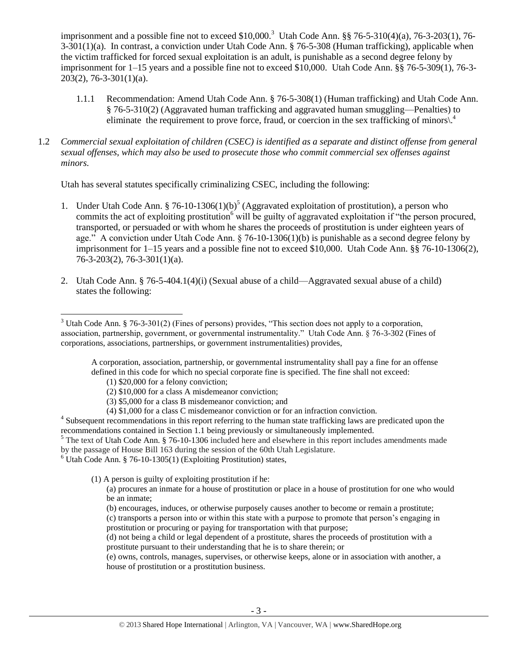imprisonment and a possible fine not to exceed \$10,000.<sup>3</sup> Utah Code Ann. §§ 76-5-310(4)(a), 76-3-203(1), 76-3-301(1)(a). In contrast, a conviction under Utah Code Ann. § 76-5-308 (Human trafficking), applicable when the victim trafficked for forced sexual exploitation is an adult, is punishable as a second degree felony by imprisonment for 1–15 years and a possible fine not to exceed \$10,000. Utah Code Ann. §§ 76-5-309(1), 76-3- 203(2), 76-3-301(1)(a).

- <span id="page-2-0"></span>1.1.1 Recommendation: Amend Utah Code Ann. § 76-5-308(1) (Human trafficking) and Utah Code Ann. § 76-5-310(2) (Aggravated human trafficking and aggravated human smuggling—Penalties) to eliminate the requirement to prove force, fraud, or coercion in the sex trafficking of minors).<sup>4</sup>
- 1.2 *Commercial sexual exploitation of children (CSEC) is identified as a separate and distinct offense from general sexual offenses, which may also be used to prosecute those who commit commercial sex offenses against minors.*

Utah has several statutes specifically criminalizing CSEC, including the following:

- <span id="page-2-2"></span><span id="page-2-1"></span>1. Under Utah Code Ann. § 76-10-1306(1)(b)<sup>5</sup> (Aggravated exploitation of prostitution), a person who commits the act of exploiting prostitution<sup>6</sup> will be guilty of aggravated exploitation if "the person procured, transported, or persuaded or with whom he shares the proceeds of prostitution is under eighteen years of age." A conviction under Utah Code Ann.  $\S$  76-10-1306(1)(b) is punishable as a second degree felony by imprisonment for 1–15 years and a possible fine not to exceed \$10,000. Utah Code Ann. §§ 76-10-1306(2), 76-3-203(2), 76-3-301(1)(a).
- 2. Utah Code Ann. § 76-5-404.1(4)(i) (Sexual abuse of a child—Aggravated sexual abuse of a child) states the following:

A corporation, association, partnership, or governmental instrumentality shall pay a fine for an offense defined in this code for which no special corporate fine is specified. The fine shall not exceed:

- (1) \$20,000 for a felony conviction;
- (2) \$10,000 for a class A misdemeanor conviction;
- (3) \$5,000 for a class B misdemeanor conviction; and
- (4) \$1,000 for a class C misdemeanor conviction or for an infraction conviction.

<sup>4</sup> Subsequent recommendations in this report referring to the human state trafficking laws are predicated upon the recommendations contained in Section 1.1 being previously or simultaneously implemented.

 $6$  Utah Code Ann. § 76-10-1305(1) (Exploiting Prostitution) states,

(1) A person is guilty of exploiting prostitution if he:

(a) procures an inmate for a house of prostitution or place in a house of prostitution for one who would be an inmate;

(b) encourages, induces, or otherwise purposely causes another to become or remain a prostitute;

(c) transports a person into or within this state with a purpose to promote that person's engaging in prostitution or procuring or paying for transportation with that purpose;

(d) not being a child or legal dependent of a prostitute, shares the proceeds of prostitution with a prostitute pursuant to their understanding that he is to share therein; or

(e) owns, controls, manages, supervises, or otherwise keeps, alone or in association with another, a house of prostitution or a prostitution business.

 $\overline{a}$ <sup>3</sup> Utah Code Ann. § 76-3-301(2) (Fines of persons) provides, "This section does not apply to a corporation, association, partnership, government, or governmental instrumentality." Utah Code Ann. § 76-3-302 (Fines of corporations, associations, partnerships, or government instrumentalities) provides,

<sup>&</sup>lt;sup>5</sup> The text of Utah Code Ann. § 76-10-1306 included here and elsewhere in this report includes amendments made by the passage of House Bill 163 during the session of the 60th Utah Legislature.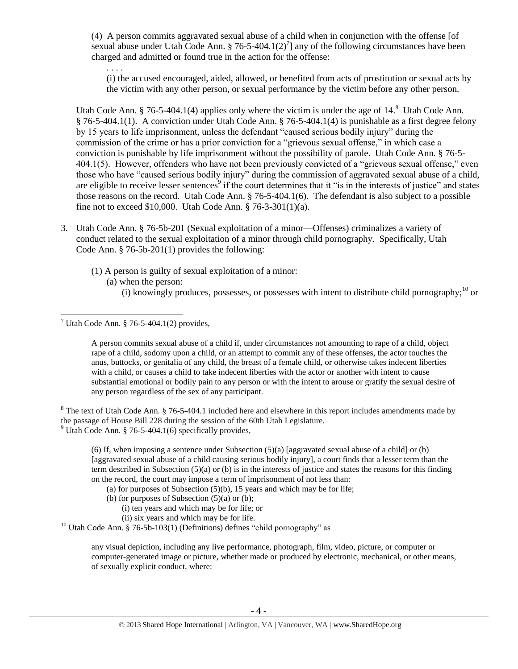(4) A person commits aggravated sexual abuse of a child when in conjunction with the offense [of sexual abuse under Utah Code Ann. § 76-5-404.1(2)<sup>7</sup>] any of the following circumstances have been charged and admitted or found true in the action for the offense:

<span id="page-3-0"></span>. . . .

<span id="page-3-1"></span>(i) the accused encouraged, aided, allowed, or benefited from acts of prostitution or sexual acts by the victim with any other person, or sexual performance by the victim before any other person.

Utah Code Ann. § 76-5-404.1(4) applies only where the victim is under the age of  $14$ .<sup>8</sup> Utah Code Ann. § 76-5-404.1(1). A conviction under Utah Code Ann. § 76-5-404.1(4) is punishable as a first degree felony by 15 years to life imprisonment, unless the defendant "caused serious bodily injury" during the commission of the crime or has a prior conviction for a "grievous sexual offense," in which case a conviction is punishable by life imprisonment without the possibility of parole. Utah Code Ann. § 76-5- 404.1(5). However, offenders who have not been previously convicted of a "grievous sexual offense," even those who have "caused serious bodily injury" during the commission of aggravated sexual abuse of a child, are eligible to receive lesser sentences<sup>9</sup> if the court determines that it "is in the interests of justice" and states those reasons on the record. Utah Code Ann. § 76-5-404.1(6). The defendant is also subject to a possible fine not to exceed \$10,000. Utah Code Ann. § 76-3-301(1)(a).

- 3. Utah Code Ann. § 76-5b-201 (Sexual exploitation of a minor—Offenses) criminalizes a variety of conduct related to the sexual exploitation of a minor through child pornography. Specifically, Utah Code Ann. § 76-5b-201(1) provides the following:
	- (1) A person is guilty of sexual exploitation of a minor:
		- (a) when the person:
			- (i) knowingly produces, possesses, or possesses with intent to distribute child pornography;  $^{10}$  or

<span id="page-3-2"></span>A person commits sexual abuse of a child if, under circumstances not amounting to rape of a child, object rape of a child, sodomy upon a child, or an attempt to commit any of these offenses, the actor touches the anus, buttocks, or genitalia of any child, the breast of a female child, or otherwise takes indecent liberties with a child, or causes a child to take indecent liberties with the actor or another with intent to cause substantial emotional or bodily pain to any person or with the intent to arouse or gratify the sexual desire of any person regardless of the sex of any participant.

<sup>8</sup> The text of Utah Code Ann. § 76-5-404.1 included here and elsewhere in this report includes amendments made by the passage of House Bill 228 during the session of the 60th Utah Legislature. <sup>9</sup> Utah Code Ann. § 76-5-404.1(6) specifically provides.

(6) If, when imposing a sentence under Subsection  $(5)(a)$  [aggravated sexual abuse of a child] or (b) [aggravated sexual abuse of a child causing serious bodily injury], a court finds that a lesser term than the term described in Subsection (5)(a) or (b) is in the interests of justice and states the reasons for this finding on the record, the court may impose a term of imprisonment of not less than:

- (a) for purposes of Subsection  $(5)(b)$ , 15 years and which may be for life;
- (b) for purposes of Subsection  $(5)(a)$  or  $(b)$ ;
	- (i) ten years and which may be for life; or
	- (ii) six years and which may be for life.

<sup>10</sup> Utah Code Ann. § 76-5b-103(1) (Definitions) defines "child pornography" as

any visual depiction, including any live performance, photograph, film, video, picture, or computer or computer-generated image or picture, whether made or produced by electronic, mechanical, or other means, of sexually explicit conduct, where:

 $\overline{a}$ <sup>7</sup> Utah Code Ann. § 76-5-404.1(2) provides,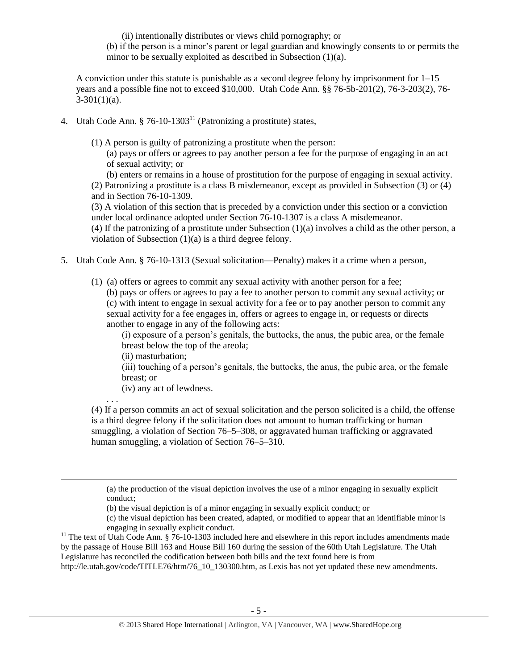(ii) intentionally distributes or views child pornography; or

(b) if the person is a minor's parent or legal guardian and knowingly consents to or permits the minor to be sexually exploited as described in Subsection (1)(a).

A conviction under this statute is punishable as a second degree felony by imprisonment for 1–15 years and a possible fine not to exceed \$10,000. Utah Code Ann. §§ 76-5b-201(2), 76-3-203(2), 76-  $3-301(1)(a)$ .

4. Utah Code Ann.  $\S 76$ -10-1303<sup>11</sup> (Patronizing a prostitute) states,

(1) A person is guilty of patronizing a prostitute when the person:

<span id="page-4-0"></span>(a) pays or offers or agrees to pay another person a fee for the purpose of engaging in an act of sexual activity; or

(b) enters or remains in a house of prostitution for the purpose of engaging in sexual activity. (2) Patronizing a prostitute is a class B misdemeanor, except as provided in Subsection (3) or (4) and in Section 76-10-1309.

(3) A violation of this section that is preceded by a conviction under this section or a conviction under local ordinance adopted under Section 76-10-1307 is a class A misdemeanor.

(4) If the patronizing of a prostitute under Subsection (1)(a) involves a child as the other person, a violation of Subsection (1)(a) is a third degree felony.

- 5. Utah Code Ann. § 76-10-1313 (Sexual solicitation—Penalty) makes it a crime when a person,
	- (1) (a) offers or agrees to commit any sexual activity with another person for a fee;

(b) pays or offers or agrees to pay a fee to another person to commit any sexual activity; or (c) with intent to engage in sexual activity for a fee or to pay another person to commit any sexual activity for a fee engages in, offers or agrees to engage in, or requests or directs another to engage in any of the following acts:

(i) exposure of a person's genitals, the buttocks, the anus, the pubic area, or the female breast below the top of the areola;

(ii) masturbation;

. . .

 $\overline{\phantom{a}}$ 

(iii) touching of a person's genitals, the buttocks, the anus, the pubic area, or the female breast; or

(iv) any act of lewdness.

(4) If a person commits an act of sexual solicitation and the person solicited is a child, the offense is a third degree felony if the solicitation does not amount to human trafficking or human smuggling, a violation of Section 76–5–308, or aggravated human trafficking or aggravated human smuggling, a violation of Section 76–5–310.

(a) the production of the visual depiction involves the use of a minor engaging in sexually explicit conduct;

(b) the visual depiction is of a minor engaging in sexually explicit conduct; or

(c) the visual depiction has been created, adapted, or modified to appear that an identifiable minor is engaging in sexually explicit conduct.

<sup>11</sup> The text of Utah Code Ann.  $\S$  76-10-1303 included here and elsewhere in this report includes amendments made by the passage of House Bill 163 and House Bill 160 during the session of the 60th Utah Legislature. The Utah Legislature has reconciled the codification between both bills and the text found here is from [http://le.utah.gov/code/TITLE76/htm/76\\_10\\_130300.htm,](http://le.utah.gov/code/TITLE76/htm/76_10_130300.htm) as Lexis has not yet updated these new amendments.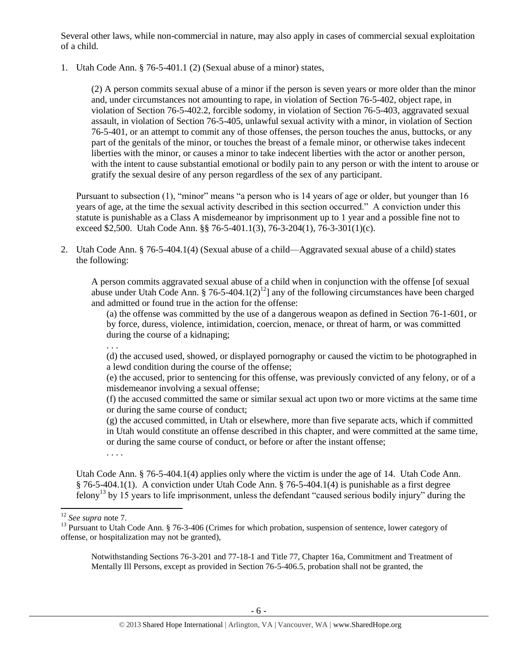Several other laws, while non-commercial in nature, may also apply in cases of commercial sexual exploitation of a child.

1. Utah Code Ann. § 76-5-401.1 (2) (Sexual abuse of a minor) states,

(2) A person commits sexual abuse of a minor if the person is seven years or more older than the minor and, under circumstances not amounting to rape, in violation of Section 76-5-402, object rape, in violation of Section 76-5-402.2, forcible sodomy, in violation of Section 76-5-403, aggravated sexual assault, in violation of Section 76-5-405, unlawful sexual activity with a minor, in violation of Section 76-5-401, or an attempt to commit any of those offenses, the person touches the anus, buttocks, or any part of the genitals of the minor, or touches the breast of a female minor, or otherwise takes indecent liberties with the minor, or causes a minor to take indecent liberties with the actor or another person, with the intent to cause substantial emotional or bodily pain to any person or with the intent to arouse or gratify the sexual desire of any person regardless of the sex of any participant.

Pursuant to subsection (1), "minor" means "a person who is 14 years of age or older, but younger than 16 years of age, at the time the sexual activity described in this section occurred." A conviction under this statute is punishable as a Class A misdemeanor by imprisonment up to 1 year and a possible fine not to exceed \$2,500. Utah Code Ann. §§ 76-5-401.1(3), 76-3-204(1), 76-3-301(1)(c).

2. Utah Code Ann. § 76-5-404.1(4) (Sexual abuse of a child—Aggravated sexual abuse of a child) states the following:

A person commits aggravated sexual abuse of a child when in conjunction with the offense [of sexual abuse under Utah Code Ann. § 76-5-404.1(2)<sup>12</sup>] any of the following circumstances have been charged and admitted or found true in the action for the offense:

(a) the offense was committed by the use of a dangerous weapon as defined in Section 76-1-601, or by force, duress, violence, intimidation, coercion, menace, or threat of harm, or was committed during the course of a kidnaping;

(d) the accused used, showed, or displayed pornography or caused the victim to be photographed in a lewd condition during the course of the offense;

(e) the accused, prior to sentencing for this offense, was previously convicted of any felony, or of a misdemeanor involving a sexual offense;

(f) the accused committed the same or similar sexual act upon two or more victims at the same time or during the same course of conduct;

(g) the accused committed, in Utah or elsewhere, more than five separate acts, which if committed in Utah would constitute an offense described in this chapter, and were committed at the same time, or during the same course of conduct, or before or after the instant offense;

<span id="page-5-0"></span>Utah Code Ann. § 76-5-404.1(4) applies only where the victim is under the age of 14. Utah Code Ann. § 76-5-404.1(1). A conviction under Utah Code Ann. § 76-5-404.1(4) is punishable as a first degree felony<sup>13</sup> by 15 years to life imprisonment, unless the defendant "caused serious bodily injury" during the

 $\overline{\phantom{a}}$ 

. . .

. . . .

Notwithstanding Sections 76-3-201 and 77-18-1 and Title 77, Chapter 16a, Commitment and Treatment of Mentally Ill Persons, except as provided in Section 76-5-406.5, probation shall not be granted, the

<sup>12</sup> *See supra* note [7.](#page-3-0)

<sup>&</sup>lt;sup>13</sup> Pursuant to Utah Code Ann. § 76-3-406 (Crimes for which probation, suspension of sentence, lower category of offense, or hospitalization may not be granted),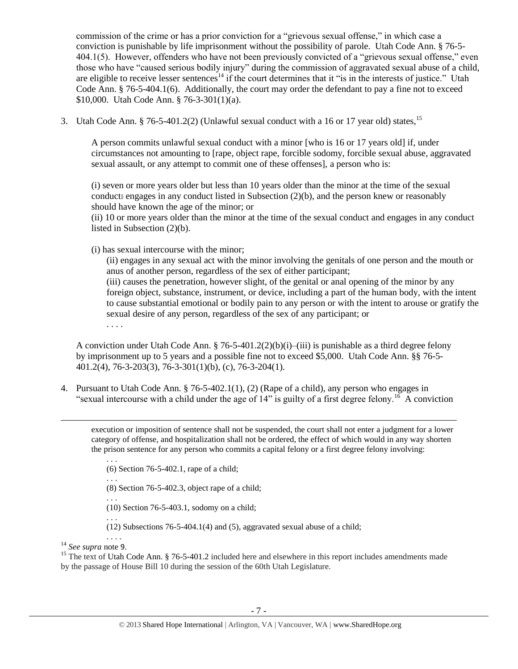commission of the crime or has a prior conviction for a "grievous sexual offense," in which case a conviction is punishable by life imprisonment without the possibility of parole. Utah Code Ann. § 76-5- 404.1(5). However, offenders who have not been previously convicted of a "grievous sexual offense," even those who have "caused serious bodily injury" during the commission of aggravated sexual abuse of a child, are eligible to receive lesser sentences<sup>14</sup> if the court determines that it "is in the interests of justice." Utah Code Ann. § 76-5-404.1(6). Additionally, the court may order the defendant to pay a fine not to exceed \$10,000. Utah Code Ann. § 76-3-301(1)(a).

3. Utah Code Ann. § 76-5-401.2(2) (Unlawful sexual conduct with a 16 or 17 year old) states,<sup>15</sup>

A person commits unlawful sexual conduct with a minor [who is 16 or 17 years old] if, under circumstances not amounting to [rape, object rape, forcible sodomy, forcible sexual abuse, aggravated sexual assault, or any attempt to commit one of these offenses], a person who is:

(i) seven or more years older but less than 10 years older than the minor at the time of the sexual conduct: engages in any conduct listed in Subsection  $(2)(b)$ , and the person knew or reasonably should have known the age of the minor; or

(ii) 10 or more years older than the minor at the time of the sexual conduct and engages in any conduct listed in Subsection (2)(b).

(i) has sexual intercourse with the minor;

(ii) engages in any sexual act with the minor involving the genitals of one person and the mouth or anus of another person, regardless of the sex of either participant; (iii) causes the penetration, however slight, of the genital or anal opening of the minor by any foreign object, substance, instrument, or device, including a part of the human body, with the intent to cause substantial emotional or bodily pain to any person or with the intent to arouse or gratify the sexual desire of any person, regardless of the sex of any participant; or

A conviction under Utah Code Ann.  $\frac{8}{76-5-401.2(2)(b)(i) - (iii)}$  is punishable as a third degree felony by imprisonment up to 5 years and a possible fine not to exceed \$5,000. Utah Code Ann. §§ 76-5- 401.2(4), 76-3-203(3), 76-3-301(1)(b), (c), 76-3-204(1).

4. Pursuant to Utah Code Ann. § 76-5-402.1(1), (2) (Rape of a child), any person who engages in "sexual intercourse with a child under the age of  $14$ " is guilty of a first degree felony.<sup>16</sup> A conviction

execution or imposition of sentence shall not be suspended, the court shall not enter a judgment for a lower category of offense, and hospitalization shall not be ordered, the effect of which would in any way shorten the prison sentence for any person who commits a capital felony or a first degree felony involving:

. . . (6) Section 76-5-402.1, rape of a child; . . . (8) Section 76-5-402.3, object rape of a child; . . . (10) Section 76-5-403.1, sodomy on a child; . . . (12) Subsections 76-5-404.1(4) and (5), aggravated sexual abuse of a child; . . . .

<sup>14</sup> *See supra* note [9](#page-3-1).

 $\overline{\phantom{a}}$ 

. . . .

<sup>15</sup> The text of Utah Code Ann.  $\S$  76-5-401.2 included here and elsewhere in this report includes amendments made by the passage of House Bill 10 during the session of the 60th Utah Legislature.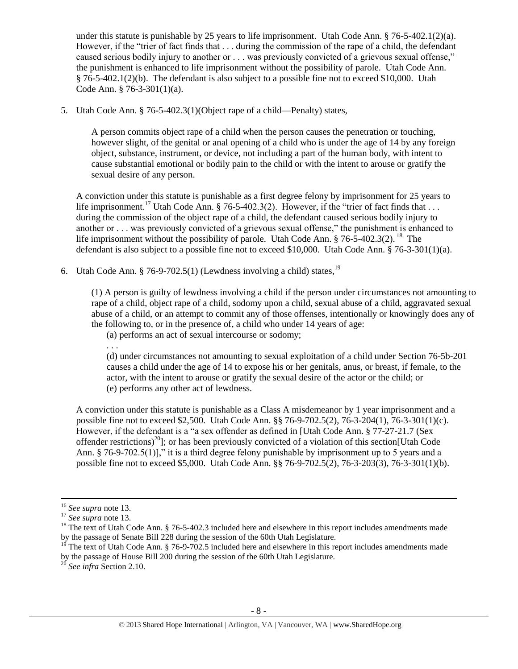under this statute is punishable by 25 years to life imprisonment. Utah Code Ann. § 76-5-402.1(2)(a). However, if the "trier of fact finds that . . . during the commission of the rape of a child, the defendant caused serious bodily injury to another or . . . was previously convicted of a grievous sexual offense," the punishment is enhanced to life imprisonment without the possibility of parole. Utah Code Ann. § 76-5-402.1(2)(b). The defendant is also subject to a possible fine not to exceed \$10,000. Utah Code Ann. § 76-3-301(1)(a).

5. Utah Code Ann. § 76-5-402.3(1)(Object rape of a child—Penalty) states,

A person commits object rape of a child when the person causes the penetration or touching, however slight, of the genital or anal opening of a child who is under the age of 14 by any foreign object, substance, instrument, or device, not including a part of the human body, with intent to cause substantial emotional or bodily pain to the child or with the intent to arouse or gratify the sexual desire of any person.

A conviction under this statute is punishable as a first degree felony by imprisonment for 25 years to life imprisonment.<sup>17</sup> Utah Code Ann. § 76-5-402.3(2). However, if the "trier of fact finds that ... during the commission of the object rape of a child, the defendant caused serious bodily injury to another or . . . was previously convicted of a grievous sexual offense," the punishment is enhanced to life imprisonment without the possibility of parole. Utah Code Ann. § 76-5-402.3(2).<sup>18</sup> The defendant is also subject to a possible fine not to exceed \$10,000. Utah Code Ann. § 76-3-301(1)(a).

6. Utah Code Ann. § 76-9-702.5(1) (Lewdness involving a child) states,  $^{19}$ 

(1) A person is guilty of lewdness involving a child if the person under circumstances not amounting to rape of a child, object rape of a child, sodomy upon a child, sexual abuse of a child, aggravated sexual abuse of a child, or an attempt to commit any of those offenses, intentionally or knowingly does any of the following to, or in the presence of, a child who under 14 years of age:

(a) performs an act of sexual intercourse or sodomy;

(d) under circumstances not amounting to sexual exploitation of a child under Section 76-5b-201 causes a child under the age of 14 to expose his or her genitals, anus, or breast, if female, to the actor, with the intent to arouse or gratify the sexual desire of the actor or the child; or (e) performs any other act of lewdness.

A conviction under this statute is punishable as a Class A misdemeanor by 1 year imprisonment and a possible fine not to exceed \$2,500. Utah Code Ann. §§ 76-9-702.5(2), 76-3-204(1), 76-3-301(1)(c). However, if the defendant is a "a sex offender as defined in [Utah Code Ann. § 77-27-21.7 (Sex offender restrictions)<sup>20</sup>]; or has been previously convicted of a violation of this section[Utah Code Ann. § 76-9-702.5(1)]," it is a third degree felony punishable by imprisonment up to 5 years and a possible fine not to exceed \$5,000. Utah Code Ann. §§ 76-9-702.5(2), 76-3-203(3), 76-3-301(1)(b).

 $\overline{a}$ 

. . .

<sup>16</sup> *See supra* note [13.](#page-5-0)

<sup>17</sup> *See supra* note [13.](#page-5-0)

<sup>&</sup>lt;sup>18</sup> The text of Utah Code Ann. § 76-5-402.3 included here and elsewhere in this report includes amendments made by the passage of Senate Bill 228 during the session of the 60th Utah Legislature.

<sup>&</sup>lt;sup>19</sup> The text of Utah Code Ann. § 76-9-702.5 included here and elsewhere in this report includes amendments made by the passage of House Bill 200 during the session of the 60th Utah Legislature.

<sup>20</sup> *See infra* Section 2.10.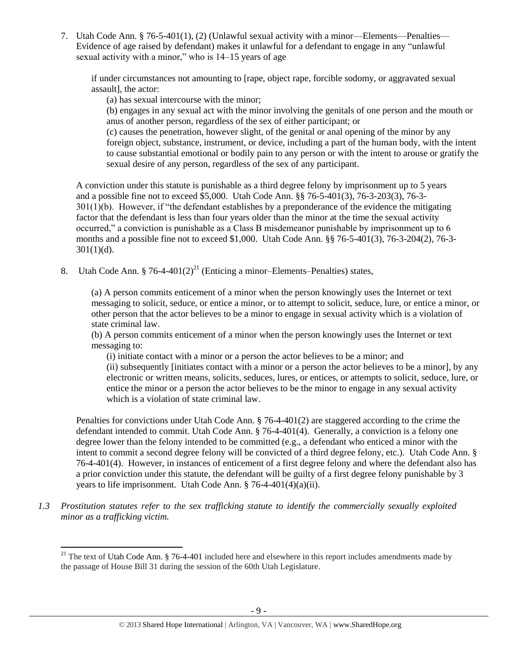7. Utah Code Ann. § 76-5-401(1), (2) (Unlawful sexual activity with a minor—Elements—Penalties— Evidence of age raised by defendant) makes it unlawful for a defendant to engage in any "unlawful sexual activity with a minor," who is 14–15 years of age

if under circumstances not amounting to [rape, object rape, forcible sodomy, or aggravated sexual assault], the actor:

(a) has sexual intercourse with the minor;

(b) engages in any sexual act with the minor involving the genitals of one person and the mouth or anus of another person, regardless of the sex of either participant; or

(c) causes the penetration, however slight, of the genital or anal opening of the minor by any foreign object, substance, instrument, or device, including a part of the human body, with the intent to cause substantial emotional or bodily pain to any person or with the intent to arouse or gratify the sexual desire of any person, regardless of the sex of any participant.

A conviction under this statute is punishable as a third degree felony by imprisonment up to 5 years and a possible fine not to exceed \$5,000. Utah Code Ann. §§ 76-5-401(3), 76-3-203(3), 76-3- 301(1)(b). However, if "the defendant establishes by a preponderance of the evidence the mitigating factor that the defendant is less than four years older than the minor at the time the sexual activity occurred," a conviction is punishable as a Class B misdemeanor punishable by imprisonment up to 6 months and a possible fine not to exceed \$1,000. Utah Code Ann. §§ 76-5-401(3), 76-3-204(2), 76-3-  $301(1)(d)$ .

8. Utah Code Ann. § 76-4-401(2)<sup>21</sup> (Enticing a minor–Elements–Penalties) states,

<span id="page-8-0"></span>(a) A person commits enticement of a minor when the person knowingly uses the Internet or text messaging to solicit, seduce, or entice a minor, or to attempt to solicit, seduce, lure, or entice a minor, or other person that the actor believes to be a minor to engage in sexual activity which is a violation of state criminal law.

(b) A person commits enticement of a minor when the person knowingly uses the Internet or text messaging to:

(i) initiate contact with a minor or a person the actor believes to be a minor; and (ii) subsequently [initiates contact with a minor or a person the actor believes to be a minor], by any electronic or written means, solicits, seduces, lures, or entices, or attempts to solicit, seduce, lure, or entice the minor or a person the actor believes to be the minor to engage in any sexual activity which is a violation of state criminal law.

Penalties for convictions under Utah Code Ann. § 76-4-401(2) are staggered according to the crime the defendant intended to commit. Utah Code Ann. § 76-4-401(4). Generally, a conviction is a felony one degree lower than the felony intended to be committed (e.g., a defendant who enticed a minor with the intent to commit a second degree felony will be convicted of a third degree felony, etc.). Utah Code Ann. § 76-4-401(4). However, in instances of enticement of a first degree felony and where the defendant also has a prior conviction under this statute, the defendant will be guilty of a first degree felony punishable by 3 years to life imprisonment. Utah Code Ann. § 76-4-401(4)(a)(ii).

*1.3 Prostitution statutes refer to the sex trafficking statute to identify the commercially sexually exploited minor as a trafficking victim.* 

l

<sup>&</sup>lt;sup>21</sup> The text of Utah Code Ann. § 76-4-401 included here and elsewhere in this report includes amendments made by the passage of House Bill 31 during the session of the 60th Utah Legislature.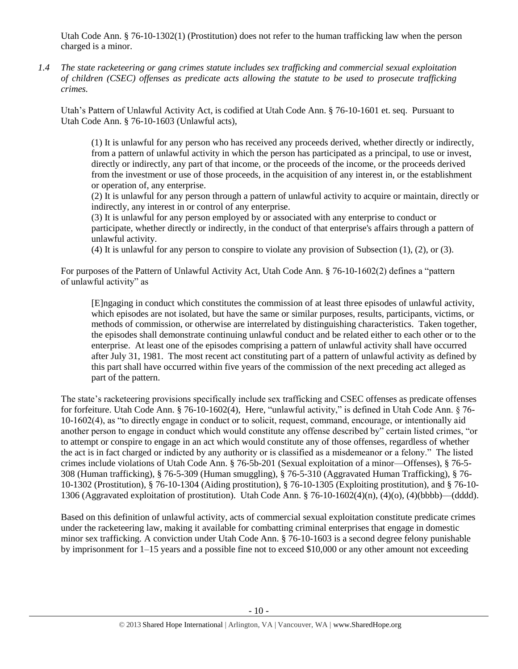Utah Code Ann. § 76-10-1302(1) (Prostitution) does not refer to the human trafficking law when the person charged is a minor.

*1.4 The state racketeering or gang crimes statute includes sex trafficking and commercial sexual exploitation of children (CSEC) offenses as predicate acts allowing the statute to be used to prosecute trafficking crimes.* 

Utah's Pattern of Unlawful Activity Act, is codified at Utah Code Ann. § 76-10-1601 et. seq. Pursuant to Utah Code Ann. § 76-10-1603 (Unlawful acts),

(1) It is unlawful for any person who has received any proceeds derived, whether directly or indirectly, from a pattern of unlawful activity in which the person has participated as a principal, to use or invest, directly or indirectly, any part of that income, or the proceeds of the income, or the proceeds derived from the investment or use of those proceeds, in the acquisition of any interest in, or the establishment or operation of, any enterprise.

(2) It is unlawful for any person through a pattern of unlawful activity to acquire or maintain, directly or indirectly, any interest in or control of any enterprise.

(3) It is unlawful for any person employed by or associated with any enterprise to conduct or participate, whether directly or indirectly, in the conduct of that enterprise's affairs through a pattern of unlawful activity.

(4) It is unlawful for any person to conspire to violate any provision of Subsection  $(1)$ ,  $(2)$ , or  $(3)$ .

For purposes of the Pattern of Unlawful Activity Act, Utah Code Ann. § 76-10-1602(2) defines a "pattern of unlawful activity" as

[E]ngaging in conduct which constitutes the commission of at least three episodes of unlawful activity, which episodes are not isolated, but have the same or similar purposes, results, participants, victims, or methods of commission, or otherwise are interrelated by distinguishing characteristics. Taken together, the episodes shall demonstrate continuing unlawful conduct and be related either to each other or to the enterprise. At least one of the episodes comprising a pattern of unlawful activity shall have occurred after July 31, 1981. The most recent act constituting part of a pattern of unlawful activity as defined by this part shall have occurred within five years of the commission of the next preceding act alleged as part of the pattern.

The state's racketeering provisions specifically include sex trafficking and CSEC offenses as predicate offenses for forfeiture. Utah Code Ann. § 76-10-1602(4), Here, "unlawful activity," is defined in Utah Code Ann. § 76- 10-1602(4), as "to directly engage in conduct or to solicit, request, command, encourage, or intentionally aid another person to engage in conduct which would constitute any offense described by" certain listed crimes, "or to attempt or conspire to engage in an act which would constitute any of those offenses, regardless of whether the act is in fact charged or indicted by any authority or is classified as a misdemeanor or a felony." The listed crimes include violations of Utah Code Ann. § 76-5b-201 (Sexual exploitation of a minor—Offenses), § 76-5- 308 (Human trafficking), § 76-5-309 (Human smuggling), § 76-5-310 (Aggravated Human Trafficking), § 76- 10-1302 (Prostitution), § 76-10-1304 (Aiding prostitution), § 76-10-1305 (Exploiting prostitution), and § 76-10- 1306 (Aggravated exploitation of prostitution). Utah Code Ann. § 76-10-1602(4)(n), (4)(o), (4)(bbbb)—(dddd).

Based on this definition of unlawful activity, acts of commercial sexual exploitation constitute predicate crimes under the racketeering law, making it available for combatting criminal enterprises that engage in domestic minor sex trafficking. A conviction under Utah Code Ann. § 76-10-1603 is a second degree felony punishable by imprisonment for 1–15 years and a possible fine not to exceed \$10,000 or any other amount not exceeding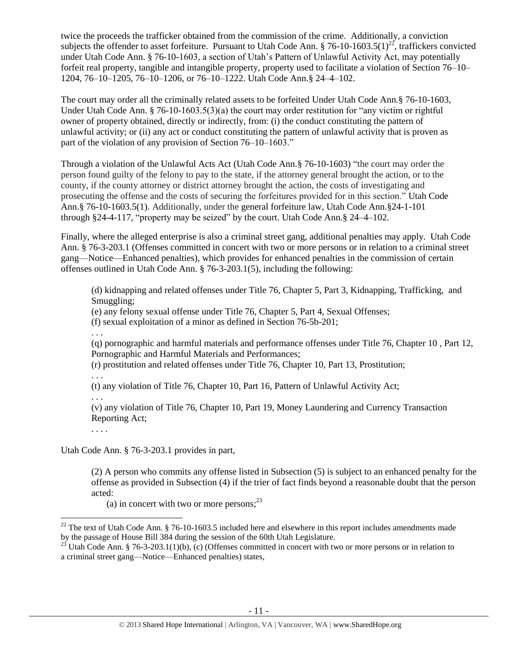twice the proceeds the trafficker obtained from the commission of the crime. Additionally, a conviction subjects the offender to asset forfeiture. Pursuant to Utah Code Ann.  $\S$  76-10-1603.5(1)<sup>22</sup>, traffickers convicted under Utah Code Ann. § 76-10-1603, a section of Utah's Pattern of Unlawful Activity Act, may potentially forfeit real property, tangible and intangible property, property used to facilitate a violation of Section 76–10– 1204, 76–10–1205, 76–10–1206, or 76–10–1222. Utah Code Ann.§ 24–4–102.

The court may order all the criminally related assets to be forfeited Under Utah Code Ann.§ 76-10-1603, Under Utah Code Ann. § 76-10-1603.5(3)(a) the court may order restitution for "any victim or rightful owner of property obtained, directly or indirectly, from: (i) the conduct constituting the pattern of unlawful activity; or (ii) any act or conduct constituting the pattern of unlawful activity that is proven as part of the violation of any provision of Section 76–10–1603."

Through a violation of the Unlawful Acts Act (Utah Code Ann.§ 76-10-1603) "the court may order the person found guilty of the felony to pay to the state, if the attorney general brought the action, or to the county, if the county attorney or district attorney brought the action, the costs of investigating and prosecuting the offense and the costs of securing the forfeitures provided for in this section." Utah Code Ann.§ 76-10-1603.5(1). Additionally, under the general forfeiture law, Utah Code Ann.§24-1-101 through §24-4-117, "property may be seized" by the court. Utah Code Ann.§ 24–4–102.

Finally, where the alleged enterprise is also a criminal street gang, additional penalties may apply. Utah Code Ann. § 76-3-203.1 (Offenses committed in concert with two or more persons or in relation to a criminal street gang—Notice—Enhanced penalties), which provides for enhanced penalties in the commission of certain offenses outlined in Utah Code Ann. § 76-3-203.1(5), including the following:

(d) kidnapping and related offenses under Title 76, Chapter 5, Part 3, Kidnapping, Trafficking, and Smuggling;

(e) any felony sexual offense under Title 76, Chapter 5, Part 4, Sexual Offenses;

(f) sexual exploitation of a minor as defined in Section 76-5b-201;

. . .

(q) pornographic and harmful materials and performance offenses under Title 76, Chapter 10 , Part 12, Pornographic and Harmful Materials and Performances;

(r) prostitution and related offenses under Title 76, Chapter 10, Part 13, Prostitution;

. . .

(t) any violation of Title 76, Chapter 10, Part 16, Pattern of Unlawful Activity Act; . . .

(v) any violation of Title 76, Chapter 10, Part 19, Money Laundering and Currency Transaction Reporting Act;

. . . .

Utah Code Ann. § 76-3-203.1 provides in part,

(2) A person who commits any offense listed in Subsection (5) is subject to an enhanced penalty for the offense as provided in Subsection (4) if the trier of fact finds beyond a reasonable doubt that the person acted:

(a) in concert with two or more persons:  $2<sup>3</sup>$ 

 $\overline{\phantom{a}}$  $22$  The text of Utah Code Ann. § 76-10-1603.5 included here and elsewhere in this report includes amendments made by the passage of House Bill 384 during the session of the 60th Utah Legislature.

<sup>&</sup>lt;sup>23</sup> Utah Code Ann. § 76-3-203.1(1)(b), (c) (Offenses committed in concert with two or more persons or in relation to a criminal street gang—Notice—Enhanced penalties) states,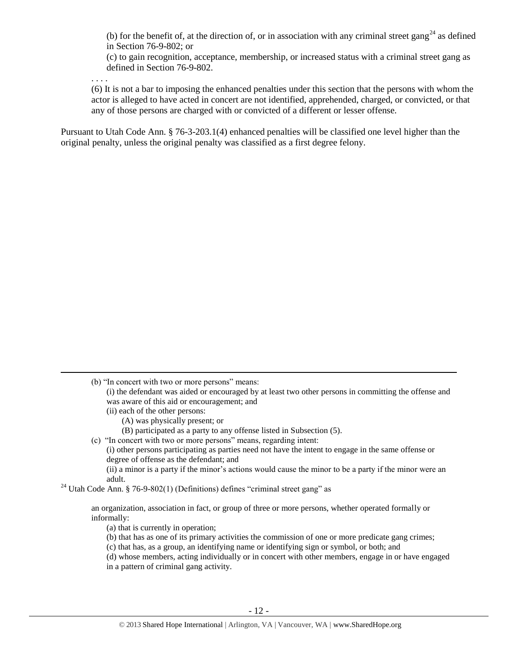(b) for the benefit of, at the direction of, or in association with any criminal street gang<sup>24</sup> as defined in Section 76-9-802; or

(c) to gain recognition, acceptance, membership, or increased status with a criminal street gang as defined in Section 76-9-802.

. . . .

l

(6) It is not a bar to imposing the enhanced penalties under this section that the persons with whom the actor is alleged to have acted in concert are not identified, apprehended, charged, or convicted, or that any of those persons are charged with or convicted of a different or lesser offense.

Pursuant to Utah Code Ann. § 76-3-203.1(4) enhanced penalties will be classified one level higher than the original penalty, unless the original penalty was classified as a first degree felony.

- (ii) each of the other persons:
	- (A) was physically present; or
	- (B) participated as a party to any offense listed in Subsection (5).
- (c) "In concert with two or more persons" means, regarding intent:
	- (i) other persons participating as parties need not have the intent to engage in the same offense or degree of offense as the defendant; and

(ii) a minor is a party if the minor's actions would cause the minor to be a party if the minor were an adult.

<sup>24</sup> Utah Code Ann. § 76-9-802(1) (Definitions) defines "criminal street gang" as

an organization, association in fact, or group of three or more persons, whether operated formally or informally:

- (a) that is currently in operation;
- (b) that has as one of its primary activities the commission of one or more predicate gang crimes;
- (c) that has, as a group, an identifying name or identifying sign or symbol, or both; and
- (d) whose members, acting individually or in concert with other members, engage in or have engaged
- in a pattern of criminal gang activity.

<sup>(</sup>b) "In concert with two or more persons" means:

<sup>(</sup>i) the defendant was aided or encouraged by at least two other persons in committing the offense and was aware of this aid or encouragement; and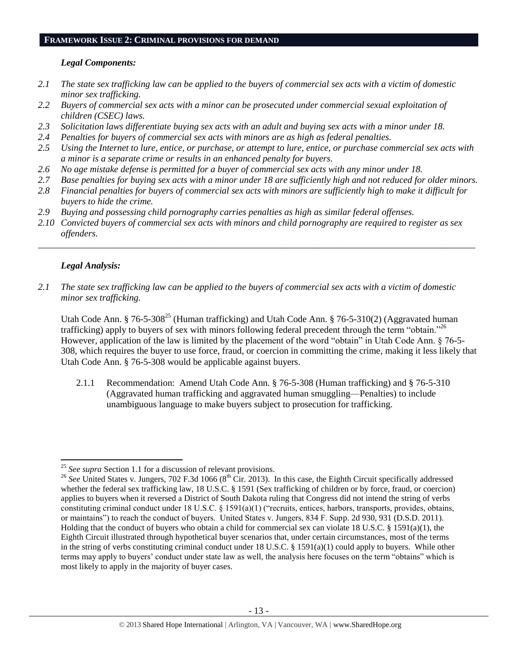#### **FRAMEWORK ISSUE 2: CRIMINAL PROVISIONS FOR DEMAND**

## *Legal Components:*

- *2.1 The state sex trafficking law can be applied to the buyers of commercial sex acts with a victim of domestic minor sex trafficking.*
- *2.2 Buyers of commercial sex acts with a minor can be prosecuted under commercial sexual exploitation of children (CSEC) laws.*
- *2.3 Solicitation laws differentiate buying sex acts with an adult and buying sex acts with a minor under 18.*
- *2.4 Penalties for buyers of commercial sex acts with minors are as high as federal penalties.*
- *2.5 Using the Internet to lure, entice, or purchase, or attempt to lure, entice, or purchase commercial sex acts with a minor is a separate crime or results in an enhanced penalty for buyers.*
- *2.6 No age mistake defense is permitted for a buyer of commercial sex acts with any minor under 18.*
- *2.7 Base penalties for buying sex acts with a minor under 18 are sufficiently high and not reduced for older minors.*
- *2.8 Financial penalties for buyers of commercial sex acts with minors are sufficiently high to make it difficult for buyers to hide the crime.*
- *2.9 Buying and possessing child pornography carries penalties as high as similar federal offenses.*
- *2.10 Convicted buyers of commercial sex acts with minors and child pornography are required to register as sex offenders.*

\_\_\_\_\_\_\_\_\_\_\_\_\_\_\_\_\_\_\_\_\_\_\_\_\_\_\_\_\_\_\_\_\_\_\_\_\_\_\_\_\_\_\_\_\_\_\_\_\_\_\_\_\_\_\_\_\_\_\_\_\_\_\_\_\_\_\_\_\_\_\_\_\_\_\_\_\_\_\_\_\_\_\_\_\_\_\_\_\_\_\_\_\_\_

# *Legal Analysis:*

*2.1 The state sex trafficking law can be applied to the buyers of commercial sex acts with a victim of domestic minor sex trafficking.*

Utah Code Ann. § 76-5-308<sup>25</sup> (Human trafficking) and Utah Code Ann. § 76-5-310(2) (Aggravated human trafficking) apply to buyers of sex with minors following federal precedent through the term "obtain."<sup>26</sup> However, application of the law is limited by the placement of the word "obtain" in Utah Code Ann. § 76-5- 308, which requires the buyer to use force, fraud, or coercion in committing the crime, making it less likely that Utah Code Ann. § 76-5-308 would be applicable against buyers.

2.1.1 Recommendation: Amend Utah Code Ann. § 76-5-308 (Human trafficking) and § 76-5-310 (Aggravated human trafficking and aggravated human smuggling—Penalties) to include unambiguous language to make buyers subject to prosecution for trafficking.

 $\overline{\phantom{a}}$ <sup>25</sup> *See supra* Section 1.1 for a discussion of relevant provisions.

<sup>&</sup>lt;sup>26</sup> See United States v. Jungers, 702 F.3d 1066 (8<sup>th</sup> Cir. 2013). In this case, the Eighth Circuit specifically addressed whether the federal sex trafficking law, 18 U.S.C. § 1591 (Sex trafficking of children or by force, fraud, or coercion) applies to buyers when it reversed a District of South Dakota ruling that Congress did not intend the string of verbs constituting criminal conduct under 18 U.S.C. § 1591(a)(1) ("recruits, entices, harbors, transports, provides, obtains, or maintains") to reach the conduct of buyers. United States v. Jungers, 834 F. Supp. 2d 930, 931 (D.S.D. 2011). Holding that the conduct of buyers who obtain a child for commercial sex can violate 18 U.S.C. § 1591(a)(1), the Eighth Circuit illustrated through hypothetical buyer scenarios that, under certain circumstances, most of the terms in the string of verbs constituting criminal conduct under 18 U.S.C. § 1591(a)(1) could apply to buyers. While other terms may apply to buyers' conduct under state law as well, the analysis here focuses on the term "obtains" which is most likely to apply in the majority of buyer cases.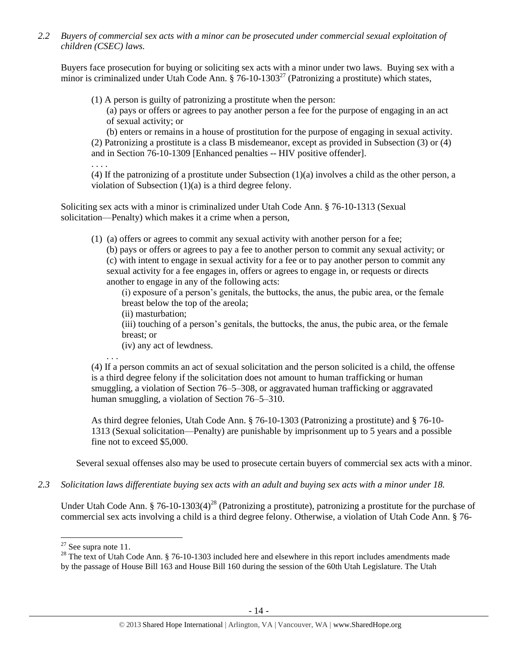*2.2 Buyers of commercial sex acts with a minor can be prosecuted under commercial sexual exploitation of children (CSEC) laws.*

Buyers face prosecution for buying or soliciting sex acts with a minor under two laws. Buying sex with a minor is criminalized under Utah Code Ann.  $\S$  76-10-1303<sup>27</sup> (Patronizing a prostitute) which states,

(1) A person is guilty of patronizing a prostitute when the person:

(a) pays or offers or agrees to pay another person a fee for the purpose of engaging in an act of sexual activity; or

(b) enters or remains in a house of prostitution for the purpose of engaging in sexual activity. (2) Patronizing a prostitute is a class B misdemeanor, except as provided in Subsection (3) or (4) and in Section 76-10-1309 [Enhanced penalties -- HIV positive offender].

(4) If the patronizing of a prostitute under Subsection (1)(a) involves a child as the other person, a violation of Subsection (1)(a) is a third degree felony.

Soliciting sex acts with a minor is criminalized under Utah Code Ann. § 76-10-1313 (Sexual solicitation—Penalty) which makes it a crime when a person,

(1) (a) offers or agrees to commit any sexual activity with another person for a fee; (b) pays or offers or agrees to pay a fee to another person to commit any sexual activity; or (c) with intent to engage in sexual activity for a fee or to pay another person to commit any sexual activity for a fee engages in, offers or agrees to engage in, or requests or directs another to engage in any of the following acts:

(i) exposure of a person's genitals, the buttocks, the anus, the pubic area, or the female breast below the top of the areola;

(ii) masturbation;

(iii) touching of a person's genitals, the buttocks, the anus, the pubic area, or the female breast; or

(iv) any act of lewdness.

. . .

. . . .

(4) If a person commits an act of sexual solicitation and the person solicited is a child, the offense is a third degree felony if the solicitation does not amount to human trafficking or human smuggling, a violation of Section 76–5–308, or aggravated human trafficking or aggravated human smuggling, a violation of Section 76–5–310.

As third degree felonies, Utah Code Ann. § 76-10-1303 (Patronizing a prostitute) and § 76-10- 1313 (Sexual solicitation—Penalty) are punishable by imprisonment up to 5 years and a possible fine not to exceed \$5,000.

<span id="page-13-0"></span>Several sexual offenses also may be used to prosecute certain buyers of commercial sex acts with a minor.

*2.3 Solicitation laws differentiate buying sex acts with an adult and buying sex acts with a minor under 18.*

Under Utah Code Ann. § 76-10-1303(4)<sup>28</sup> (Patronizing a prostitute), patronizing a prostitute for the purchase of commercial sex acts involving a child is a third degree felony. Otherwise, a violation of Utah Code Ann. § 76-

 $27$  See supra note [11.](#page-4-0)

<sup>&</sup>lt;sup>28</sup> The text of Utah Code Ann.  $\S$  76-10-1303 included here and elsewhere in this report includes amendments made by the passage of House Bill 163 and House Bill 160 during the session of the 60th Utah Legislature. The Utah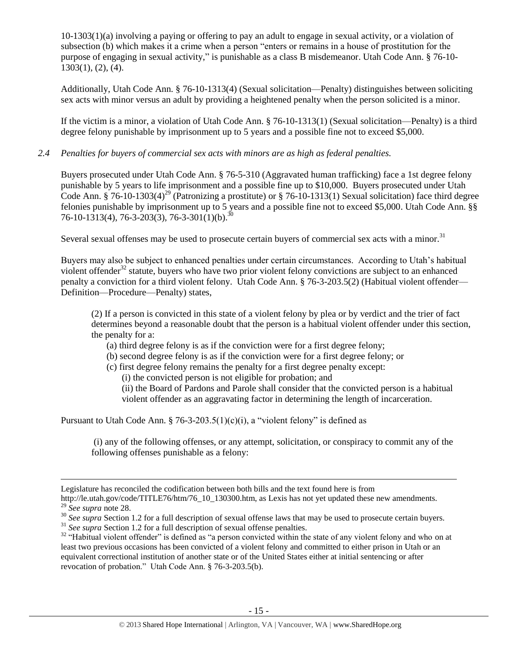10-1303(1)(a) involving a paying or offering to pay an adult to engage in sexual activity, or a violation of subsection (b) which makes it a crime when a person "enters or remains in a house of prostitution for the purpose of engaging in sexual activity," is punishable as a class B misdemeanor. Utah Code Ann. § 76-10- 1303(1), (2), (4).

Additionally, Utah Code Ann. § 76-10-1313(4) (Sexual solicitation—Penalty) distinguishes between soliciting sex acts with minor versus an adult by providing a heightened penalty when the person solicited is a minor.

If the victim is a minor, a violation of Utah Code Ann. § 76-10-1313(1) (Sexual solicitation—Penalty) is a third degree felony punishable by imprisonment up to 5 years and a possible fine not to exceed \$5,000.

# *2.4 Penalties for buyers of commercial sex acts with minors are as high as federal penalties.*

Buyers prosecuted under Utah Code Ann. § 76-5-310 (Aggravated human trafficking) face a 1st degree felony punishable by 5 years to life imprisonment and a possible fine up to \$10,000. Buyers prosecuted under Utah Code Ann. § 76-10-1303(4)<sup>29</sup> (Patronizing a prostitute) or § 76-10-1313(1) Sexual solicitation) face third degree felonies punishable by imprisonment up to 5 years and a possible fine not to exceed \$5,000. Utah Code Ann. §§ 76-10-1313(4), 76-3-203(3), 76-3-301(1)(b).<sup>30</sup>

Several sexual offenses may be used to prosecute certain buyers of commercial sex acts with a minor.<sup>31</sup>

Buyers may also be subject to enhanced penalties under certain circumstances. According to Utah's habitual violent offender<sup>32</sup> statute, buyers who have two prior violent felony convictions are subject to an enhanced penalty a conviction for a third violent felony. Utah Code Ann. § 76-3-203.5(2) (Habitual violent offender— Definition—Procedure—Penalty) states,

(2) If a person is convicted in this state of a violent felony by plea or by verdict and the trier of fact determines beyond a reasonable doubt that the person is a habitual violent offender under this section, the penalty for a:

- (a) third degree felony is as if the conviction were for a first degree felony;
- (b) second degree felony is as if the conviction were for a first degree felony; or
- (c) first degree felony remains the penalty for a first degree penalty except:

(i) the convicted person is not eligible for probation; and

(ii) the Board of Pardons and Parole shall consider that the convicted person is a habitual violent offender as an aggravating factor in determining the length of incarceration.

Pursuant to Utah Code Ann. § 76-3-203.5(1)(c)(i), a "violent felony" is defined as

(i) any of the following offenses, or any attempt, solicitation, or conspiracy to commit any of the following offenses punishable as a felony:

Legislature has reconciled the codification between both bills and the text found here is from

http://le.utah.gov/code/TITLE76/htm/76\_10\_130300.htm, as Lexis has not yet updated these new amendments. <sup>29</sup> *See supra* note [28.](#page-13-0)

<sup>&</sup>lt;sup>30</sup> See supra Section 1.2 for a full description of sexual offense laws that may be used to prosecute certain buyers.

<sup>&</sup>lt;sup>31</sup> *See supra* Section 1.2 for a full description of sexual offense penalties.

<sup>&</sup>lt;sup>32</sup> "Habitual violent offender" is defined as "a person convicted within the state of any violent felony and who on at least two previous occasions has been convicted of a violent felony and committed to either prison in Utah or an equivalent correctional institution of another state or of the United States either at initial sentencing or after revocation of probation." Utah Code Ann. § 76-3-203.5(b).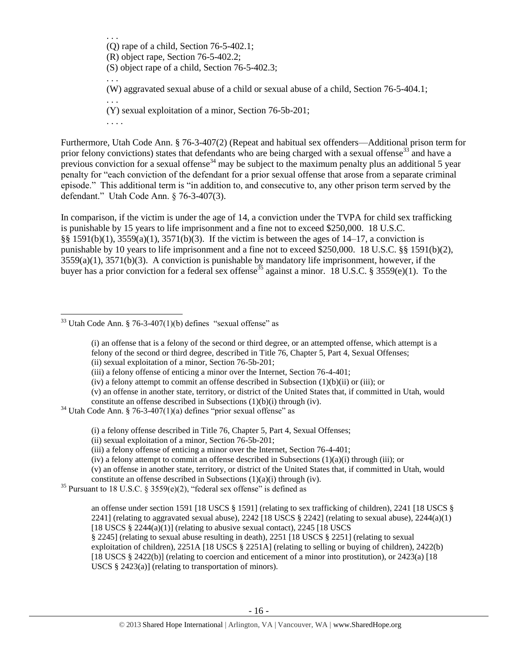. . . (Q) rape of a child, Section 76-5-402.1; (R) object rape, Section 76-5-402.2; (S) object rape of a child, Section 76-5-402.3; . . . (W) aggravated sexual abuse of a child or sexual abuse of a child, Section 76-5-404.1; . . . (Y) sexual exploitation of a minor, Section 76-5b-201; . . . .

Furthermore, Utah Code Ann. § 76-3-407(2) (Repeat and habitual sex offenders—Additional prison term for prior felony convictions) states that defendants who are being charged with a sexual offense<sup>33</sup> and have a previous conviction for a sexual offense<sup>34</sup> may be subject to the maximum penalty plus an additional 5 year penalty for "each conviction of the defendant for a prior sexual offense that arose from a separate criminal episode." This additional term is "in addition to, and consecutive to, any other prison term served by the defendant." Utah Code Ann. § 76-3-407(3).

In comparison, if the victim is under the age of 14, a conviction under the TVPA for child sex trafficking is punishable by 15 years to life imprisonment and a fine not to exceed \$250,000. 18 U.S.C. §§ 1591(b)(1), 3559(a)(1), 3571(b)(3). If the victim is between the ages of 14–17, a conviction is punishable by 10 years to life imprisonment and a fine not to exceed \$250,000. 18 U.S.C. §§ 1591(b)(2), 3559(a)(1), 3571(b)(3). A conviction is punishable by mandatory life imprisonment, however, if the buyer has a prior conviction for a federal sex offense<sup>35</sup> against a minor. 18 U.S.C. § 3559(e)(1). To the

 $\overline{a}$ 

(v) an offense in another state, territory, or district of the United States that, if committed in Utah, would constitute an offense described in Subsections (1)(b)(i) through (iv).

(i) a felony offense described in Title 76, Chapter 5, Part 4, Sexual Offenses;

(v) an offense in another state, territory, or district of the United States that, if committed in Utah, would constitute an offense described in Subsections (1)(a)(i) through (iv).

 $35$  Pursuant to 18 U.S.C. § 3559(e)(2), "federal sex offense" is defined as

an offense under section 1591 [18 USCS § 1591] (relating to sex trafficking of children), 2241 [18 USCS § 2241] (relating to aggravated sexual abuse),  $2242$  [18 USCS § 2242] (relating to sexual abuse),  $2244(a)(1)$ [18 USCS  $\S$  2244(a)(1)] (relating to abusive sexual contact), 2245 [18 USCS] § 2245] (relating to sexual abuse resulting in death), 2251 [18 USCS § 2251] (relating to sexual exploitation of children), 2251A [18 USCS § 2251A] (relating to selling or buying of children), 2422(b) [18 USCS § 2422(b)] (relating to coercion and enticement of a minor into prostitution), or 2423(a) [18 USCS § 2423(a)] (relating to transportation of minors).

 $33$  Utah Code Ann. § 76-3-407(1)(b) defines "sexual offense" as

<span id="page-15-0"></span><sup>(</sup>i) an offense that is a felony of the second or third degree, or an attempted offense, which attempt is a felony of the second or third degree, described in Title 76, Chapter 5, Part 4, Sexual Offenses; (ii) sexual exploitation of a minor, Section 76-5b-201;

<sup>(</sup>iii) a felony offense of enticing a minor over the Internet, Section 76-4-401;

<sup>(</sup>iv) a felony attempt to commit an offense described in Subsection (1)(b)(ii) or (iii); or

 $34$  Utah Code Ann. § 76-3-407(1)(a) defines "prior sexual offense" as

<sup>(</sup>ii) sexual exploitation of a minor, Section 76-5b-201;

<sup>(</sup>iii) a felony offense of enticing a minor over the Internet, Section 76-4-401;

<sup>(</sup>iv) a felony attempt to commit an offense described in Subsections  $(1)(a)(i)$  through (iii); or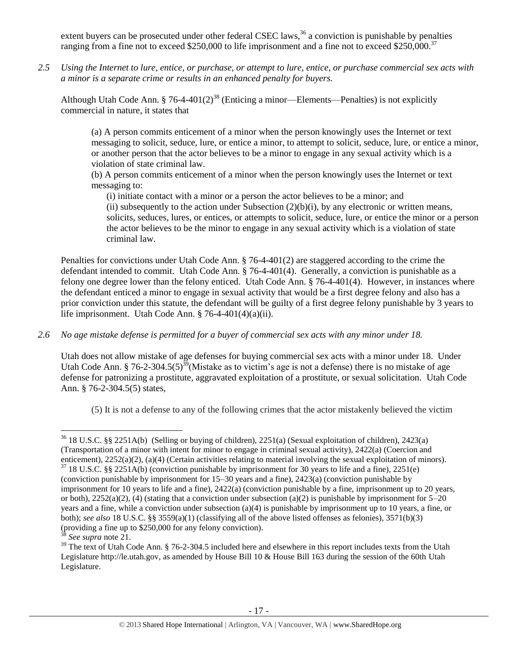extent buyers can be prosecuted under other federal CSEC laws,  $36$  a conviction is punishable by penalties ranging from a fine not to exceed \$250,000 to life imprisonment and a fine not to exceed \$250,000.<sup>37</sup>

*2.5 Using the Internet to lure, entice, or purchase, or attempt to lure, entice, or purchase commercial sex acts with a minor is a separate crime or results in an enhanced penalty for buyers.*

Although Utah Code Ann. § 76-4-401(2)<sup>38</sup> (Enticing a minor—Elements—Penalties) is not explicitly commercial in nature, it states that

(a) A person commits enticement of a minor when the person knowingly uses the Internet or text messaging to solicit, seduce, lure, or entice a minor, to attempt to solicit, seduce, lure, or entice a minor, or another person that the actor believes to be a minor to engage in any sexual activity which is a violation of state criminal law.

(b) A person commits enticement of a minor when the person knowingly uses the Internet or text messaging to:

(i) initiate contact with a minor or a person the actor believes to be a minor; and (ii) subsequently to the action under Subsection  $(2)(b)(i)$ , by any electronic or written means, solicits, seduces, lures, or entices, or attempts to solicit, seduce, lure, or entice the minor or a person the actor believes to be the minor to engage in any sexual activity which is a violation of state criminal law.

Penalties for convictions under Utah Code Ann. § 76-4-401(2) are staggered according to the crime the defendant intended to commit. Utah Code Ann. § 76-4-401(4). Generally, a conviction is punishable as a felony one degree lower than the felony enticed. Utah Code Ann. § 76-4-401(4). However, in instances where the defendant enticed a minor to engage in sexual activity that would be a first degree felony and also has a prior conviction under this statute, the defendant will be guilty of a first degree felony punishable by 3 years to life imprisonment. Utah Code Ann. § 76-4-401(4)(a)(ii).

# *2.6 No age mistake defense is permitted for a buyer of commercial sex acts with any minor under 18.*

Utah does not allow mistake of age defenses for buying commercial sex acts with a minor under 18. Under Utah Code Ann. § 76-2-304.5(5)<sup>39</sup>(Mistake as to victim's age is not a defense) there is no mistake of age defense for patronizing a prostitute, aggravated exploitation of a prostitute, or sexual solicitation. Utah Code Ann. § 76-2-304.5(5) states,

<span id="page-16-0"></span>(5) It is not a defense to any of the following crimes that the actor mistakenly believed the victim

l

<sup>36</sup> 18 U.S.C. §§ 2251A(b) (Selling or buying of children), 2251(a) (Sexual exploitation of children), 2423(a) (Transportation of a minor with intent for minor to engage in criminal sexual activity), 2422(a) (Coercion and enticement), 2252(a)(2), (a)(4) (Certain activities relating to material involving the sexual exploitation of minors).

 $37$  18 U.S.C. §§ 2251A(b) (conviction punishable by imprisonment for 30 years to life and a fine), 2251(e) (conviction punishable by imprisonment for 15–30 years and a fine), 2423(a) (conviction punishable by imprisonment for 10 years to life and a fine), 2422(a) (conviction punishable by a fine, imprisonment up to 20 years, or both),  $2252(a)(2)$ , (4) (stating that a conviction under subsection (a)(2) is punishable by imprisonment for  $5-20$ years and a fine, while a conviction under subsection (a)(4) is punishable by imprisonment up to 10 years, a fine, or both); *see also* 18 U.S.C. §§ 3559(a)(1) (classifying all of the above listed offenses as felonies), 3571(b)(3) (providing a fine up to \$250,000 for any felony conviction).

<sup>38</sup> *See supra* note [21.](#page-8-0) 

<sup>&</sup>lt;sup>39</sup> The text of Utah Code Ann. § 76-2-304.5 included here and elsewhere in this report includes texts from the Utah Legislature http://le.utah.gov, as amended by House Bill 10 & House Bill 163 during the session of the 60th Utah Legislature.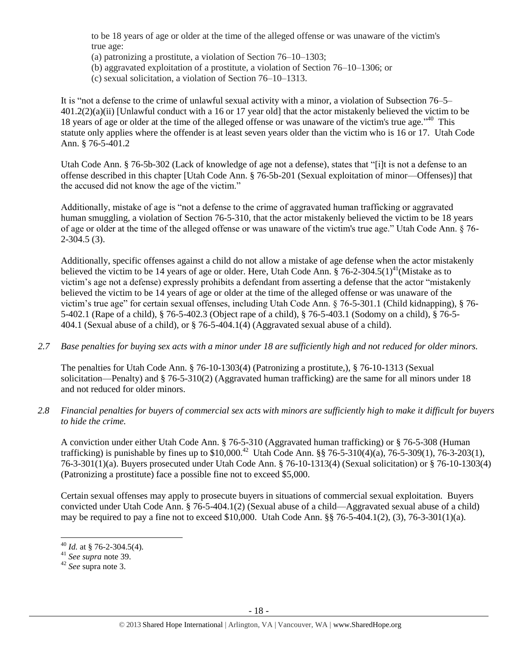to be 18 years of age or older at the time of the alleged offense or was unaware of the victim's true age:

- (a) patronizing a prostitute, a violation of Section 76–10–1303;
- (b) aggravated exploitation of a prostitute, a violation of Section 76–10–1306; or
- (c) sexual solicitation, a violation of Section 76–10–1313.

It is "not a defense to the crime of unlawful sexual activity with a minor, a violation of Subsection 76–5– 401.2(2)(a)(ii) [Unlawful conduct with a 16 or 17 year old] that the actor mistakenly believed the victim to be 18 years of age or older at the time of the alleged offense or was unaware of the victim's true age."<sup>40</sup> This statute only applies where the offender is at least seven years older than the victim who is 16 or 17. Utah Code Ann. § 76-5-401.2

Utah Code Ann. § 76-5b-302 (Lack of knowledge of age not a defense), states that "[i]t is not a defense to an offense described in this chapter [Utah Code Ann. § 76-5b-201 (Sexual exploitation of minor—Offenses)] that the accused did not know the age of the victim."

Additionally, mistake of age is "not a defense to the crime of aggravated human trafficking or aggravated human smuggling, a violation of Section 76-5-310, that the actor mistakenly believed the victim to be 18 years of age or older at the time of the alleged offense or was unaware of the victim's true age." Utah Code Ann. § 76- 2-304.5 (3).

Additionally, specific offenses against a child do not allow a mistake of age defense when the actor mistakenly believed the victim to be 14 years of age or older. Here, Utah Code Ann. § 76-2-304.5(1)<sup>41</sup>(Mistake as to victim's age not a defense) expressly prohibits a defendant from asserting a defense that the actor "mistakenly believed the victim to be 14 years of age or older at the time of the alleged offense or was unaware of the victim's true age" for certain sexual offenses, including Utah Code Ann. § 76-5-301.1 (Child kidnapping), § 76- 5-402.1 (Rape of a child), § 76-5-402.3 (Object rape of a child), § 76-5-403.1 (Sodomy on a child), § 76-5- 404.1 (Sexual abuse of a child), or § 76-5-404.1(4) (Aggravated sexual abuse of a child).

*2.7 Base penalties for buying sex acts with a minor under 18 are sufficiently high and not reduced for older minors.*

The penalties for Utah Code Ann. § 76-10-1303(4) (Patronizing a prostitute,), § 76-10-1313 (Sexual solicitation—Penalty) and § 76-5-310(2) (Aggravated human trafficking) are the same for all minors under 18 and not reduced for older minors.

*2.8 Financial penalties for buyers of commercial sex acts with minors are sufficiently high to make it difficult for buyers to hide the crime.* 

A conviction under either Utah Code Ann. § 76-5-310 (Aggravated human trafficking) or § 76-5-308 (Human trafficking) is punishable by fines up to \$10,000.<sup>42</sup> Utah Code Ann. §§ 76-5-310(4)(a), 76-5-309(1), 76-3-203(1), 76-3-301(1)(a). Buyers prosecuted under Utah Code Ann. § 76-10-1313(4) (Sexual solicitation) or § 76-10-1303(4) (Patronizing a prostitute) face a possible fine not to exceed \$5,000.

Certain sexual offenses may apply to prosecute buyers in situations of commercial sexual exploitation. Buyers convicted under Utah Code Ann. § 76-5-404.1(2) (Sexual abuse of a child—Aggravated sexual abuse of a child) may be required to pay a fine not to exceed \$10,000. Utah Code Ann. §§ 76-5-404.1(2), (3), 76-3-301(1)(a).

<sup>40</sup> *Id.* at § 76-2-304.5(4).

<sup>41</sup> *See supra* note [39.](#page-16-0) 

<sup>42</sup> *See* supra note [3.](#page-2-0)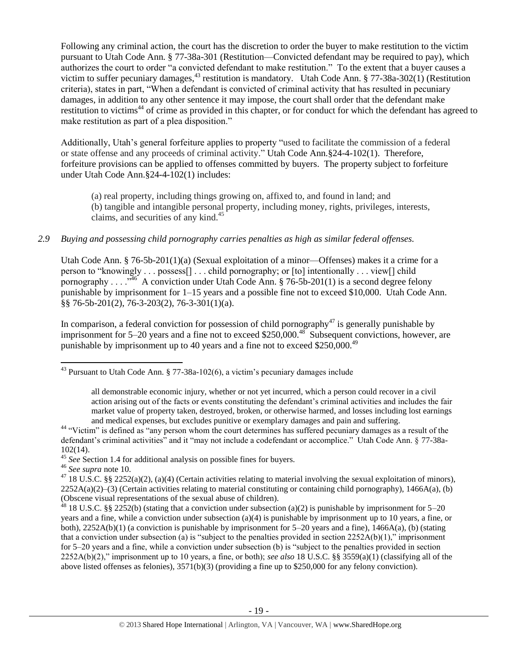<span id="page-18-0"></span>Following any criminal action, the court has the discretion to order the buyer to make restitution to the victim pursuant to Utah Code Ann. § 77-38a-301 (Restitution—Convicted defendant may be required to pay), which authorizes the court to order "a convicted defendant to make restitution." To the extent that a buyer causes a victim to suffer pecuniary damages,<sup>43</sup> restitution is mandatory. Utah Code Ann. § 77-38a-302(1) (Restitution criteria), states in part, "When a defendant is convicted of criminal activity that has resulted in pecuniary damages, in addition to any other sentence it may impose, the court shall order that the defendant make restitution to victims<sup>44</sup> of crime as provided in this chapter, or for conduct for which the defendant has agreed to make restitution as part of a plea disposition."

Additionally, Utah's general forfeiture applies to property "used to facilitate the commission of a federal or state offense and any proceeds of criminal activity." Utah Code Ann.§24-4-102(1). Therefore, forfeiture provisions can be applied to offenses committed by buyers. The property subject to forfeiture under Utah Code Ann.§24-4-102(1) includes:

(a) real property, including things growing on, affixed to, and found in land; and (b) tangible and intangible personal property, including money, rights, privileges, interests, claims, and securities of any kind.<sup>45</sup>

## *2.9 Buying and possessing child pornography carries penalties as high as similar federal offenses.*

Utah Code Ann. § 76-5b-201(1)(a) (Sexual exploitation of a minor—Offenses) makes it a crime for a person to "knowingly . . . possess[] . . . child pornography; or [to] intentionally . . . view[] child pornography . . . .  $\frac{346}{100}$  A conviction under Utah Code Ann. § 76-5b-201(1) is a second degree felony punishable by imprisonment for 1–15 years and a possible fine not to exceed \$10,000. Utah Code Ann. §§ 76-5b-201(2), 76-3-203(2), 76-3-301(1)(a).

In comparison, a federal conviction for possession of child pornography $47$  is generally punishable by imprisonment for 5–20 years and a fine not to exceed \$250,000.<sup>48</sup> Subsequent convictions, however, are punishable by imprisonment up to 40 years and a fine not to exceed  $$250,000.<sup>49</sup>$ 

<sup>46</sup> *See supra* note [10.](#page-3-2) 

<sup>43</sup> Pursuant to Utah Code Ann. § 77-38a-102(6), a victim's pecuniary damages include

all demonstrable economic injury, whether or not yet incurred, which a person could recover in a civil action arising out of the facts or events constituting the defendant's criminal activities and includes the fair market value of property taken, destroyed, broken, or otherwise harmed, and losses including lost earnings and medical expenses, but excludes punitive or exemplary damages and pain and suffering.

<sup>&</sup>lt;sup>44</sup> "Victim" is defined as "any person whom the court determines has suffered pecuniary damages as a result of the defendant's criminal activities" and it "may not include a codefendant or accomplice." Utah Code Ann. § 77-38a-102(14).

<sup>&</sup>lt;sup>45</sup> See Section 1.4 for additional analysis on possible fines for buyers.

<sup>&</sup>lt;sup>47</sup> 18 U.S.C. §§ 2252(a)(2), (a)(4) (Certain activities relating to material involving the sexual exploitation of minors),  $2252A(a)(2)$ –(3) (Certain activities relating to material constituting or containing child pornography), 1466A(a), (b) (Obscene visual representations of the sexual abuse of children).

 $48$  18 U.S.C. §§ 2252(b) (stating that a conviction under subsection (a)(2) is punishable by imprisonment for 5–20 years and a fine, while a conviction under subsection (a)(4) is punishable by imprisonment up to 10 years, a fine, or both),  $2252A(b)(1)$  (a conviction is punishable by imprisonment for 5–20 years and a fine),  $1466A(a)$ , (b) (stating that a conviction under subsection (a) is "subject to the penalties provided in section  $2252A(b)(1)$ ," imprisonment for 5–20 years and a fine, while a conviction under subsection (b) is "subject to the penalties provided in section 2252A(b)(2)," imprisonment up to 10 years, a fine, or both); *see also* 18 U.S.C. §§ 3559(a)(1) (classifying all of the above listed offenses as felonies), 3571(b)(3) (providing a fine up to \$250,000 for any felony conviction).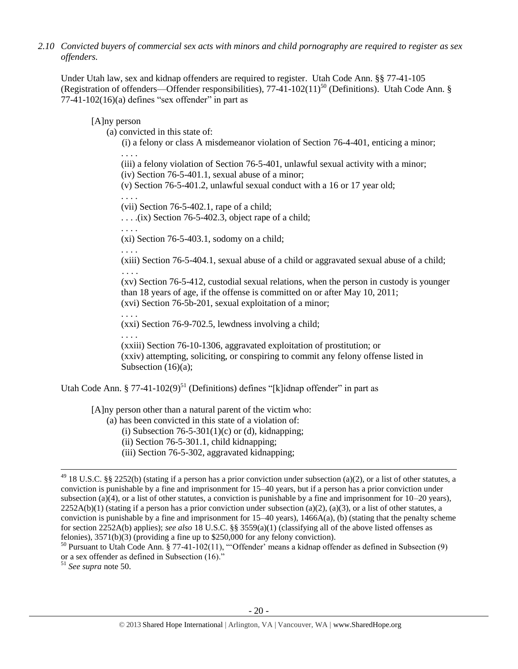*2.10 Convicted buyers of commercial sex acts with minors and child pornography are required to register as sex offenders.* 

Under Utah law, sex and kidnap offenders are required to register. Utah Code Ann. §§ 77-41-105 (Registration of offenders—Offender responsibilities),  $77-41-102(11)^{50}$  (Definitions). Utah Code Ann. §  $77-41-102(16)$ (a) defines "sex offender" in part as

[A]ny person

(a) convicted in this state of:

<span id="page-19-0"></span>(i) a felony or class A misdemeanor violation of Section 76-4-401, enticing a minor; . . . .

(iii) a felony violation of Section 76-5-401, unlawful sexual activity with a minor;

(iv) Section 76-5-401.1, sexual abuse of a minor;

(v) Section 76-5-401.2, unlawful sexual conduct with a 16 or 17 year old;

(vii) Section 76-5-402.1, rape of a child;

 $\ldots$  . . . .(ix) Section 76-5-402.3, object rape of a child;

. . . .

. . . .

(xi) Section 76-5-403.1, sodomy on a child;

. . . .

. . . .

(xiii) Section 76-5-404.1, sexual abuse of a child or aggravated sexual abuse of a child; . . . .

(xv) Section 76-5-412, custodial sexual relations, when the person in custody is younger than 18 years of age, if the offense is committed on or after May 10, 2011; (xvi) Section 76-5b-201, sexual exploitation of a minor;

(xxi) Section 76-9-702.5, lewdness involving a child;

. . . .

(xxiii) Section 76-10-1306, aggravated exploitation of prostitution; or (xxiv) attempting, soliciting, or conspiring to commit any felony offense listed in Subsection (16)(a);

Utah Code Ann. § 77-41-102(9)<sup>51</sup> (Definitions) defines "[k]idnap offender" in part as

[A]ny person other than a natural parent of the victim who:

(a) has been convicted in this state of a violation of:

(i) Subsection  $76-5-301(1)(c)$  or (d), kidnapping;

- (ii) Section 76-5-301.1, child kidnapping;
- (iii) Section 76-5-302, aggravated kidnapping;

<sup>51</sup> *See supra* note [50.](#page-19-0)

 $^{49}$  18 U.S.C. §§ 2252(b) (stating if a person has a prior conviction under subsection (a)(2), or a list of other statutes, a conviction is punishable by a fine and imprisonment for 15–40 years, but if a person has a prior conviction under subsection (a)(4), or a list of other statutes, a conviction is punishable by a fine and imprisonment for  $10-20$  years),  $2252A(b)(1)$  (stating if a person has a prior conviction under subsection (a)(2), (a)(3), or a list of other statutes, a conviction is punishable by a fine and imprisonment for  $15-40$  years),  $1466A(a)$ , (b) (stating that the penalty scheme for section 2252A(b) applies); *see also* 18 U.S.C. §§ 3559(a)(1) (classifying all of the above listed offenses as felonies), 3571(b)(3) (providing a fine up to \$250,000 for any felony conviction).

 $50$  Pursuant to Utah Code Ann. § 77-41-102(11), "Offender' means a kidnap offender as defined in Subsection (9) or a sex offender as defined in Subsection (16)."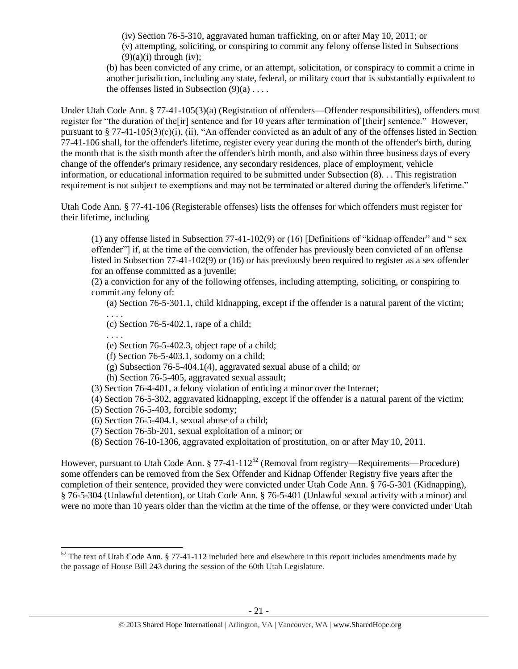(iv) Section 76-5-310, aggravated human trafficking, on or after May 10, 2011; or (v) attempting, soliciting, or conspiring to commit any felony offense listed in Subsections  $(9)(a)(i)$  through  $(iv)$ :

(b) has been convicted of any crime, or an attempt, solicitation, or conspiracy to commit a crime in another jurisdiction, including any state, federal, or military court that is substantially equivalent to the offenses listed in Subsection  $(9)(a)$ ...

Under Utah Code Ann. § 77-41-105(3)(a) (Registration of offenders—Offender responsibilities), offenders must register for "the duration of the[ir] sentence and for 10 years after termination of [their] sentence." However, pursuant to § 77-41-105(3)(c)(i), (ii), "An offender convicted as an adult of any of the offenses listed in Section 77-41-106 shall, for the offender's lifetime, register every year during the month of the offender's birth, during the month that is the sixth month after the offender's birth month, and also within three business days of every change of the offender's primary residence, any secondary residences, place of employment, vehicle information, or educational information required to be submitted under Subsection (8). . . This registration requirement is not subject to exemptions and may not be terminated or altered during the offender's lifetime."

Utah Code Ann. § 77-41-106 (Registerable offenses) lists the offenses for which offenders must register for their lifetime, including

(1) any offense listed in Subsection 77-41-102(9) or (16) [Definitions of "kidnap offender" and " sex offender"] if, at the time of the conviction, the offender has previously been convicted of an offense listed in Subsection 77-41-102(9) or (16) or has previously been required to register as a sex offender for an offense committed as a juvenile;

(2) a conviction for any of the following offenses, including attempting, soliciting, or conspiring to commit any felony of:

(a) Section 76-5-301.1, child kidnapping, except if the offender is a natural parent of the victim; . . . .

(c) Section 76-5-402.1, rape of a child;

. . . .

l

(e) Section 76-5-402.3, object rape of a child;

(f) Section 76-5-403.1, sodomy on a child;

(g) Subsection 76-5-404.1(4), aggravated sexual abuse of a child; or

(h) Section 76-5-405, aggravated sexual assault;

(3) Section 76-4-401, a felony violation of enticing a minor over the Internet;

(4) Section 76-5-302, aggravated kidnapping, except if the offender is a natural parent of the victim;

(5) Section 76-5-403, forcible sodomy;

(6) Section 76-5-404.1, sexual abuse of a child;

(7) Section 76-5b-201, sexual exploitation of a minor; or

<span id="page-20-0"></span>(8) Section 76-10-1306, aggravated exploitation of prostitution, on or after May 10, 2011.

However, pursuant to Utah Code Ann.  $\S 77-41-112^{52}$  (Removal from registry—Requirements—Procedure) some offenders can be removed from the Sex Offender and Kidnap Offender Registry five years after the completion of their sentence, provided they were convicted under Utah Code Ann. § 76-5-301 (Kidnapping), § 76-5-304 (Unlawful detention), or Utah Code Ann. § 76-5-401 (Unlawful sexual activity with a minor) and were no more than 10 years older than the victim at the time of the offense, or they were convicted under Utah

 $52$  The text of Utah Code Ann. § 77-41-112 included here and elsewhere in this report includes amendments made by the passage of House Bill 243 during the session of the 60th Utah Legislature.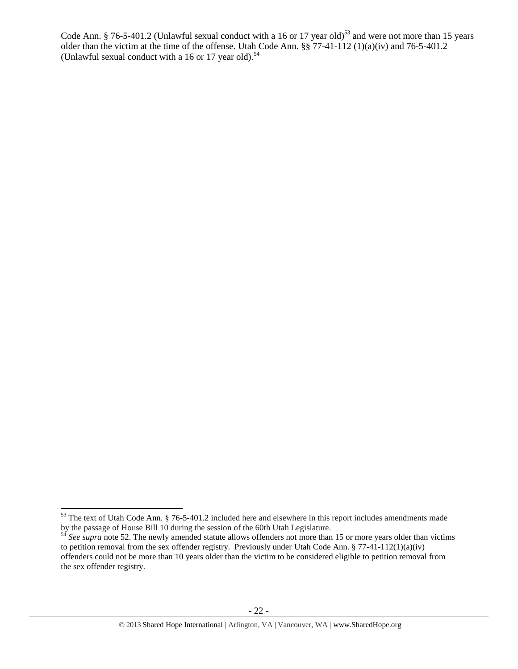Code Ann. § 76-5-401.2 (Unlawful sexual conduct with a 16 or 17 year old)<sup>53</sup> and were not more than 15 years older than the victim at the time of the offense. Utah Code Ann. §§ 77-41-112 (1)(a)(iv) and 76-5-401.2 (Unlawful sexual conduct with a 16 or 17 year old). $54$ 

 $53$  The text of Utah Code Ann. § 76-5-401.2 included here and elsewhere in this report includes amendments made by the passage of House Bill 10 during the session of the 60th Utah Legislature.

<sup>&</sup>lt;sup>54</sup> See supra note [52.](#page-20-0) The newly amended statute allows offenders not more than 15 or more years older than victims to petition removal from the sex offender registry. Previously under Utah Code Ann. § 77-41-112(1)(a)(iv) offenders could not be more than 10 years older than the victim to be considered eligible to petition removal from the sex offender registry.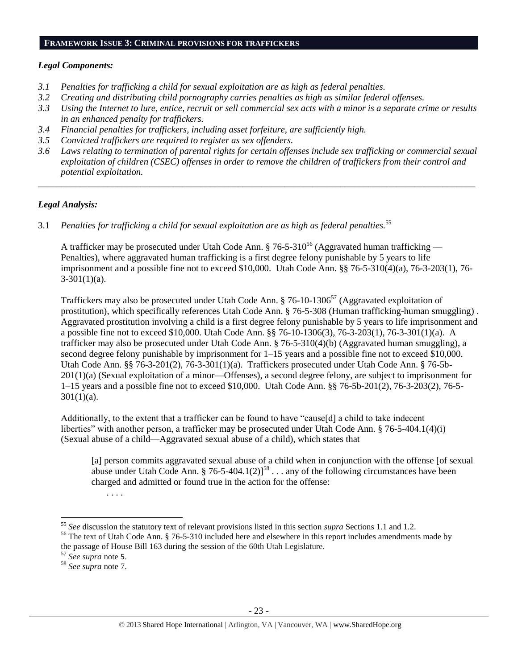#### **FRAMEWORK ISSUE 3: CRIMINAL PROVISIONS FOR TRAFFICKERS**

## *Legal Components:*

- *3.1 Penalties for trafficking a child for sexual exploitation are as high as federal penalties.*
- *3.2 Creating and distributing child pornography carries penalties as high as similar federal offenses.*
- *3.3 Using the Internet to lure, entice, recruit or sell commercial sex acts with a minor is a separate crime or results in an enhanced penalty for traffickers.*
- *3.4 Financial penalties for traffickers, including asset forfeiture, are sufficiently high.*
- *3.5 Convicted traffickers are required to register as sex offenders.*
- *3.6 Laws relating to termination of parental rights for certain offenses include sex trafficking or commercial sexual exploitation of children (CSEC) offenses in order to remove the children of traffickers from their control and potential exploitation.*

*\_\_\_\_\_\_\_\_\_\_\_\_\_\_\_\_\_\_\_\_\_\_\_\_\_\_\_\_\_\_\_\_\_\_\_\_\_\_\_\_\_\_\_\_\_\_\_\_\_\_\_\_\_\_\_\_\_\_\_\_\_\_\_\_\_\_\_\_\_\_\_\_\_\_\_\_\_\_\_\_\_\_\_\_\_\_\_\_\_\_\_\_\_\_*

# *Legal Analysis:*

3.1 *Penalties for trafficking a child for sexual exploitation are as high as federal penalties.* 55

A trafficker may be prosecuted under Utah Code Ann.  $\S 76-5-310^{56}$  (Aggravated human trafficking — Penalties), where aggravated human trafficking is a first degree felony punishable by 5 years to life imprisonment and a possible fine not to exceed \$10,000. Utah Code Ann. §§ 76-5-310(4)(a), 76-3-203(1), 76-  $3-301(1)(a)$ .

Traffickers may also be prosecuted under Utah Code Ann.  $\S 76$ -10-1306<sup>57</sup> (Aggravated exploitation of prostitution), which specifically references Utah Code Ann. § 76-5-308 (Human trafficking-human smuggling) . Aggravated prostitution involving a child is a first degree felony punishable by 5 years to life imprisonment and a possible fine not to exceed \$10,000. Utah Code Ann. §§ 76-10-1306(3), 76-3-203(1), 76-3-301(1)(a). A trafficker may also be prosecuted under Utah Code Ann. § 76-5-310(4)(b) (Aggravated human smuggling), a second degree felony punishable by imprisonment for 1–15 years and a possible fine not to exceed \$10,000. Utah Code Ann. §§ 76-3-201(2), 76-3-301(1)(a). Traffickers prosecuted under Utah Code Ann. § 76-5b-201(1)(a) (Sexual exploitation of a minor—Offenses), a second degree felony, are subject to imprisonment for 1–15 years and a possible fine not to exceed \$10,000. Utah Code Ann. §§ 76-5b-201(2), 76-3-203(2), 76-5- 301(1)(a).

Additionally, to the extent that a trafficker can be found to have "cause[d] a child to take indecent liberties" with another person, a trafficker may be prosecuted under Utah Code Ann. § 76-5-404.1(4)(i) (Sexual abuse of a child—Aggravated sexual abuse of a child), which states that

[a] person commits aggravated sexual abuse of a child when in conjunction with the offense [of sexual abuse under Utah Code Ann.  $\S 76-5-404.1(2)$ <sup>58</sup> . . . any of the following circumstances have been charged and admitted or found true in the action for the offense: . . . .

<sup>55</sup> *See* discussion the statutory text of relevant provisions listed in this section *supra* Sections 1.1 and 1.2.

<sup>&</sup>lt;sup>56</sup> The text of Utah Code Ann. § 76-5-310 included here and elsewhere in this report includes amendments made by the passage of House Bill 163 during the session of the 60th Utah Legislature.

<sup>57</sup> *See supra* note [5](#page-2-1).

<sup>58</sup> *See supra* note [7.](#page-3-0)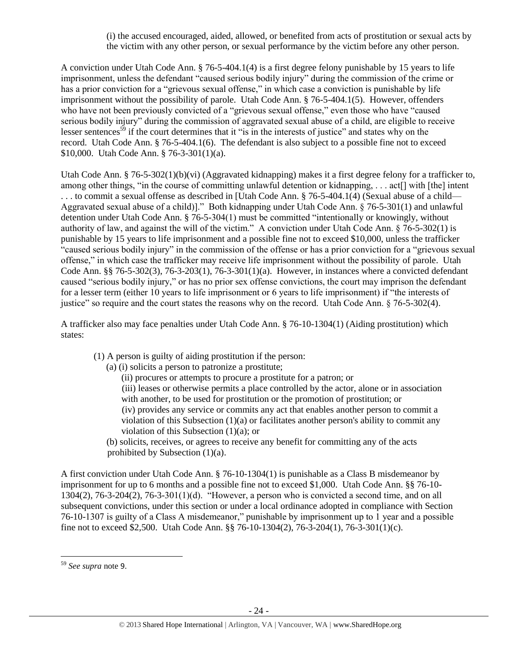(i) the accused encouraged, aided, allowed, or benefited from acts of prostitution or sexual acts by the victim with any other person, or sexual performance by the victim before any other person.

A conviction under Utah Code Ann. § 76-5-404.1(4) is a first degree felony punishable by 15 years to life imprisonment, unless the defendant "caused serious bodily injury" during the commission of the crime or has a prior conviction for a "grievous sexual offense," in which case a conviction is punishable by life imprisonment without the possibility of parole. Utah Code Ann. § 76-5-404.1(5). However, offenders who have not been previously convicted of a "grievous sexual offense," even those who have "caused serious bodily injury" during the commission of aggravated sexual abuse of a child, are eligible to receive lesser sentences<sup>59</sup> if the court determines that it "is in the interests of justice" and states why on the record. Utah Code Ann. § 76-5-404.1(6). The defendant is also subject to a possible fine not to exceed \$10,000. Utah Code Ann. § 76-3-301(1)(a).

Utah Code Ann. § 76-5-302(1)(b)(vi) (Aggravated kidnapping) makes it a first degree felony for a trafficker to, among other things, "in the course of committing unlawful detention or kidnapping, . . . act[] with [the] intent . . . to commit a sexual offense as described in [Utah Code Ann. § 76-5-404.1(4) (Sexual abuse of a child— Aggravated sexual abuse of a child)]." Both kidnapping under Utah Code Ann. § 76-5-301(1) and unlawful detention under Utah Code Ann. § 76-5-304(1) must be committed "intentionally or knowingly, without authority of law, and against the will of the victim." A conviction under Utah Code Ann. § 76-5-302(1) is punishable by 15 years to life imprisonment and a possible fine not to exceed \$10,000, unless the trafficker "caused serious bodily injury" in the commission of the offense or has a prior conviction for a "grievous sexual offense," in which case the trafficker may receive life imprisonment without the possibility of parole. Utah Code Ann. §§ 76-5-302(3), 76-3-203(1), 76-3-301(1)(a). However, in instances where a convicted defendant caused "serious bodily injury," or has no prior sex offense convictions, the court may imprison the defendant for a lesser term (either 10 years to life imprisonment or 6 years to life imprisonment) if "the interests of justice" so require and the court states the reasons why on the record. Utah Code Ann. § 76-5-302(4).

A trafficker also may face penalties under Utah Code Ann. § 76-10-1304(1) (Aiding prostitution) which states:

(1) A person is guilty of aiding prostitution if the person:

(a) (i) solicits a person to patronize a prostitute;

(ii) procures or attempts to procure a prostitute for a patron; or

(iii) leases or otherwise permits a place controlled by the actor, alone or in association with another, to be used for prostitution or the promotion of prostitution; or (iv) provides any service or commits any act that enables another person to commit a violation of this Subsection (1)(a) or facilitates another person's ability to commit any violation of this Subsection  $(1)(a)$ ; or

(b) solicits, receives, or agrees to receive any benefit for committing any of the acts prohibited by Subsection (1)(a).

A first conviction under Utah Code Ann. § 76-10-1304(1) is punishable as a Class B misdemeanor by imprisonment for up to 6 months and a possible fine not to exceed \$1,000. Utah Code Ann. §§ 76-10- 1304(2), 76-3-204(2), 76-3-301(1)(d). "However, a person who is convicted a second time, and on all subsequent convictions, under this section or under a local ordinance adopted in compliance with Section 76-10-1307 is guilty of a Class A misdemeanor," punishable by imprisonment up to 1 year and a possible fine not to exceed \$2,500. Utah Code Ann. §§ 76-10-1304(2), 76-3-204(1), 76-3-301(1)(c).

 $\overline{a}$ 

<sup>59</sup> *See supra* note [9](#page-3-1).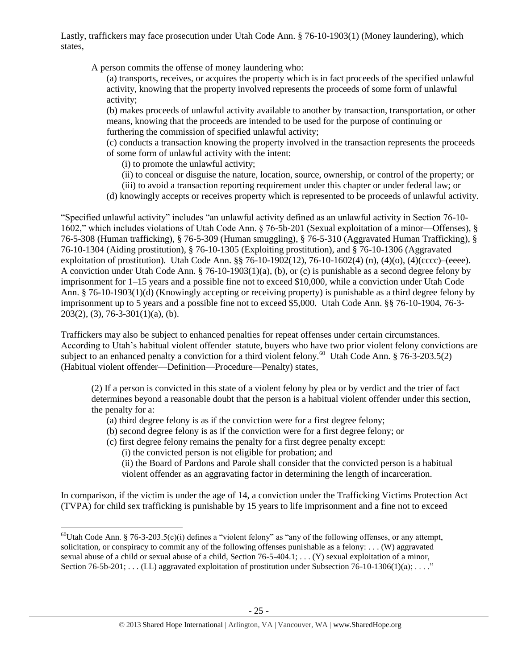Lastly, traffickers may face prosecution under Utah Code Ann. § 76-10-1903(1) (Money laundering), which states,

A person commits the offense of money laundering who:

(a) transports, receives, or acquires the property which is in fact proceeds of the specified unlawful activity, knowing that the property involved represents the proceeds of some form of unlawful activity;

(b) makes proceeds of unlawful activity available to another by transaction, transportation, or other means, knowing that the proceeds are intended to be used for the purpose of continuing or furthering the commission of specified unlawful activity;

(c) conducts a transaction knowing the property involved in the transaction represents the proceeds of some form of unlawful activity with the intent:

- (i) to promote the unlawful activity;
- (ii) to conceal or disguise the nature, location, source, ownership, or control of the property; or
- (iii) to avoid a transaction reporting requirement under this chapter or under federal law; or
- (d) knowingly accepts or receives property which is represented to be proceeds of unlawful activity.

"Specified unlawful activity" includes "an unlawful activity defined as an unlawful activity in Section 76-10- 1602," which includes violations of Utah Code Ann. § 76-5b-201 (Sexual exploitation of a minor—Offenses), § 76-5-308 (Human trafficking), § 76-5-309 (Human smuggling), § 76-5-310 (Aggravated Human Trafficking), § 76-10-1304 (Aiding prostitution), § 76-10-1305 (Exploiting prostitution), and § 76-10-1306 (Aggravated exploitation of prostitution). Utah Code Ann. §§ 76-10-1902(12), 76-10-1602(4) (n), (4)(o), (4)(cccc)–(eeee). A conviction under Utah Code Ann. § 76-10-1903(1)(a), (b), or (c) is punishable as a second degree felony by imprisonment for 1–15 years and a possible fine not to exceed \$10,000, while a conviction under Utah Code Ann. § 76-10-1903(1)(d) (Knowingly accepting or receiving property) is punishable as a third degree felony by imprisonment up to 5 years and a possible fine not to exceed \$5,000. Utah Code Ann. §§ 76-10-1904, 76-3-  $203(2)$ , (3), 76-3-301(1)(a), (b).

Traffickers may also be subject to enhanced penalties for repeat offenses under certain circumstances. According to Utah's habitual violent offender statute, buyers who have two prior violent felony convictions are subject to an enhanced penalty a conviction for a third violent felony.<sup>60</sup> Utah Code Ann. § 76-3-203.5(2) (Habitual violent offender—Definition—Procedure—Penalty) states,

(2) If a person is convicted in this state of a violent felony by plea or by verdict and the trier of fact determines beyond a reasonable doubt that the person is a habitual violent offender under this section, the penalty for a:

- (a) third degree felony is as if the conviction were for a first degree felony;
- (b) second degree felony is as if the conviction were for a first degree felony; or
- (c) first degree felony remains the penalty for a first degree penalty except:

(i) the convicted person is not eligible for probation; and

(ii) the Board of Pardons and Parole shall consider that the convicted person is a habitual violent offender as an aggravating factor in determining the length of incarceration.

In comparison, if the victim is under the age of 14, a conviction under the Trafficking Victims Protection Act (TVPA) for child sex trafficking is punishable by 15 years to life imprisonment and a fine not to exceed

 $\overline{\phantom{a}}$  $^{60}$ Utah Code Ann. § 76-3-203.5(c)(i) defines a "violent felony" as "any of the following offenses, or any attempt, solicitation, or conspiracy to commit any of the following offenses punishable as a felony: . . . (W) aggravated sexual abuse of a child or sexual abuse of a child, Section 76-5-404.1; . . . (Y) sexual exploitation of a minor, Section  $76-5b-201$ ; ... (LL) aggravated exploitation of prostitution under Subsection  $76-10-1306(1)(a)$ ; ..."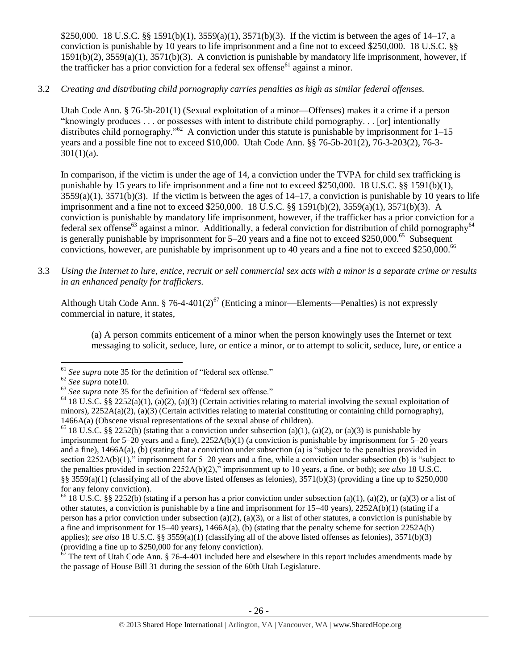\$250,000. 18 U.S.C. §§ 1591(b)(1), 3559(a)(1), 3571(b)(3). If the victim is between the ages of 14–17, a conviction is punishable by 10 years to life imprisonment and a fine not to exceed \$250,000. 18 U.S.C. §§ 1591(b)(2), 3559(a)(1), 3571(b)(3). A conviction is punishable by mandatory life imprisonment, however, if the trafficker has a prior conviction for a federal sex offense<sup>61</sup> against a minor.

3.2 *Creating and distributing child pornography carries penalties as high as similar federal offenses.*

Utah Code Ann. § 76-5b-201(1) (Sexual exploitation of a minor—Offenses) makes it a crime if a person "knowingly produces . . . or possesses with intent to distribute child pornography. . . [or] intentionally distributes child pornography."<sup>62</sup> A conviction under this statute is punishable by imprisonment for  $1-15$ years and a possible fine not to exceed \$10,000. Utah Code Ann. §§ 76-5b-201(2), 76-3-203(2), 76-3-  $301(1)(a)$ .

In comparison, if the victim is under the age of 14, a conviction under the TVPA for child sex trafficking is punishable by 15 years to life imprisonment and a fine not to exceed \$250,000. 18 U.S.C. §§ 1591(b)(1),  $3559(a)(1)$ ,  $3571(b)(3)$ . If the victim is between the ages of  $14-17$ , a conviction is punishable by 10 years to life imprisonment and a fine not to exceed \$250,000. 18 U.S.C. §§ 1591(b)(2), 3559(a)(1), 3571(b)(3). A conviction is punishable by mandatory life imprisonment, however, if the trafficker has a prior conviction for a federal sex offense<sup>63</sup> against a minor. Additionally, a federal conviction for distribution of child pornography<sup>64</sup> is generally punishable by imprisonment for  $5-20$  years and a fine not to exceed \$250,000.<sup>65</sup> Subsequent convictions, however, are punishable by imprisonment up to 40 years and a fine not to exceed \$250,000.<sup>66</sup>

3.3 *Using the Internet to lure, entice, recruit or sell commercial sex acts with a minor is a separate crime or results in an enhanced penalty for traffickers.*

Although Utah Code Ann. § 76-4-401(2)<sup>67</sup> (Enticing a minor—Elements—Penalties) is not expressly commercial in nature, it states,

(a) A person commits enticement of a minor when the person knowingly uses the Internet or text messaging to solicit, seduce, lure, or entice a minor, or to attempt to solicit, seduce, lure, or entice a

 $67$  The text of Utah Code Ann. § 76-4-401 included here and elsewhere in this report includes amendments made by the passage of House Bill 31 during the session of the 60th Utah Legislature.

 $\overline{\phantom{a}}$ <sup>61</sup> See supra note [35](#page-15-0) for the definition of "federal sex offense."

<sup>62</sup> *See supra* not[e10.](#page-3-2)

<sup>&</sup>lt;sup>63</sup> See supra note [35](#page-15-0) for the definition of "federal sex offense."

<sup>&</sup>lt;sup>64</sup> 18 U.S.C. §§ 2252(a)(1), (a)(2), (a)(3) (Certain activities relating to material involving the sexual exploitation of minors),  $2252A(a)(2)$ , (a)(3) (Certain activities relating to material constituting or containing child pornography), 1466A(a) (Obscene visual representations of the sexual abuse of children).

<sup>&</sup>lt;sup>65</sup> 18 U.S.C. §§ 2252(b) (stating that a conviction under subsection (a)(1), (a)(2), or (a)(3) is punishable by imprisonment for  $5-20$  years and a fine),  $2252A(b)(1)$  (a conviction is punishable by imprisonment for  $5-20$  years and a fine), 1466A(a), (b) (stating that a conviction under subsection (a) is "subject to the penalties provided in section 2252A(b)(1)," imprisonment for 5–20 years and a fine, while a conviction under subsection (b) is "subject to the penalties provided in section 2252A(b)(2)," imprisonment up to 10 years, a fine, or both); *see also* 18 U.S.C. §§  $3559(a)(1)$  (classifying all of the above listed offenses as felonies),  $3571(b)(3)$  (providing a fine up to \$250,000 for any felony conviction).

<sup>&</sup>lt;sup>66</sup> 18 U.S.C. §§ 2252(b) (stating if a person has a prior conviction under subsection (a)(1), (a)(2), or (a)(3) or a list of other statutes, a conviction is punishable by a fine and imprisonment for 15–40 years), 2252A(b)(1) (stating if a person has a prior conviction under subsection (a)(2), (a)(3), or a list of other statutes, a conviction is punishable by a fine and imprisonment for  $15-40$  years),  $1466A(a)$ , (b) (stating that the penalty scheme for section  $2252A(b)$ applies); *see also* 18 U.S.C. §§ 3559(a)(1) (classifying all of the above listed offenses as felonies), 3571(b)(3) (providing a fine up to \$250,000 for any felony conviction).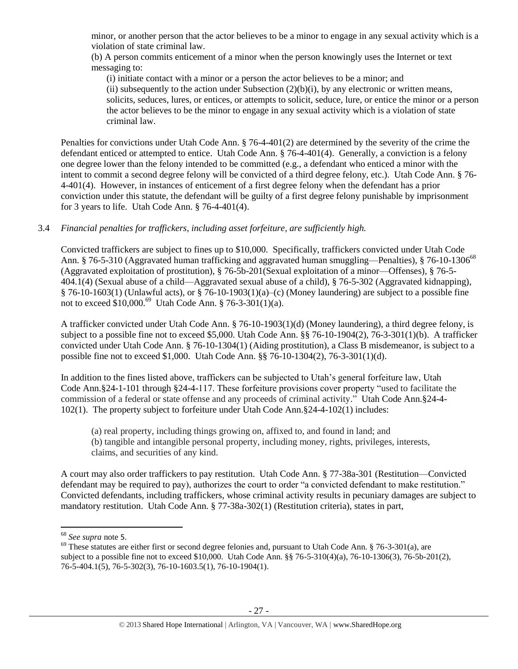minor, or another person that the actor believes to be a minor to engage in any sexual activity which is a violation of state criminal law.

(b) A person commits enticement of a minor when the person knowingly uses the Internet or text messaging to:

(i) initiate contact with a minor or a person the actor believes to be a minor; and (ii) subsequently to the action under Subsection  $(2)(b)(i)$ , by any electronic or written means, solicits, seduces, lures, or entices, or attempts to solicit, seduce, lure, or entice the minor or a person the actor believes to be the minor to engage in any sexual activity which is a violation of state criminal law.

Penalties for convictions under Utah Code Ann. § 76-4-401(2) are determined by the severity of the crime the defendant enticed or attempted to entice. Utah Code Ann. § 76-4-401(4). Generally, a conviction is a felony one degree lower than the felony intended to be committed (e.g., a defendant who enticed a minor with the intent to commit a second degree felony will be convicted of a third degree felony, etc.). Utah Code Ann. § 76- 4-401(4). However, in instances of enticement of a first degree felony when the defendant has a prior conviction under this statute, the defendant will be guilty of a first degree felony punishable by imprisonment for 3 years to life. Utah Code Ann. § 76-4-401(4).

# 3.4 *Financial penalties for traffickers, including asset forfeiture, are sufficiently high.*

Convicted traffickers are subject to fines up to \$10,000. Specifically, traffickers convicted under Utah Code Ann. § 76-5-310 (Aggravated human trafficking and aggravated human smuggling—Penalties), § 76-10-1306<sup>68</sup> (Aggravated exploitation of prostitution), § 76-5b-201(Sexual exploitation of a minor—Offenses), § 76-5- 404.1(4) (Sexual abuse of a child—Aggravated sexual abuse of a child), § 76-5-302 (Aggravated kidnapping), § 76-10-1603(1) (Unlawful acts), or § 76-10-1903(1)(a)–(c) (Money laundering) are subject to a possible fine not to exceed  $$10,000$ .<sup>69</sup> Utah Code Ann. § 76-3-301(1)(a).

A trafficker convicted under Utah Code Ann. § 76-10-1903(1)(d) (Money laundering), a third degree felony, is subject to a possible fine not to exceed \$5,000. Utah Code Ann. §§ 76-10-1904(2), 76-3-301(1)(b). A trafficker convicted under Utah Code Ann. § 76-10-1304(1) (Aiding prostitution), a Class B misdemeanor, is subject to a possible fine not to exceed \$1,000. Utah Code Ann. §§ 76-10-1304(2), 76-3-301(1)(d).

In addition to the fines listed above, traffickers can be subjected to Utah's general forfeiture law, Utah Code Ann.§24-1-101 through §24-4-117. These forfeiture provisions cover property "used to facilitate the commission of a federal or state offense and any proceeds of criminal activity." Utah Code Ann.§24-4- 102(1). The property subject to forfeiture under Utah Code Ann.§24-4-102(1) includes:

(a) real property, including things growing on, affixed to, and found in land; and (b) tangible and intangible personal property, including money, rights, privileges, interests, claims, and securities of any kind.

A court may also order traffickers to pay restitution. Utah Code Ann. § 77-38a-301 (Restitution—Convicted defendant may be required to pay), authorizes the court to order "a convicted defendant to make restitution." Convicted defendants, including traffickers, whose criminal activity results in pecuniary damages are subject to mandatory restitution. Utah Code Ann. § 77-38a-302(1) (Restitution criteria), states in part,

 $\overline{a}$ 

<sup>68</sup> *See supra* note [5](#page-2-1).

 $^{69}$  These statutes are either first or second degree felonies and, pursuant to Utah Code Ann. § 76-3-301(a), are subject to a possible fine not to exceed \$10,000. Utah Code Ann. §§ 76-5-310(4)(a), 76-10-1306(3), 76-5b-201(2), 76-5-404.1(5), 76-5-302(3), 76-10-1603.5(1), 76-10-1904(1).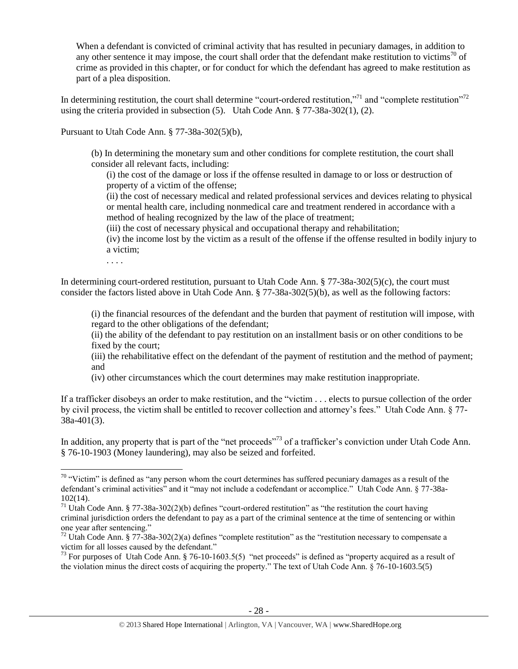When a defendant is convicted of criminal activity that has resulted in pecuniary damages, in addition to any other sentence it may impose, the court shall order that the defendant make restitution to victims<sup>70</sup> of crime as provided in this chapter, or for conduct for which the defendant has agreed to make restitution as part of a plea disposition.

In determining restitution, the court shall determine "court-ordered restitution,"<sup>71</sup> and "complete restitution"<sup>72</sup> using the criteria provided in subsection (5). Utah Code Ann. § 77-38a-302(1), (2).

Pursuant to Utah Code Ann. § 77-38a-302(5)(b),

(b) In determining the monetary sum and other conditions for complete restitution, the court shall consider all relevant facts, including:

(i) the cost of the damage or loss if the offense resulted in damage to or loss or destruction of property of a victim of the offense;

(ii) the cost of necessary medical and related professional services and devices relating to physical or mental health care, including nonmedical care and treatment rendered in accordance with a method of healing recognized by the law of the place of treatment;

(iii) the cost of necessary physical and occupational therapy and rehabilitation;

(iv) the income lost by the victim as a result of the offense if the offense resulted in bodily injury to a victim;

. . . .

 $\overline{\phantom{a}}$ 

In determining court-ordered restitution, pursuant to Utah Code Ann. § 77-38a-302(5)(c), the court must consider the factors listed above in Utah Code Ann. § 77-38a-302(5)(b), as well as the following factors:

(i) the financial resources of the defendant and the burden that payment of restitution will impose, with regard to the other obligations of the defendant;

(ii) the ability of the defendant to pay restitution on an installment basis or on other conditions to be fixed by the court;

(iii) the rehabilitative effect on the defendant of the payment of restitution and the method of payment; and

(iv) other circumstances which the court determines may make restitution inappropriate.

If a trafficker disobeys an order to make restitution, and the "victim . . . elects to pursue collection of the order by civil process, the victim shall be entitled to recover collection and attorney's fees." Utah Code Ann. § 77- 38a-401(3).

In addition, any property that is part of the "net proceeds"<sup>73</sup> of a trafficker's conviction under Utah Code Ann. § 76-10-1903 (Money laundering), may also be seized and forfeited.

 $70$  "Victim" is defined as "any person whom the court determines has suffered pecuniary damages as a result of the defendant's criminal activities" and it "may not include a codefendant or accomplice." Utah Code Ann. § 77-38a-102(14).

 $71$  Utah Code Ann. § 77-38a-302(2)(b) defines "court-ordered restitution" as "the restitution the court having criminal jurisdiction orders the defendant to pay as a part of the criminal sentence at the time of sentencing or within one year after sentencing."

 $^{72}$  Utah Code Ann. § 77-38a-302(2)(a) defines "complete restitution" as the "restitution necessary to compensate a victim for all losses caused by the defendant."

<sup>&</sup>lt;sup>73</sup> For purposes of Utah Code Ann. § 76-10-1603.5(5) "net proceeds" is defined as "property acquired as a result of the violation minus the direct costs of acquiring the property." The text of Utah Code Ann. § 76-10-1603.5(5)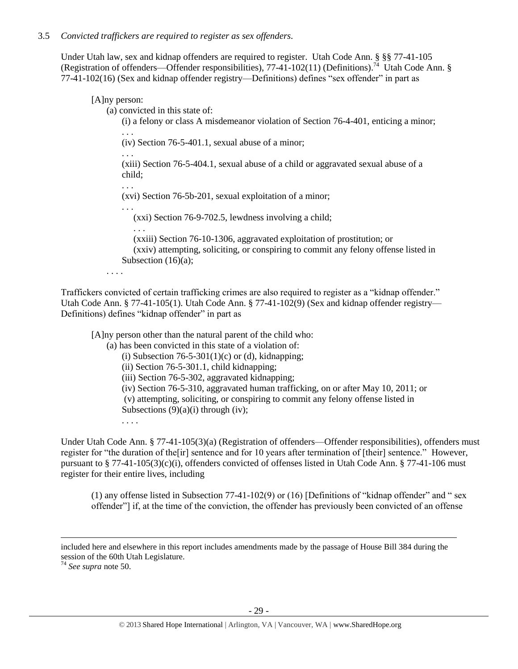Under Utah law, sex and kidnap offenders are required to register. Utah Code Ann. § §§ 77-41-105 (Registration of offenders—Offender responsibilities), 77-41-102(11) (Definitions).<sup>74</sup> Utah Code Ann. § 77-41-102(16) (Sex and kidnap offender registry—Definitions) defines "sex offender" in part as

# [A]ny person:

. . .

(a) convicted in this state of:

(i) a felony or class A misdemeanor violation of Section 76-4-401, enticing a minor; . . .

(iv) Section 76-5-401.1, sexual abuse of a minor;

. . . (xiii) Section 76-5-404.1, sexual abuse of a child or aggravated sexual abuse of a child;

(xvi) Section 76-5b-201, sexual exploitation of a minor;

. . . (xxi) Section 76-9-702.5, lewdness involving a child;

. . . (xxiii) Section 76-10-1306, aggravated exploitation of prostitution; or (xxiv) attempting, soliciting, or conspiring to commit any felony offense listed in Subsection  $(16)(a)$ ;

. . . .

Traffickers convicted of certain trafficking crimes are also required to register as a "kidnap offender." Utah Code Ann. § 77-41-105(1). Utah Code Ann. § 77-41-102(9) (Sex and kidnap offender registry— Definitions) defines "kidnap offender" in part as

[A]ny person other than the natural parent of the child who:

(a) has been convicted in this state of a violation of:

(i) Subsection  $76-5-301(1)(c)$  or (d), kidnapping;

(ii) Section 76-5-301.1, child kidnapping;

(iii) Section 76-5-302, aggravated kidnapping;

(iv) Section 76-5-310, aggravated human trafficking, on or after May 10, 2011; or

(v) attempting, soliciting, or conspiring to commit any felony offense listed in Subsections  $(9)(a)(i)$  through (iv);

. . . .

Under Utah Code Ann. § 77-41-105(3)(a) (Registration of offenders—Offender responsibilities), offenders must register for "the duration of the[ir] sentence and for 10 years after termination of [their] sentence." However, pursuant to § 77-41-105(3)(c)(i), offenders convicted of offenses listed in Utah Code Ann. § 77-41-106 must register for their entire lives, including

(1) any offense listed in Subsection 77-41-102(9) or (16) [Definitions of "kidnap offender" and " sex offender"] if, at the time of the conviction, the offender has previously been convicted of an offense

included here and elsewhere in this report includes amendments made by the passage of House Bill 384 during the session of the 60th Utah Legislature.

<sup>74</sup> *See supra* note [50.](#page-19-0)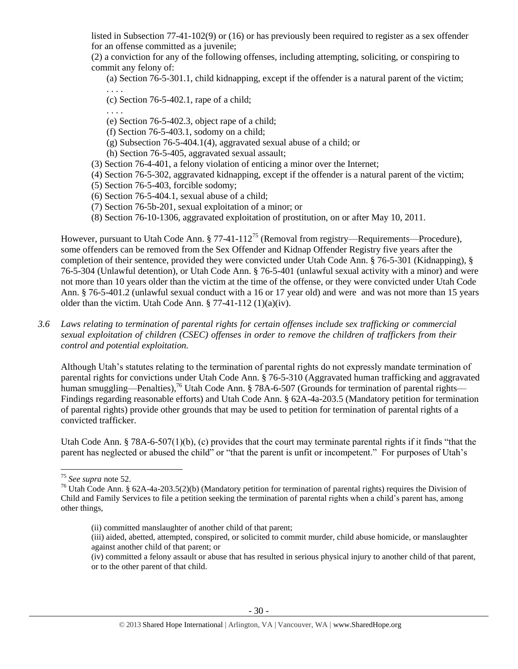listed in Subsection 77-41-102(9) or (16) or has previously been required to register as a sex offender for an offense committed as a juvenile;

(2) a conviction for any of the following offenses, including attempting, soliciting, or conspiring to commit any felony of:

(a) Section 76-5-301.1, child kidnapping, except if the offender is a natural parent of the victim; . . . .

(c) Section 76-5-402.1, rape of a child;

. . . .

- (e) Section 76-5-402.3, object rape of a child;
- (f) Section 76-5-403.1, sodomy on a child;
- (g) Subsection 76-5-404.1(4), aggravated sexual abuse of a child; or
- (h) Section 76-5-405, aggravated sexual assault;
- (3) Section 76-4-401, a felony violation of enticing a minor over the Internet;
- (4) Section 76-5-302, aggravated kidnapping, except if the offender is a natural parent of the victim;
- (5) Section 76-5-403, forcible sodomy;
- (6) Section 76-5-404.1, sexual abuse of a child;
- (7) Section 76-5b-201, sexual exploitation of a minor; or
- (8) Section 76-10-1306, aggravated exploitation of prostitution, on or after May 10, 2011.

However, pursuant to Utah Code Ann. § 77-41-112<sup>75</sup> (Removal from registry—Requirements—Procedure), some offenders can be removed from the Sex Offender and Kidnap Offender Registry five years after the completion of their sentence, provided they were convicted under Utah Code Ann. § 76-5-301 (Kidnapping), § 76-5-304 (Unlawful detention), or Utah Code Ann. § 76-5-401 (unlawful sexual activity with a minor) and were not more than 10 years older than the victim at the time of the offense, or they were convicted under Utah Code Ann. § 76-5-401.2 (unlawful sexual conduct with a 16 or 17 year old) and were and was not more than 15 years older than the victim. Utah Code Ann.  $\S 77-41-112(1)(a)(iv)$ .

*3.6 Laws relating to termination of parental rights for certain offenses include sex trafficking or commercial sexual exploitation of children (CSEC) offenses in order to remove the children of traffickers from their control and potential exploitation.* 

Although Utah's statutes relating to the termination of parental rights do not expressly mandate termination of parental rights for convictions under Utah Code Ann. § 76-5-310 (Aggravated human trafficking and aggravated human smuggling—Penalties),<sup>76</sup> Utah Code Ann. § 78A-6-507 (Grounds for termination of parental rights— Findings regarding reasonable efforts) and Utah Code Ann. § 62A-4a-203.5 (Mandatory petition for termination of parental rights) provide other grounds that may be used to petition for termination of parental rights of a convicted trafficker.

Utah Code Ann. § 78A-6-507(1)(b), (c) provides that the court may terminate parental rights if it finds "that the parent has neglected or abused the child" or "that the parent is unfit or incompetent." For purposes of Utah's

(iii) aided, abetted, attempted, conspired, or solicited to commit murder, child abuse homicide, or manslaughter against another child of that parent; or

 $\overline{\phantom{a}}$ <sup>75</sup> *See supra* note [52.](#page-20-0)

<sup>&</sup>lt;sup>76</sup> Utah Code Ann. § 62A-4a-203.5(2)(b) (Mandatory petition for termination of parental rights) requires the Division of Child and Family Services to file a petition seeking the termination of parental rights when a child's parent has, among other things,

<sup>(</sup>ii) committed manslaughter of another child of that parent;

<sup>(</sup>iv) committed a felony assault or abuse that has resulted in serious physical injury to another child of that parent, or to the other parent of that child.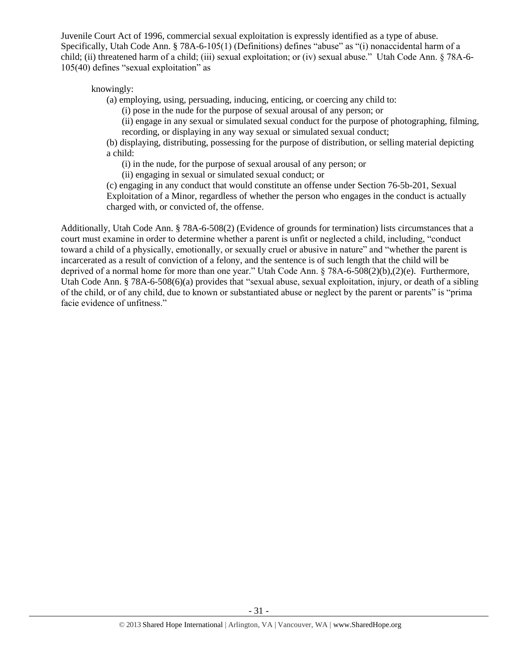Juvenile Court Act of 1996, commercial sexual exploitation is expressly identified as a type of abuse. Specifically, Utah Code Ann. § 78A-6-105(1) (Definitions) defines "abuse" as "(i) nonaccidental harm of a child; (ii) threatened harm of a child; (iii) sexual exploitation; or (iv) sexual abuse." Utah Code Ann. § 78A-6- 105(40) defines "sexual exploitation" as

knowingly:

(a) employing, using, persuading, inducing, enticing, or coercing any child to:

(i) pose in the nude for the purpose of sexual arousal of any person; or

(ii) engage in any sexual or simulated sexual conduct for the purpose of photographing, filming, recording, or displaying in any way sexual or simulated sexual conduct;

(b) displaying, distributing, possessing for the purpose of distribution, or selling material depicting a child:

(i) in the nude, for the purpose of sexual arousal of any person; or

(ii) engaging in sexual or simulated sexual conduct; or

(c) engaging in any conduct that would constitute an offense under Section 76-5b-201, Sexual Exploitation of a Minor, regardless of whether the person who engages in the conduct is actually charged with, or convicted of, the offense.

Additionally, Utah Code Ann. § 78A-6-508(2) (Evidence of grounds for termination) lists circumstances that a court must examine in order to determine whether a parent is unfit or neglected a child, including, "conduct toward a child of a physically, emotionally, or sexually cruel or abusive in nature" and "whether the parent is incarcerated as a result of conviction of a felony, and the sentence is of such length that the child will be deprived of a normal home for more than one year." Utah Code Ann. § 78A-6-508(2)(b),(2)(e). Furthermore, Utah Code Ann. § 78A-6-508(6)(a) provides that "sexual abuse, sexual exploitation, injury, or death of a sibling of the child, or of any child, due to known or substantiated abuse or neglect by the parent or parents" is "prima facie evidence of unfitness."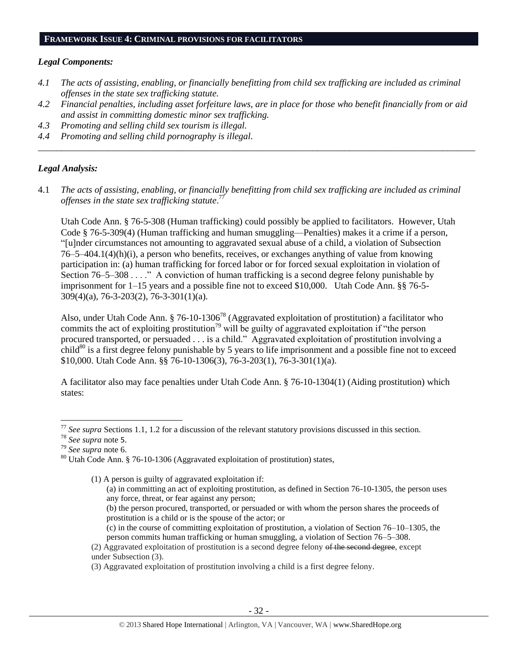#### **FRAMEWORK ISSUE 4: CRIMINAL PROVISIONS FOR FACILITATORS**

#### *Legal Components:*

- *4.1 The acts of assisting, enabling, or financially benefitting from child sex trafficking are included as criminal offenses in the state sex trafficking statute.*
- *4.2 Financial penalties, including asset forfeiture laws, are in place for those who benefit financially from or aid and assist in committing domestic minor sex trafficking.*
- *4.3 Promoting and selling child sex tourism is illegal.*
- *4.4 Promoting and selling child pornography is illegal. \_\_\_\_\_\_\_\_\_\_\_\_\_\_\_\_\_\_\_\_\_\_\_\_\_\_\_\_\_\_\_\_\_\_\_\_\_\_\_\_\_\_\_\_\_\_\_\_\_\_\_\_\_\_\_\_\_\_\_\_\_\_\_\_\_\_\_\_\_\_\_\_\_\_\_\_\_\_\_\_\_\_\_\_\_\_\_\_\_\_\_\_\_\_*

## *Legal Analysis:*

4.1 *The acts of assisting, enabling, or financially benefitting from child sex trafficking are included as criminal offenses in the state sex trafficking statute*. 77

Utah Code Ann. § 76-5-308 (Human trafficking) could possibly be applied to facilitators. However, Utah Code § 76-5-309(4) (Human trafficking and human smuggling—Penalties) makes it a crime if a person, "[u]nder circumstances not amounting to aggravated sexual abuse of a child, a violation of Subsection 76–5–404.1(4)(h)(i), a person who benefits, receives, or exchanges anything of value from knowing participation in: (a) human trafficking for forced labor or for forced sexual exploitation in violation of Section 76–5–308 . . . ." A conviction of human trafficking is a second degree felony punishable by imprisonment for 1–15 years and a possible fine not to exceed \$10,000. Utah Code Ann. §§ 76-5- 309(4)(a), 76-3-203(2), 76-3-301(1)(a).

Also, under Utah Code Ann. § 76-10-1306<sup>78</sup> (Aggravated exploitation of prostitution) a facilitator who commits the act of exploiting prostitution<sup>79</sup> will be guilty of aggravated exploitation if "the person" procured transported, or persuaded . . . is a child." Aggravated exploitation of prostitution involving a child<sup>80</sup> is a first degree felony punishable by 5 years to life imprisonment and a possible fine not to exceed \$10,000. Utah Code Ann. §§ 76-10-1306(3), 76-3-203(1), 76-3-301(1)(a).

A facilitator also may face penalties under Utah Code Ann. § 76-10-1304(1) (Aiding prostitution) which states:

- (b) the person procured, transported, or persuaded or with whom the person shares the proceeds of prostitution is a child or is the spouse of the actor; or
- (c) in the course of committing exploitation of prostitution, a violation of Section 76–10–1305, the person commits human trafficking or human smuggling, a violation of Section 76–5–308.

<sup>77</sup> *See supra* Sections 1.1, 1.2 for a discussion of the relevant statutory provisions discussed in this section.

<sup>78</sup> *See supra* note [5](#page-2-1).

<sup>79</sup> *See supra* note [6.](#page-2-2)

<sup>80</sup> Utah Code Ann. § 76-10-1306 (Aggravated exploitation of prostitution) states,

<sup>(1)</sup> A person is guilty of aggravated exploitation if:

<sup>(</sup>a) in committing an act of exploiting prostitution, as defined in Section 76-10-1305, the person uses any force, threat, or fear against any person;

<sup>(2)</sup> Aggravated exploitation of prostitution is a second degree felony of the second degree, except under Subsection (3).

<sup>(3)</sup> Aggravated exploitation of prostitution involving a child is a first degree felony.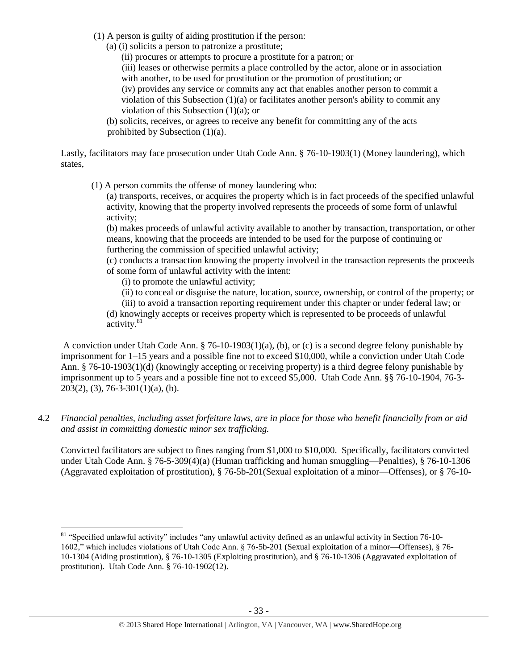- (1) A person is guilty of aiding prostitution if the person:
	- (a) (i) solicits a person to patronize a prostitute;

(ii) procures or attempts to procure a prostitute for a patron; or

(iii) leases or otherwise permits a place controlled by the actor, alone or in association with another, to be used for prostitution or the promotion of prostitution; or

(iv) provides any service or commits any act that enables another person to commit a violation of this Subsection  $(1)(a)$  or facilitates another person's ability to commit any violation of this Subsection (1)(a); or

(b) solicits, receives, or agrees to receive any benefit for committing any of the acts prohibited by Subsection (1)(a).

Lastly, facilitators may face prosecution under Utah Code Ann. § 76-10-1903(1) (Money laundering), which states,

(1) A person commits the offense of money laundering who:

(a) transports, receives, or acquires the property which is in fact proceeds of the specified unlawful activity, knowing that the property involved represents the proceeds of some form of unlawful activity;

(b) makes proceeds of unlawful activity available to another by transaction, transportation, or other means, knowing that the proceeds are intended to be used for the purpose of continuing or furthering the commission of specified unlawful activity;

(c) conducts a transaction knowing the property involved in the transaction represents the proceeds of some form of unlawful activity with the intent:

(i) to promote the unlawful activity;

(ii) to conceal or disguise the nature, location, source, ownership, or control of the property; or

(iii) to avoid a transaction reporting requirement under this chapter or under federal law; or (d) knowingly accepts or receives property which is represented to be proceeds of unlawful activity.<sup>81</sup>

A conviction under Utah Code Ann. § 76-10-1903(1)(a), (b), or (c) is a second degree felony punishable by imprisonment for 1–15 years and a possible fine not to exceed \$10,000, while a conviction under Utah Code Ann. § 76-10-1903(1)(d) (knowingly accepting or receiving property) is a third degree felony punishable by imprisonment up to 5 years and a possible fine not to exceed \$5,000. Utah Code Ann. §§ 76-10-1904, 76-3-  $203(2)$ , (3), 76-3-301(1)(a), (b).

4.2 *Financial penalties, including asset forfeiture laws, are in place for those who benefit financially from or aid and assist in committing domestic minor sex trafficking.*

Convicted facilitators are subject to fines ranging from \$1,000 to \$10,000. Specifically, facilitators convicted under Utah Code Ann. § 76-5-309(4)(a) (Human trafficking and human smuggling—Penalties), § 76-10-1306 (Aggravated exploitation of prostitution), § 76-5b-201(Sexual exploitation of a minor—Offenses), or § 76-10-

 $\overline{\phantom{a}}$ <sup>81</sup> "Specified unlawful activity" includes "any unlawful activity defined as an unlawful activity in Section 76-10-1602," which includes violations of Utah Code Ann. § 76-5b-201 (Sexual exploitation of a minor—Offenses), § 76- 10-1304 (Aiding prostitution), § 76-10-1305 (Exploiting prostitution), and § 76-10-1306 (Aggravated exploitation of prostitution). Utah Code Ann. § 76-10-1902(12).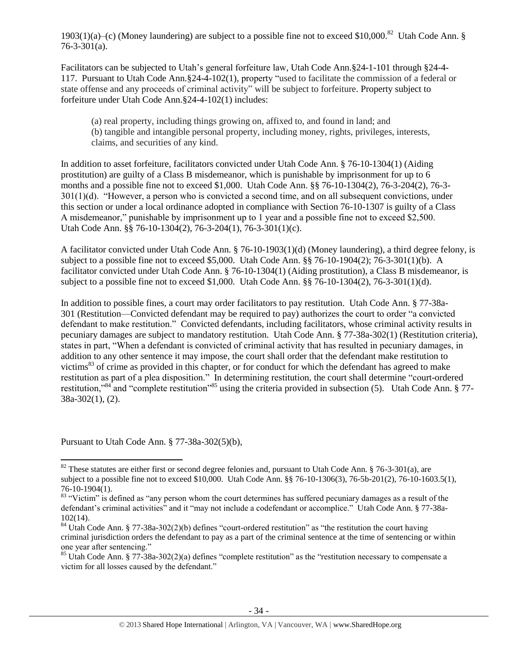1903(1)(a)–(c) (Money laundering) are subject to a possible fine not to exceed \$10,000.<sup>82</sup> Utah Code Ann. §  $76 - 3 - 301(a)$ .

Facilitators can be subjected to Utah's general forfeiture law, Utah Code Ann.§24-1-101 through §24-4- 117. Pursuant to Utah Code Ann.§24-4-102(1), property "used to facilitate the commission of a federal or state offense and any proceeds of criminal activity" will be subject to forfeiture. Property subject to forfeiture under Utah Code Ann.§24-4-102(1) includes:

(a) real property, including things growing on, affixed to, and found in land; and (b) tangible and intangible personal property, including money, rights, privileges, interests, claims, and securities of any kind.

In addition to asset forfeiture, facilitators convicted under Utah Code Ann. § 76-10-1304(1) (Aiding prostitution) are guilty of a Class B misdemeanor, which is punishable by imprisonment for up to 6 months and a possible fine not to exceed \$1,000. Utah Code Ann. §§ 76-10-1304(2), 76-3-204(2), 76-3- 301(1)(d). "However, a person who is convicted a second time, and on all subsequent convictions, under this section or under a local ordinance adopted in compliance with Section 76-10-1307 is guilty of a Class A misdemeanor," punishable by imprisonment up to 1 year and a possible fine not to exceed \$2,500. Utah Code Ann. §§ 76-10-1304(2), 76-3-204(1), 76-3-301(1)(c).

A facilitator convicted under Utah Code Ann. § 76-10-1903(1)(d) (Money laundering), a third degree felony, is subject to a possible fine not to exceed \$5,000. Utah Code Ann. §§ 76-10-1904(2); 76-3-301(1)(b). A facilitator convicted under Utah Code Ann. § 76-10-1304(1) (Aiding prostitution), a Class B misdemeanor, is subject to a possible fine not to exceed \$1,000. Utah Code Ann. §§ 76-10-1304(2), 76-3-301(1)(d).

In addition to possible fines, a court may order facilitators to pay restitution. Utah Code Ann. § 77-38a-301 (Restitution—Convicted defendant may be required to pay) authorizes the court to order "a convicted defendant to make restitution." Convicted defendants, including facilitators, whose criminal activity results in pecuniary damages are subject to mandatory restitution. Utah Code Ann. § 77-38a-302(1) (Restitution criteria), states in part, "When a defendant is convicted of criminal activity that has resulted in pecuniary damages, in addition to any other sentence it may impose, the court shall order that the defendant make restitution to victims<sup>83</sup> of crime as provided in this chapter, or for conduct for which the defendant has agreed to make restitution as part of a plea disposition." In determining restitution, the court shall determine "court-ordered restitution,"<sup>84</sup> and "complete restitution"<sup>85</sup> using the criteria provided in subsection (5). Utah Code Ann. § 77-38a-302(1), (2).

Pursuant to Utah Code Ann. § 77-38a-302(5)(b),

 $\overline{\phantom{a}}$  $82$  These statutes are either first or second degree felonies and, pursuant to Utah Code Ann. § 76-3-301(a), are subject to a possible fine not to exceed \$10,000. Utah Code Ann. §§ 76-10-1306(3), 76-5b-201(2), 76-10-1603.5(1), 76-10-1904(1).

 $83$  "Victim" is defined as "any person whom the court determines has suffered pecuniary damages as a result of the defendant's criminal activities" and it "may not include a codefendant or accomplice." Utah Code Ann. § 77-38a-102(14).

<sup>&</sup>lt;sup>84</sup> Utah Code Ann. § 77-38a-302(2)(b) defines "court-ordered restitution" as "the restitution the court having criminal jurisdiction orders the defendant to pay as a part of the criminal sentence at the time of sentencing or within one year after sentencing."

 $85$  Utah Code Ann. § 77-38a-302(2)(a) defines "complete restitution" as the "restitution necessary to compensate a victim for all losses caused by the defendant."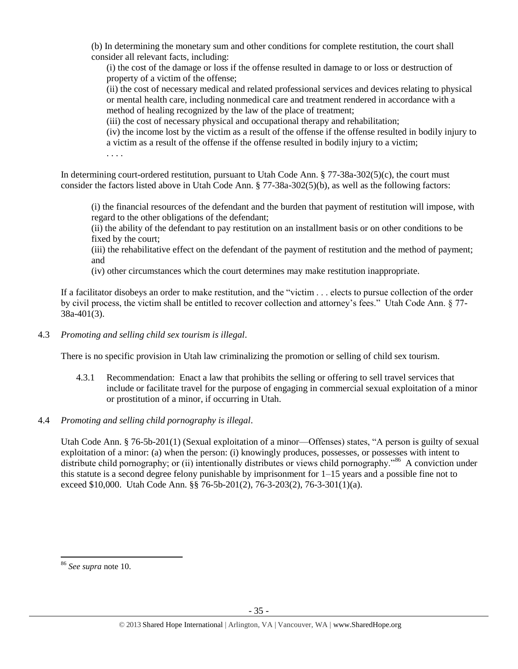(b) In determining the monetary sum and other conditions for complete restitution, the court shall consider all relevant facts, including:

(i) the cost of the damage or loss if the offense resulted in damage to or loss or destruction of property of a victim of the offense;

(ii) the cost of necessary medical and related professional services and devices relating to physical or mental health care, including nonmedical care and treatment rendered in accordance with a method of healing recognized by the law of the place of treatment;

(iii) the cost of necessary physical and occupational therapy and rehabilitation;

(iv) the income lost by the victim as a result of the offense if the offense resulted in bodily injury to a victim as a result of the offense if the offense resulted in bodily injury to a victim;

. . . .

In determining court-ordered restitution, pursuant to Utah Code Ann. § 77-38a-302(5)(c), the court must consider the factors listed above in Utah Code Ann. § 77-38a-302(5)(b), as well as the following factors:

(i) the financial resources of the defendant and the burden that payment of restitution will impose, with regard to the other obligations of the defendant;

(ii) the ability of the defendant to pay restitution on an installment basis or on other conditions to be fixed by the court;

(iii) the rehabilitative effect on the defendant of the payment of restitution and the method of payment; and

(iv) other circumstances which the court determines may make restitution inappropriate.

If a facilitator disobeys an order to make restitution, and the "victim . . . elects to pursue collection of the order by civil process, the victim shall be entitled to recover collection and attorney's fees." Utah Code Ann. § 77- 38a-401(3).

4.3 *Promoting and selling child sex tourism is illegal*.

There is no specific provision in Utah law criminalizing the promotion or selling of child sex tourism.

- 4.3.1 Recommendation: Enact a law that prohibits the selling or offering to sell travel services that include or facilitate travel for the purpose of engaging in commercial sexual exploitation of a minor or prostitution of a minor, if occurring in Utah.
- 4.4 *Promoting and selling child pornography is illegal*.

Utah Code Ann. § 76-5b-201(1) (Sexual exploitation of a minor—Offenses) states, "A person is guilty of sexual exploitation of a minor: (a) when the person: (i) knowingly produces, possesses, or possesses with intent to distribute child pornography; or (ii) intentionally distributes or views child pornography."<sup>86</sup> A conviction under this statute is a second degree felony punishable by imprisonment for 1–15 years and a possible fine not to exceed \$10,000. Utah Code Ann. §§ 76-5b-201(2), 76-3-203(2), 76-3-301(1)(a).

 $\overline{a}$ 

<sup>86</sup> *See supra* note [10.](#page-3-2)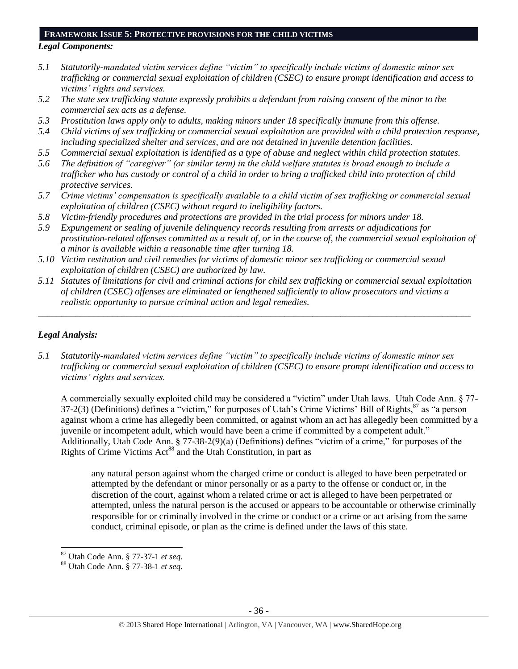#### **FRAMEWORK ISSUE 5: PROTECTIVE PROVISIONS FOR THE CHILD VICTIMS**

# *Legal Components:*

- *5.1 Statutorily-mandated victim services define "victim" to specifically include victims of domestic minor sex trafficking or commercial sexual exploitation of children (CSEC) to ensure prompt identification and access to victims' rights and services.*
- *5.2 The state sex trafficking statute expressly prohibits a defendant from raising consent of the minor to the commercial sex acts as a defense.*
- *5.3 Prostitution laws apply only to adults, making minors under 18 specifically immune from this offense.*
- *5.4 Child victims of sex trafficking or commercial sexual exploitation are provided with a child protection response, including specialized shelter and services, and are not detained in juvenile detention facilities.*
- *5.5 Commercial sexual exploitation is identified as a type of abuse and neglect within child protection statutes.*
- *5.6 The definition of "caregiver" (or similar term) in the child welfare statutes is broad enough to include a trafficker who has custody or control of a child in order to bring a trafficked child into protection of child protective services.*
- *5.7 Crime victims' compensation is specifically available to a child victim of sex trafficking or commercial sexual exploitation of children (CSEC) without regard to ineligibility factors.*
- *5.8 Victim-friendly procedures and protections are provided in the trial process for minors under 18.*
- *5.9 Expungement or sealing of juvenile delinquency records resulting from arrests or adjudications for prostitution-related offenses committed as a result of, or in the course of, the commercial sexual exploitation of a minor is available within a reasonable time after turning 18.*
- *5.10 Victim restitution and civil remedies for victims of domestic minor sex trafficking or commercial sexual exploitation of children (CSEC) are authorized by law.*
- *5.11 Statutes of limitations for civil and criminal actions for child sex trafficking or commercial sexual exploitation of children (CSEC) offenses are eliminated or lengthened sufficiently to allow prosecutors and victims a realistic opportunity to pursue criminal action and legal remedies.*

*\_\_\_\_\_\_\_\_\_\_\_\_\_\_\_\_\_\_\_\_\_\_\_\_\_\_\_\_\_\_\_\_\_\_\_\_\_\_\_\_\_\_\_\_\_\_\_\_\_\_\_\_\_\_\_\_\_\_\_\_\_\_\_\_\_\_\_\_\_\_\_\_\_\_\_\_\_\_\_\_\_\_\_\_\_\_\_\_\_\_\_\_\_*

# *Legal Analysis:*

l

*5.1 Statutorily-mandated victim services define "victim" to specifically include victims of domestic minor sex trafficking or commercial sexual exploitation of children (CSEC) to ensure prompt identification and access to victims' rights and services.*

A commercially sexually exploited child may be considered a "victim" under Utah laws. Utah Code Ann. § 77- 37-2(3) (Definitions) defines a "victim," for purposes of Utah's Crime Victims' Bill of Rights, <sup>87</sup> as "a person against whom a crime has allegedly been committed, or against whom an act has allegedly been committed by a juvenile or incompetent adult, which would have been a crime if committed by a competent adult." Additionally, Utah Code Ann. § 77-38-2(9)(a) (Definitions) defines "victim of a crime," for purposes of the Rights of Crime Victims Act<sup>88</sup> and the Utah Constitution, in part as

any natural person against whom the charged crime or conduct is alleged to have been perpetrated or attempted by the defendant or minor personally or as a party to the offense or conduct or, in the discretion of the court, against whom a related crime or act is alleged to have been perpetrated or attempted, unless the natural person is the accused or appears to be accountable or otherwise criminally responsible for or criminally involved in the crime or conduct or a crime or act arising from the same conduct, criminal episode, or plan as the crime is defined under the laws of this state.

<sup>87</sup> Utah Code Ann. § 77-37-1 *et seq*.

<sup>88</sup> Utah Code Ann. § 77-38-1 *et seq*.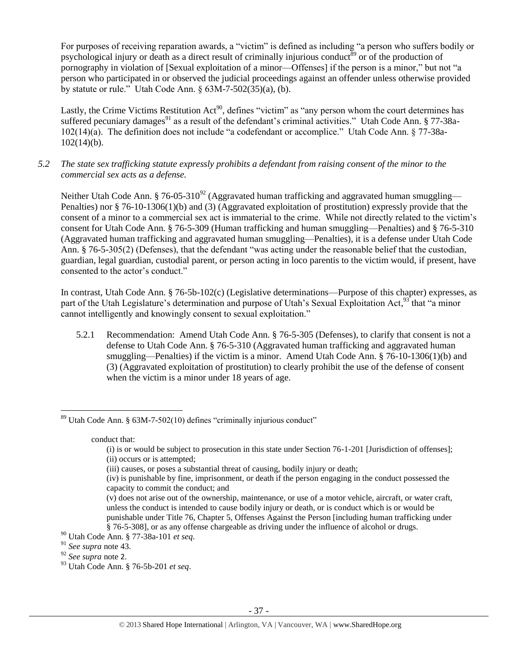For purposes of receiving reparation awards, a "victim" is defined as including "a person who suffers bodily or psychological injury or death as a direct result of criminally injurious conduct<sup>89</sup> or of the production of pornography in violation of [Sexual exploitation of a minor—Offenses] if the person is a minor," but not "a person who participated in or observed the judicial proceedings against an offender unless otherwise provided by statute or rule." Utah Code Ann. § 63M-7-502(35)(a), (b).

<span id="page-36-0"></span>Lastly, the Crime Victims Restitution Act<sup>90</sup>, defines "victim" as "any person whom the court determines has suffered pecuniary damages<sup>91</sup> as a result of the defendant's criminal activities." Utah Code Ann. § 77-38a-102(14)(a). The definition does not include "a codefendant or accomplice." Utah Code Ann. § 77-38a- $102(14)(b)$ .

*5.2 The state sex trafficking statute expressly prohibits a defendant from raising consent of the minor to the commercial sex acts as a defense.*

Neither Utah Code Ann. § 76-05-310<sup>92</sup> (Aggravated human trafficking and aggravated human smuggling— Penalties) nor § 76-10-1306(1)(b) and (3) (Aggravated exploitation of prostitution) expressly provide that the consent of a minor to a commercial sex act is immaterial to the crime. While not directly related to the victim's consent for Utah Code Ann. § 76-5-309 (Human trafficking and human smuggling—Penalties) and § 76-5-310 (Aggravated human trafficking and aggravated human smuggling—Penalties), it is a defense under Utah Code Ann. § 76-5-305(2) (Defenses), that the defendant "was acting under the reasonable belief that the custodian, guardian, legal guardian, custodial parent, or person acting in loco parentis to the victim would, if present, have consented to the actor's conduct."

In contrast, Utah Code Ann. § 76-5b-102(c) (Legislative determinations—Purpose of this chapter) expresses, as part of the Utah Legislature's determination and purpose of Utah's Sexual Exploitation Act,<sup>93</sup> that "a minor cannot intelligently and knowingly consent to sexual exploitation."

5.2.1 Recommendation: Amend Utah Code Ann. § 76-5-305 (Defenses), to clarify that consent is not a defense to Utah Code Ann. § 76-5-310 (Aggravated human trafficking and aggravated human smuggling—Penalties) if the victim is a minor. Amend Utah Code Ann. § 76-10-1306(1)(b) and (3) (Aggravated exploitation of prostitution) to clearly prohibit the use of the defense of consent when the victim is a minor under 18 years of age.

conduct that:

l  $89$  Utah Code Ann. § 63M-7-502(10) defines "criminally injurious conduct"

<sup>(</sup>i) is or would be subject to prosecution in this state under Section 76-1-201 [Jurisdiction of offenses]; (ii) occurs or is attempted;

<sup>(</sup>iii) causes, or poses a substantial threat of causing, bodily injury or death;

<sup>(</sup>iv) is punishable by fine, imprisonment, or death if the person engaging in the conduct possessed the capacity to commit the conduct; and

<sup>(</sup>v) does not arise out of the ownership, maintenance, or use of a motor vehicle, aircraft, or water craft, unless the conduct is intended to cause bodily injury or death, or is conduct which is or would be punishable under Title 76, Chapter 5, Offenses Against the Person [including human trafficking under § 76-5-308], or as any offense chargeable as driving under the influence of alcohol or drugs.

<sup>90</sup> Utah Code Ann. § 77-38a-101 *et seq*.

<sup>91</sup> *See supra* note [43.](#page-18-0)

<sup>92</sup> *See supra* note [2](#page-1-0).

<sup>93</sup> Utah Code Ann. § 76-5b-201 *et seq*.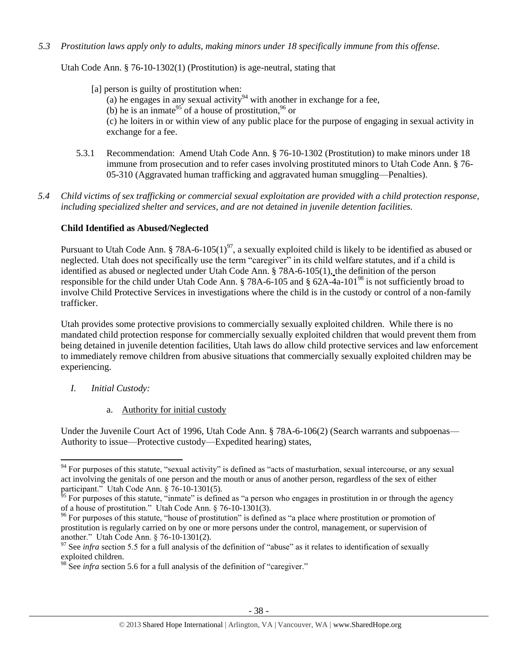*5.3 Prostitution laws apply only to adults, making minors under 18 specifically immune from this offense.*

Utah Code Ann. § 76-10-1302(1) (Prostitution) is age-neutral, stating that

- [a] person is guilty of prostitution when: (a) he engages in any sexual activity<sup>94</sup> with another in exchange for a fee, (b) he is an inmate<sup>95</sup> of a house of prostitution, <sup>96</sup> or (c) he loiters in or within view of any public place for the purpose of engaging in sexual activity in exchange for a fee.
- 5.3.1 Recommendation: Amend Utah Code Ann. § 76-10-1302 (Prostitution) to make minors under 18 immune from prosecution and to refer cases involving prostituted minors to Utah Code Ann. § 76- 05-310 (Aggravated human trafficking and aggravated human smuggling—Penalties).
- *5.4 Child victims of sex trafficking or commercial sexual exploitation are provided with a child protection response, including specialized shelter and services, and are not detained in juvenile detention facilities.*

# **Child Identified as Abused/Neglected**

Pursuant to Utah Code Ann. § 78A-6-105(1)<sup>97</sup>, a sexually exploited child is likely to be identified as abused or neglected. Utah does not specifically use the term "caregiver" in its child welfare statutes, and if a child is identified as abused or neglected under Utah Code Ann. § 78A-6-105(1), the definition of the person responsible for the child under Utah Code Ann. § 78A-6-105 and § 62A-4a-101<sup>98</sup> is not sufficiently broad to involve Child Protective Services in investigations where the child is in the custody or control of a non-family trafficker.

Utah provides some protective provisions to commercially sexually exploited children. While there is no mandated child protection response for commercially sexually exploited children that would prevent them from being detained in juvenile detention facilities, Utah laws do allow child protective services and law enforcement to immediately remove children from abusive situations that commercially sexually exploited children may be experiencing.

*I. Initial Custody:* 

 $\overline{\phantom{a}}$ 

a. Authority for initial custody

Under the Juvenile Court Act of 1996, Utah Code Ann. § 78A-6-106(2) (Search warrants and subpoenas— Authority to issue—Protective custody—Expedited hearing) states,

 $94$  For purposes of this statute, "sexual activity" is defined as "acts of masturbation, sexual intercourse, or any sexual act involving the genitals of one person and the mouth or anus of another person, regardless of the sex of either participant." Utah Code Ann. § 76-10-1301(5).

 $95$  For purposes of this statute, "inmate" is defined as "a person who engages in prostitution in or through the agency of a house of prostitution." Utah Code Ann. § 76-10-1301(3).

 $96$  For purposes of this statute, "house of prostitution" is defined as "a place where prostitution or promotion of prostitution is regularly carried on by one or more persons under the control, management, or supervision of another." Utah Code Ann. § 76-10-1301(2).

 $\frac{97}{97}$  See *infra* section 5.5 for a full analysis of the definition of "abuse" as it relates to identification of sexually exploited children.

<sup>&</sup>lt;sup>98</sup> See *infra* section 5.6 for a full analysis of the definition of "caregiver."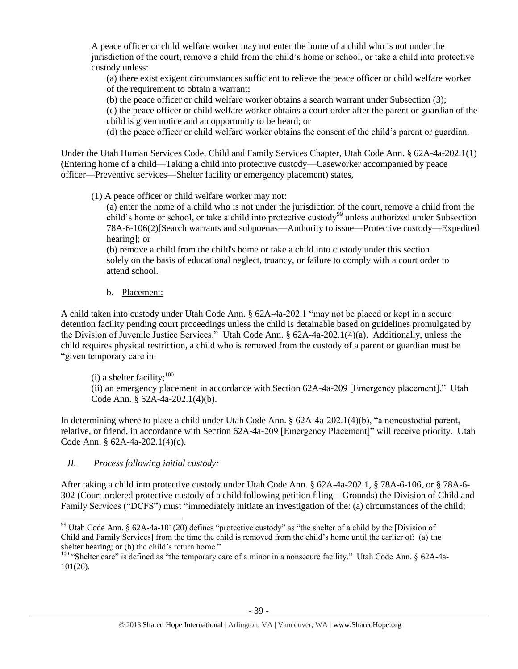A peace officer or child welfare worker may not enter the home of a child who is not under the jurisdiction of the court, remove a child from the child's home or school, or take a child into protective custody unless:

(a) there exist exigent circumstances sufficient to relieve the peace officer or child welfare worker of the requirement to obtain a warrant;

(b) the peace officer or child welfare worker obtains a search warrant under Subsection (3);

(c) the peace officer or child welfare worker obtains a court order after the parent or guardian of the child is given notice and an opportunity to be heard; or

(d) the peace officer or child welfare worker obtains the consent of the child's parent or guardian.

Under the Utah Human Services Code, Child and Family Services Chapter, Utah Code Ann. § 62A-4a-202.1(1) (Entering home of a child—Taking a child into protective custody—Caseworker accompanied by peace officer—Preventive services—Shelter facility or emergency placement) states,

(1) A peace officer or child welfare worker may not:

(a) enter the home of a child who is not under the jurisdiction of the court, remove a child from the child's home or school, or take a child into protective custody<sup>99</sup> unless authorized under Subsection 78A-6-106(2)[Search warrants and subpoenas—Authority to issue—Protective custody—Expedited hearing]; or

(b) remove a child from the child's home or take a child into custody under this section solely on the basis of educational neglect, truancy, or failure to comply with a court order to attend school.

b. Placement:

A child taken into custody under Utah Code Ann. § 62A-4a-202.1 "may not be placed or kept in a secure detention facility pending court proceedings unless the child is detainable based on guidelines promulgated by the Division of Juvenile Justice Services." Utah Code Ann. § 62A-4a-202.1(4)(a). Additionally, unless the child requires physical restriction, a child who is removed from the custody of a parent or guardian must be "given temporary care in:

(i) a shelter facility; $^{100}$ 

(ii) an emergency placement in accordance with Section 62A-4a-209 [Emergency placement]." Utah Code Ann. § 62A-4a-202.1(4)(b).

In determining where to place a child under Utah Code Ann. § 62A-4a-202.1(4)(b), "a noncustodial parent, relative, or friend, in accordance with Section 62A-4a-209 [Emergency Placement]" will receive priority. Utah Code Ann. § 62A-4a-202.1(4)(c).

*II. Process following initial custody:*

After taking a child into protective custody under Utah Code Ann. § 62A-4a-202.1, § 78A-6-106, or § 78A-6- 302 (Court-ordered protective custody of a child following petition filing—Grounds) the Division of Child and Family Services ("DCFS") must "immediately initiate an investigation of the: (a) circumstances of the child;

 $\overline{\phantom{a}}$ <sup>99</sup> Utah Code Ann. § 62A-4a-101(20) defines "protective custody" as "the shelter of a child by the [Division of Child and Family Services] from the time the child is removed from the child's home until the earlier of: (a) the shelter hearing; or (b) the child's return home."

<sup>&</sup>lt;sup>100</sup> "Shelter care" is defined as "the temporary care of a minor in a nonsecure facility." Utah Code Ann. § 62A-4a-101(26).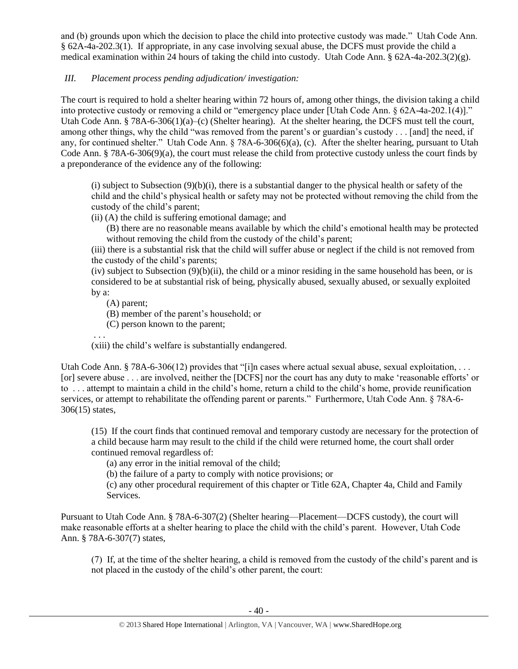and (b) grounds upon which the decision to place the child into protective custody was made." Utah Code Ann. § 62A-4a-202.3(1). If appropriate, in any case involving sexual abuse, the DCFS must provide the child a medical examination within 24 hours of taking the child into custody. Utah Code Ann. § 62A-4a-202.3(2)(g).

# *III. Placement process pending adjudication/ investigation:*

The court is required to hold a shelter hearing within 72 hours of, among other things, the division taking a child into protective custody or removing a child or "emergency place under [Utah Code Ann. § 62A-4a-202.1(4)]." Utah Code Ann. § 78A-6-306(1)(a)–(c) (Shelter hearing). At the shelter hearing, the DCFS must tell the court, among other things, why the child "was removed from the parent's or guardian's custody . . . [and] the need, if any, for continued shelter." Utah Code Ann. § 78A-6-306(6)(a), (c). After the shelter hearing, pursuant to Utah Code Ann. § 78A-6-306(9)(a), the court must release the child from protective custody unless the court finds by a preponderance of the evidence any of the following:

(i) subject to Subsection  $(9)(b)(i)$ , there is a substantial danger to the physical health or safety of the child and the child's physical health or safety may not be protected without removing the child from the custody of the child's parent;

(ii) (A) the child is suffering emotional damage; and

(B) there are no reasonable means available by which the child's emotional health may be protected without removing the child from the custody of the child's parent;

(iii) there is a substantial risk that the child will suffer abuse or neglect if the child is not removed from the custody of the child's parents;

(iv) subject to Subsection  $(9)(b)(ii)$ , the child or a minor residing in the same household has been, or is considered to be at substantial risk of being, physically abused, sexually abused, or sexually exploited by a:

(A) parent;

(B) member of the parent's household; or

(C) person known to the parent;

. . .

(xiii) the child's welfare is substantially endangered.

Utah Code Ann. § 78A-6-306(12) provides that "[i]n cases where actual sexual abuse, sexual exploitation, ... [or] severe abuse . . . are involved, neither the [DCFS] nor the court has any duty to make 'reasonable efforts' or to . . . attempt to maintain a child in the child's home, return a child to the child's home, provide reunification services, or attempt to rehabilitate the offending parent or parents." Furthermore, Utah Code Ann. § 78A-6- 306(15) states,

(15) If the court finds that continued removal and temporary custody are necessary for the protection of a child because harm may result to the child if the child were returned home, the court shall order continued removal regardless of:

(a) any error in the initial removal of the child;

(b) the failure of a party to comply with notice provisions; or

(c) any other procedural requirement of this chapter or Title 62A, Chapter 4a, Child and Family Services.

Pursuant to Utah Code Ann. § 78A-6-307(2) (Shelter hearing—Placement—DCFS custody), the court will make reasonable efforts at a shelter hearing to place the child with the child's parent. However, Utah Code Ann. § 78A-6-307(7) states,

(7) If, at the time of the shelter hearing, a child is removed from the custody of the child's parent and is not placed in the custody of the child's other parent, the court: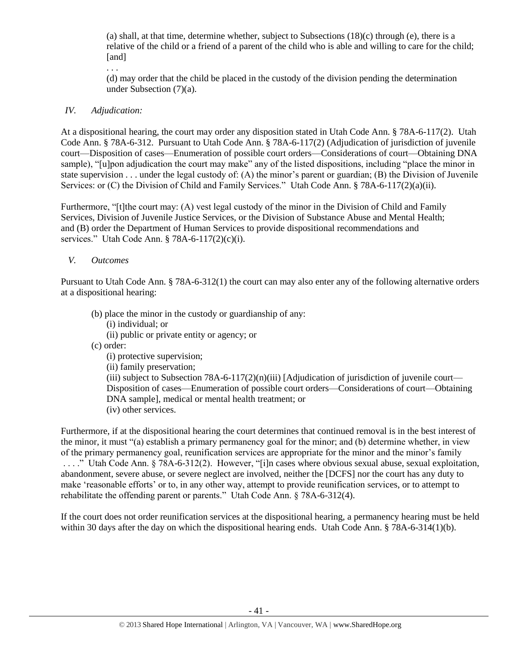(a) shall, at that time, determine whether, subject to Subsections  $(18)(c)$  through (e), there is a relative of the child or a friend of a parent of the child who is able and willing to care for the child; [and]

. . .

(d) may order that the child be placed in the custody of the division pending the determination under Subsection (7)(a).

# *IV. Adjudication:*

At a dispositional hearing, the court may order any disposition stated in Utah Code Ann. § 78A-6-117(2). Utah Code Ann. § 78A-6-312. Pursuant to Utah Code Ann. § 78A-6-117(2) (Adjudication of jurisdiction of juvenile court—Disposition of cases—Enumeration of possible court orders—Considerations of court—Obtaining DNA sample), "[u]pon adjudication the court may make" any of the listed dispositions, including "place the minor in state supervision . . . under the legal custody of: (A) the minor's parent or guardian; (B) the Division of Juvenile Services: or (C) the Division of Child and Family Services." Utah Code Ann. § 78A-6-117(2)(a)(ii).

Furthermore, "[t]the court may: (A) vest legal custody of the minor in the Division of Child and Family Services, Division of Juvenile Justice Services, or the Division of Substance Abuse and Mental Health; and (B) order the Department of Human Services to provide dispositional recommendations and services." Utah Code Ann. § 78A-6-117(2)(c)(i).

## *V. Outcomes*

Pursuant to Utah Code Ann. § 78A-6-312(1) the court can may also enter any of the following alternative orders at a dispositional hearing:

- (b) place the minor in the custody or guardianship of any:
	- (i) individual; or
	- (ii) public or private entity or agency; or
- (c) order:

(i) protective supervision;

(ii) family preservation;

(iii) subject to Subsection 78A-6-117(2)(n)(iii) [Adjudication of jurisdiction of juvenile court— Disposition of cases—Enumeration of possible court orders—Considerations of court—Obtaining DNA sample], medical or mental health treatment; or (iv) other services.

Furthermore, if at the dispositional hearing the court determines that continued removal is in the best interest of the minor, it must "(a) establish a primary permanency goal for the minor; and (b) determine whether, in view of the primary permanency goal, reunification services are appropriate for the minor and the minor's family . . . ." Utah Code Ann. § 78A-6-312(2). However, "[i]n cases where obvious sexual abuse, sexual exploitation, abandonment, severe abuse, or severe neglect are involved, neither the [DCFS] nor the court has any duty to make 'reasonable efforts' or to, in any other way, attempt to provide reunification services, or to attempt to rehabilitate the offending parent or parents." Utah Code Ann. § 78A-6-312(4).

If the court does not order reunification services at the dispositional hearing, a permanency hearing must be held within 30 days after the day on which the dispositional hearing ends. Utah Code Ann. § 78A-6-314(1)(b).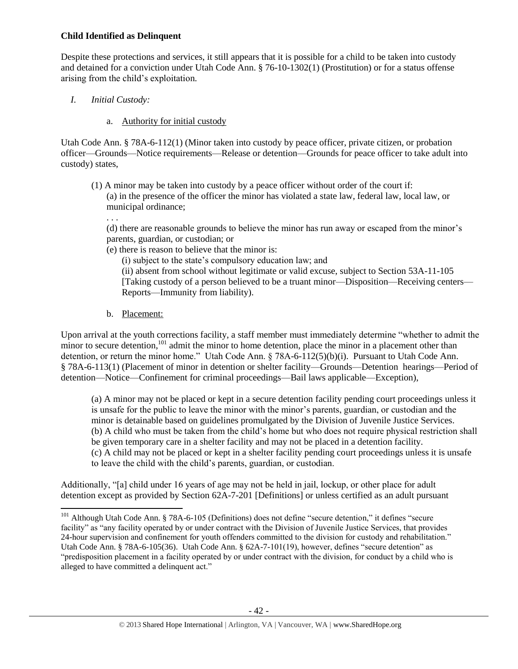## **Child Identified as Delinquent**

Despite these protections and services, it still appears that it is possible for a child to be taken into custody and detained for a conviction under Utah Code Ann. § 76-10-1302(1) (Prostitution) or for a status offense arising from the child's exploitation.

# *I. Initial Custody:*

. . .

 $\overline{\phantom{a}}$ 

## a. Authority for initial custody

Utah Code Ann. § 78A-6-112(1) (Minor taken into custody by peace officer, private citizen, or probation officer—Grounds—Notice requirements—Release or detention—Grounds for peace officer to take adult into custody) states,

(1) A minor may be taken into custody by a peace officer without order of the court if: (a) in the presence of the officer the minor has violated a state law, federal law, local law, or municipal ordinance;

(d) there are reasonable grounds to believe the minor has run away or escaped from the minor's parents, guardian, or custodian; or

(e) there is reason to believe that the minor is:

(i) subject to the state's compulsory education law; and

(ii) absent from school without legitimate or valid excuse, subject to Section 53A-11-105 [Taking custody of a person believed to be a truant minor—Disposition—Receiving centers— Reports—Immunity from liability).

b. Placement:

Upon arrival at the youth corrections facility, a staff member must immediately determine "whether to admit the minor to secure detention,<sup>101</sup> admit the minor to home detention, place the minor in a placement other than detention, or return the minor home." Utah Code Ann. § 78A-6-112(5)(b)(i). Pursuant to Utah Code Ann. § 78A-6-113(1) (Placement of minor in detention or shelter facility—Grounds—Detention hearings—Period of detention—Notice—Confinement for criminal proceedings—Bail laws applicable—Exception),

(a) A minor may not be placed or kept in a secure detention facility pending court proceedings unless it is unsafe for the public to leave the minor with the minor's parents, guardian, or custodian and the minor is detainable based on guidelines promulgated by the Division of Juvenile Justice Services. (b) A child who must be taken from the child's home but who does not require physical restriction shall be given temporary care in a shelter facility and may not be placed in a detention facility. (c) A child may not be placed or kept in a shelter facility pending court proceedings unless it is unsafe to leave the child with the child's parents, guardian, or custodian.

Additionally, "[a] child under 16 years of age may not be held in jail, lockup, or other place for adult detention except as provided by Section 62A-7-201 [Definitions] or unless certified as an adult pursuant

<sup>&</sup>lt;sup>101</sup> Although Utah Code Ann. § 78A-6-105 (Definitions) does not define "secure detention," it defines "secure facility" as "any facility operated by or under contract with the Division of Juvenile Justice Services, that provides 24-hour supervision and confinement for youth offenders committed to the division for custody and rehabilitation." Utah Code Ann. § 78A-6-105(36). Utah Code Ann. § 62A-7-101(19), however, defines "secure detention" as "predisposition placement in a facility operated by or under contract with the division, for conduct by a child who is alleged to have committed a delinquent act."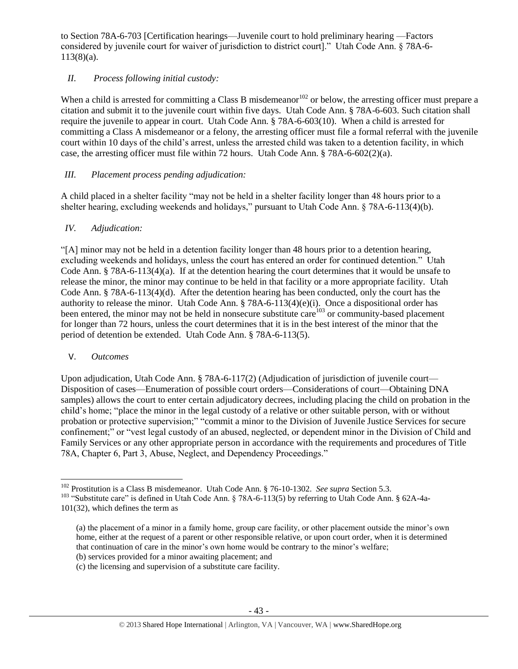to Section 78A-6-703 [Certification hearings—Juvenile court to hold preliminary hearing —Factors considered by juvenile court for waiver of jurisdiction to district court]." Utah Code Ann. § 78A-6-  $113(8)(a)$ .

# *II. Process following initial custody:*

When a child is arrested for committing a Class B misdemeanor<sup>102</sup> or below, the arresting officer must prepare a citation and submit it to the juvenile court within five days. Utah Code Ann. § 78A-6-603. Such citation shall require the juvenile to appear in court. Utah Code Ann. § 78A-6-603(10). When a child is arrested for committing a Class A misdemeanor or a felony, the arresting officer must file a formal referral with the juvenile court within 10 days of the child's arrest, unless the arrested child was taken to a detention facility, in which case, the arresting officer must file within 72 hours. Utah Code Ann. § 78A-6-602(2)(a).

# *III. Placement process pending adjudication:*

A child placed in a shelter facility "may not be held in a shelter facility longer than 48 hours prior to a shelter hearing, excluding weekends and holidays," pursuant to Utah Code Ann. § 78A-6-113(4)(b).

# *IV. Adjudication:*

"[A] minor may not be held in a detention facility longer than 48 hours prior to a detention hearing, excluding weekends and holidays, unless the court has entered an order for continued detention." Utah Code Ann. § 78A-6-113(4)(a). If at the detention hearing the court determines that it would be unsafe to release the minor, the minor may continue to be held in that facility or a more appropriate facility. Utah Code Ann. § 78A-6-113(4)(d). After the detention hearing has been conducted, only the court has the authority to release the minor. Utah Code Ann. § 78A-6-113(4)(e)(i). Once a dispositional order has been entered, the minor may not be held in nonsecure substitute care  $^{103}$  or community-based placement for longer than 72 hours, unless the court determines that it is in the best interest of the minor that the period of detention be extended. Utah Code Ann. § 78A-6-113(5).

# V. *Outcomes*

 $\overline{\phantom{a}}$ 

Upon adjudication, Utah Code Ann. § 78A-6-117(2) (Adjudication of jurisdiction of juvenile court— Disposition of cases—Enumeration of possible court orders—Considerations of court—Obtaining DNA samples) allows the court to enter certain adjudicatory decrees, including placing the child on probation in the child's home; "place the minor in the legal custody of a relative or other suitable person, with or without probation or protective supervision;" "commit a minor to the Division of Juvenile Justice Services for secure confinement;" or "vest legal custody of an abused, neglected, or dependent minor in the Division of Child and Family Services or any other appropriate person in accordance with the requirements and procedures of Title 78A, Chapter 6, Part 3, Abuse, Neglect, and Dependency Proceedings."

<sup>102</sup> Prostitution is a Class B misdemeanor. Utah Code Ann. § 76-10-1302. *See supra* Section 5.3.

<sup>&</sup>lt;sup>103</sup> "Substitute care" is defined in Utah Code Ann. § 78A-6-113(5) by referring to Utah Code Ann. § 62A-4a-101(32), which defines the term as

<sup>(</sup>a) the placement of a minor in a family home, group care facility, or other placement outside the minor's own home, either at the request of a parent or other responsible relative, or upon court order, when it is determined that continuation of care in the minor's own home would be contrary to the minor's welfare;

<sup>(</sup>b) services provided for a minor awaiting placement; and

<sup>(</sup>c) the licensing and supervision of a substitute care facility.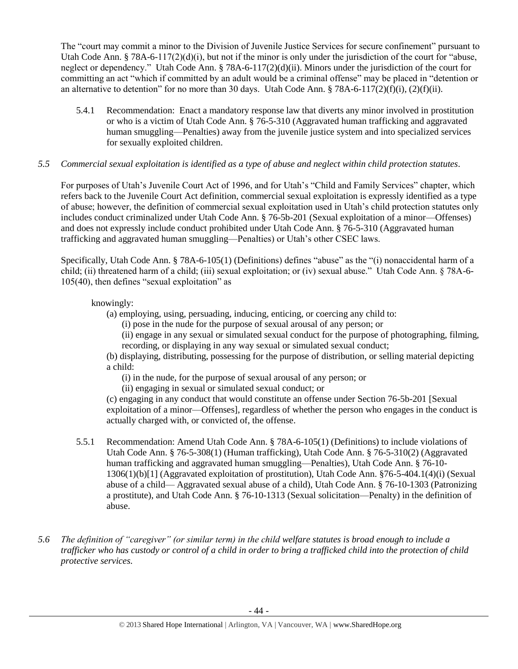The "court may commit a minor to the Division of Juvenile Justice Services for secure confinement" pursuant to Utah Code Ann. § 78A-6-117(2)(d)(i), but not if the minor is only under the jurisdiction of the court for "abuse, neglect or dependency." Utah Code Ann. § 78A-6-117(2)(d)(ii). Minors under the jurisdiction of the court for committing an act "which if committed by an adult would be a criminal offense" may be placed in "detention or an alternative to detention" for no more than 30 days. Utah Code Ann. § 78A-6-117(2)(f)(i), (2)(f)(ii).

5.4.1 Recommendation: Enact a mandatory response law that diverts any minor involved in prostitution or who is a victim of Utah Code Ann. § 76-5-310 (Aggravated human trafficking and aggravated human smuggling—Penalties) away from the juvenile justice system and into specialized services for sexually exploited children.

# *5.5 Commercial sexual exploitation is identified as a type of abuse and neglect within child protection statutes.*

For purposes of Utah's Juvenile Court Act of 1996, and for Utah's "Child and Family Services" chapter, which refers back to the Juvenile Court Act definition, commercial sexual exploitation is expressly identified as a type of abuse; however, the definition of commercial sexual exploitation used in Utah's child protection statutes only includes conduct criminalized under Utah Code Ann. § 76-5b-201 (Sexual exploitation of a minor—Offenses) and does not expressly include conduct prohibited under Utah Code Ann. § 76-5-310 (Aggravated human trafficking and aggravated human smuggling—Penalties) or Utah's other CSEC laws.

Specifically, Utah Code Ann. § 78A-6-105(1) (Definitions) defines "abuse" as the "(i) nonaccidental harm of a child; (ii) threatened harm of a child; (iii) sexual exploitation; or (iv) sexual abuse." Utah Code Ann. § 78A-6-105(40), then defines "sexual exploitation" as

## knowingly:

- (a) employing, using, persuading, inducing, enticing, or coercing any child to:
	- (i) pose in the nude for the purpose of sexual arousal of any person; or

(ii) engage in any sexual or simulated sexual conduct for the purpose of photographing, filming, recording, or displaying in any way sexual or simulated sexual conduct;

(b) displaying, distributing, possessing for the purpose of distribution, or selling material depicting a child:

(i) in the nude, for the purpose of sexual arousal of any person; or

(ii) engaging in sexual or simulated sexual conduct; or

(c) engaging in any conduct that would constitute an offense under Section 76-5b-201 [Sexual exploitation of a minor—Offenses], regardless of whether the person who engages in the conduct is actually charged with, or convicted of, the offense.

- 5.5.1 Recommendation: Amend Utah Code Ann. § 78A-6-105(1) (Definitions) to include violations of Utah Code Ann. § 76-5-308(1) (Human trafficking), Utah Code Ann. § 76-5-310(2) (Aggravated human trafficking and aggravated human smuggling—Penalties), Utah Code Ann. § 76-10- 1306(1)(b)[1] (Aggravated exploitation of prostitution), Utah Code Ann. §76-5-404.1(4)(i) (Sexual abuse of a child— Aggravated sexual abuse of a child), Utah Code Ann. § 76-10-1303 (Patronizing a prostitute), and Utah Code Ann. § 76-10-1313 (Sexual solicitation—Penalty) in the definition of abuse.
- *5.6 The definition of "caregiver" (or similar term) in the child welfare statutes is broad enough to include a trafficker who has custody or control of a child in order to bring a trafficked child into the protection of child protective services.*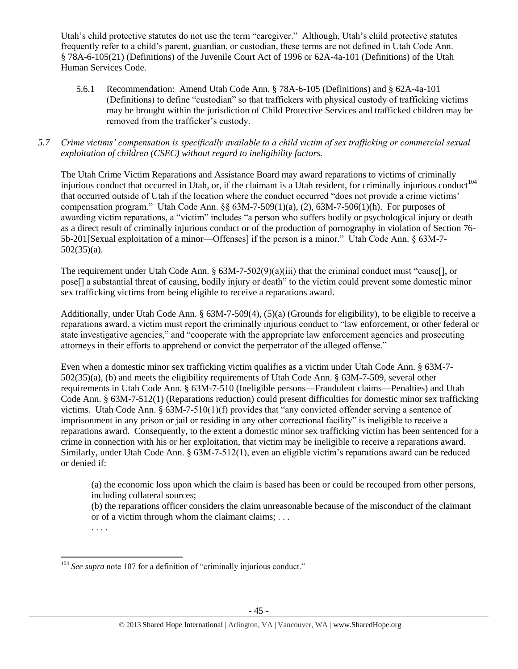Utah's child protective statutes do not use the term "caregiver." Although, Utah's child protective statutes frequently refer to a child's parent, guardian, or custodian, these terms are not defined in Utah Code Ann. § 78A-6-105(21) (Definitions) of the Juvenile Court Act of 1996 or 62A-4a-101 (Definitions) of the Utah Human Services Code.

5.6.1 Recommendation: Amend Utah Code Ann. § 78A-6-105 (Definitions) and § 62A-4a-101 (Definitions) to define "custodian" so that traffickers with physical custody of trafficking victims may be brought within the jurisdiction of Child Protective Services and trafficked children may be removed from the trafficker's custody.

# *5.7 Crime victims' compensation is specifically available to a child victim of sex trafficking or commercial sexual exploitation of children (CSEC) without regard to ineligibility factors.*

The Utah Crime Victim Reparations and Assistance Board may award reparations to victims of criminally injurious conduct that occurred in Utah, or, if the claimant is a Utah resident, for criminally injurious conduct<sup>104</sup> that occurred outside of Utah if the location where the conduct occurred "does not provide a crime victims' compensation program." Utah Code Ann.  $\S 63M-7-509(1)(a)$ , (2),  $63M-7-506(1)(h)$ . For purposes of awarding victim reparations, a "victim" includes "a person who suffers bodily or psychological injury or death as a direct result of criminally injurious conduct or of the production of pornography in violation of Section 76- 5b-201[Sexual exploitation of a minor—Offenses] if the person is a minor." Utah Code Ann. § 63M-7- 502(35)(a).

The requirement under Utah Code Ann. § 63M-7-502(9)(a)(iii) that the criminal conduct must "cause[], or pose[] a substantial threat of causing, bodily injury or death" to the victim could prevent some domestic minor sex trafficking victims from being eligible to receive a reparations award.

Additionally, under Utah Code Ann. § 63M-7-509(4), (5)(a) (Grounds for eligibility), to be eligible to receive a reparations award, a victim must report the criminally injurious conduct to "law enforcement, or other federal or state investigative agencies," and "cooperate with the appropriate law enforcement agencies and prosecuting attorneys in their efforts to apprehend or convict the perpetrator of the alleged offense."

Even when a domestic minor sex trafficking victim qualifies as a victim under Utah Code Ann. § 63M-7- 502(35)(a), (b) and meets the eligibility requirements of Utah Code Ann. § 63M-7-509, several other requirements in Utah Code Ann. § 63M-7-510 (Ineligible persons—Fraudulent claims—Penalties) and Utah Code Ann. § 63M-7-512(1) (Reparations reduction) could present difficulties for domestic minor sex trafficking victims. Utah Code Ann. § 63M-7-510(1)(f) provides that "any convicted offender serving a sentence of imprisonment in any prison or jail or residing in any other correctional facility" is ineligible to receive a reparations award. Consequently, to the extent a domestic minor sex trafficking victim has been sentenced for a crime in connection with his or her exploitation, that victim may be ineligible to receive a reparations award. Similarly, under Utah Code Ann. § 63M-7-512(1), even an eligible victim's reparations award can be reduced or denied if:

(a) the economic loss upon which the claim is based has been or could be recouped from other persons, including collateral sources;

(b) the reparations officer considers the claim unreasonable because of the misconduct of the claimant or of a victim through whom the claimant claims; . . .

. . . .

 $\overline{a}$ <sup>104</sup> See supra note 107 for a definition of "criminally injurious conduct."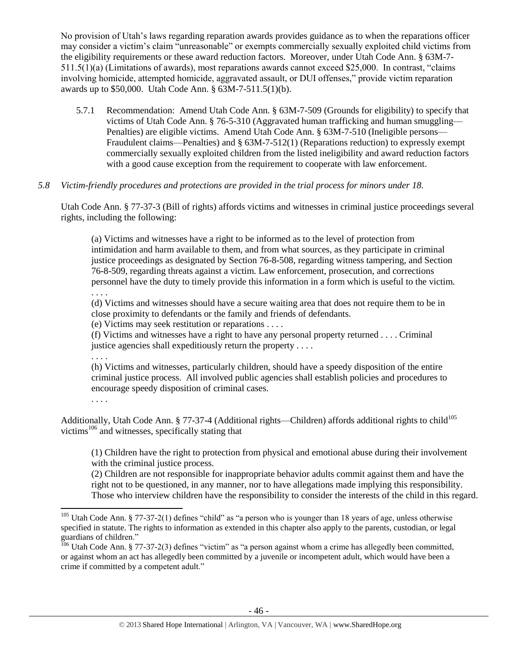No provision of Utah's laws regarding reparation awards provides guidance as to when the reparations officer may consider a victim's claim "unreasonable" or exempts commercially sexually exploited child victims from the eligibility requirements or these award reduction factors. Moreover, under Utah Code Ann. § 63M-7- 511.5(1)(a) (Limitations of awards), most reparations awards cannot exceed \$25,000. In contrast, "claims involving homicide, attempted homicide, aggravated assault, or DUI offenses," provide victim reparation awards up to \$50,000. Utah Code Ann. § 63M-7-511.5(1)(b).

5.7.1 Recommendation: Amend Utah Code Ann. § 63M-7-509 (Grounds for eligibility) to specify that victims of Utah Code Ann. § 76-5-310 (Aggravated human trafficking and human smuggling— Penalties) are eligible victims. Amend Utah Code Ann. § 63M-7-510 (Ineligible persons— Fraudulent claims—Penalties) and § 63M-7-512(1) (Reparations reduction) to expressly exempt commercially sexually exploited children from the listed ineligibility and award reduction factors with a good cause exception from the requirement to cooperate with law enforcement.

## *5.8 Victim-friendly procedures and protections are provided in the trial process for minors under 18.*

Utah Code Ann. § 77-37-3 (Bill of rights) affords victims and witnesses in criminal justice proceedings several rights, including the following:

(a) Victims and witnesses have a right to be informed as to the level of protection from intimidation and harm available to them, and from what sources, as they participate in criminal justice proceedings as designated by Section 76-8-508, regarding witness tampering, and Section 76-8-509, regarding threats against a victim. Law enforcement, prosecution, and corrections personnel have the duty to timely provide this information in a form which is useful to the victim. . . . .

(d) Victims and witnesses should have a secure waiting area that does not require them to be in close proximity to defendants or the family and friends of defendants.

(e) Victims may seek restitution or reparations . . . .

(f) Victims and witnesses have a right to have any personal property returned . . . . Criminal justice agencies shall expeditiously return the property . . . .

. . . .

. . . .

 $\overline{\phantom{a}}$ 

(h) Victims and witnesses, particularly children, should have a speedy disposition of the entire criminal justice process. All involved public agencies shall establish policies and procedures to encourage speedy disposition of criminal cases.

Additionally, Utah Code Ann. § 77-37-4 (Additional rights—Children) affords additional rights to child<sup>105</sup> victims<sup>106</sup> and witnesses, specifically stating that

(1) Children have the right to protection from physical and emotional abuse during their involvement with the criminal justice process.

(2) Children are not responsible for inappropriate behavior adults commit against them and have the right not to be questioned, in any manner, nor to have allegations made implying this responsibility. Those who interview children have the responsibility to consider the interests of the child in this regard.

<sup>&</sup>lt;sup>105</sup> Utah Code Ann. § 77-37-2(1) defines "child" as "a person who is younger than 18 years of age, unless otherwise specified in statute. The rights to information as extended in this chapter also apply to the parents, custodian, or legal guardians of children."

<sup>&</sup>lt;sup>106</sup> Utah Code Ann. § 77-37-2(3) defines "victim" as "a person against whom a crime has allegedly been committed, or against whom an act has allegedly been committed by a juvenile or incompetent adult, which would have been a crime if committed by a competent adult."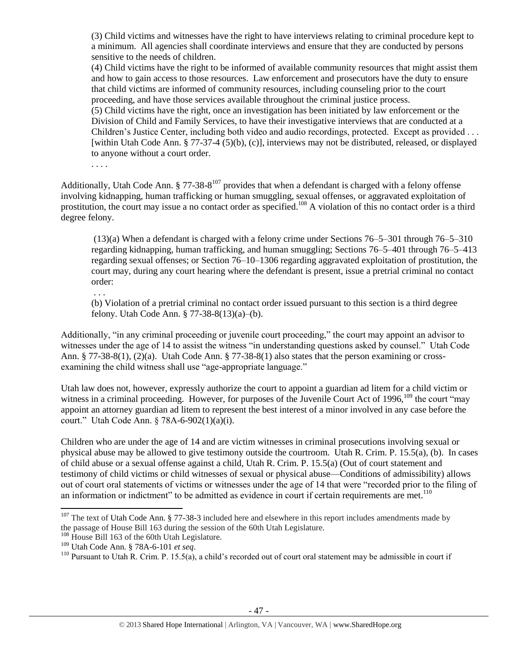(3) Child victims and witnesses have the right to have interviews relating to criminal procedure kept to a minimum. All agencies shall coordinate interviews and ensure that they are conducted by persons sensitive to the needs of children.

(4) Child victims have the right to be informed of available community resources that might assist them and how to gain access to those resources. Law enforcement and prosecutors have the duty to ensure that child victims are informed of community resources, including counseling prior to the court proceeding, and have those services available throughout the criminal justice process.

(5) Child victims have the right, once an investigation has been initiated by law enforcement or the Division of Child and Family Services, to have their investigative interviews that are conducted at a Children's Justice Center, including both video and audio recordings, protected. Except as provided . . . [within Utah Code Ann. § 77-37-4 (5)(b), (c)], interviews may not be distributed, released, or displayed to anyone without a court order.

Additionally, Utah Code Ann.  $\S 77-38-8^{107}$  provides that when a defendant is charged with a felony offense involving kidnapping, human trafficking or human smuggling, sexual offenses, or aggravated exploitation of prostitution, the court may issue a no contact order as specified.<sup>108</sup> A violation of this no contact order is a third degree felony.

(13)(a) When a defendant is charged with a felony crime under Sections 76–5–301 through 76–5–310 regarding kidnapping, human trafficking, and human smuggling; Sections 76–5–401 through 76–5–413 regarding sexual offenses; or Section 76–10–1306 regarding aggravated exploitation of prostitution, the court may, during any court hearing where the defendant is present, issue a pretrial criminal no contact order:

. . .

. . . .

(b) Violation of a pretrial criminal no contact order issued pursuant to this section is a third degree felony. Utah Code Ann. § 77-38-8(13)(a)–(b).

Additionally, "in any criminal proceeding or juvenile court proceeding," the court may appoint an advisor to witnesses under the age of 14 to assist the witness "in understanding questions asked by counsel." Utah Code Ann. § 77-38-8(1), (2)(a). Utah Code Ann. § 77-38-8(1) also states that the person examining or crossexamining the child witness shall use "age-appropriate language."

Utah law does not, however, expressly authorize the court to appoint a guardian ad litem for a child victim or witness in a criminal proceeding. However, for purposes of the Juvenile Court Act of 1996, $^{109}$  the court "may appoint an attorney guardian ad litem to represent the best interest of a minor involved in any case before the court." Utah Code Ann. § 78A-6-902(1)(a)(i).

Children who are under the age of 14 and are victim witnesses in criminal prosecutions involving sexual or physical abuse may be allowed to give testimony outside the courtroom. Utah R. Crim. P. 15.5(a), (b). In cases of child abuse or a sexual offense against a child, Utah R. Crim. P. 15.5(a) (Out of court statement and testimony of child victims or child witnesses of sexual or physical abuse—Conditions of admissibility) allows out of court oral statements of victims or witnesses under the age of 14 that were "recorded prior to the filing of an information or indictment" to be admitted as evidence in court if certain requirements are met.<sup>110</sup>

 $107$  The text of Utah Code Ann. § 77-38-3 included here and elsewhere in this report includes amendments made by the passage of House Bill 163 during the session of the 60th Utah Legislature.

<sup>&</sup>lt;sup>108</sup> House Bill 163 of the 60th Utah Legislature.

<sup>109</sup> Utah Code Ann. § 78A-6-101 *et seq*.

<sup>&</sup>lt;sup>110</sup> Pursuant to Utah R. Crim. P. 15.5(a), a child's recorded out of court oral statement may be admissible in court if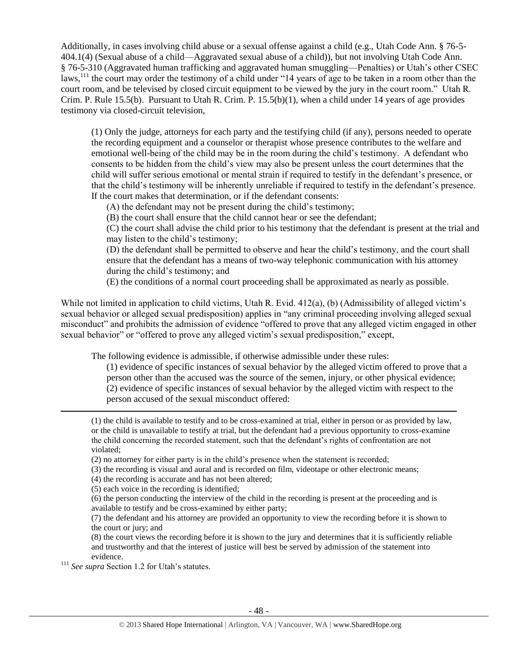Additionally, in cases involving child abuse or a sexual offense against a child (e.g., Utah Code Ann. § 76-5- 404.1(4) (Sexual abuse of a child—Aggravated sexual abuse of a child)), but not involving Utah Code Ann. § 76-5-310 (Aggravated human trafficking and aggravated human smuggling—Penalties) or Utah's other CSEC laws,<sup>111</sup> the court may order the testimony of a child under "14 years of age to be taken in a room other than the court room, and be televised by closed circuit equipment to be viewed by the jury in the court room." Utah R. Crim. P. Rule 15.5(b). Pursuant to Utah R. Crim. P. 15.5(b)(1), when a child under 14 years of age provides testimony via closed-circuit television,

(1) Only the judge, attorneys for each party and the testifying child (if any), persons needed to operate the recording equipment and a counselor or therapist whose presence contributes to the welfare and emotional well-being of the child may be in the room during the child's testimony. A defendant who consents to be hidden from the child's view may also be present unless the court determines that the child will suffer serious emotional or mental strain if required to testify in the defendant's presence, or that the child's testimony will be inherently unreliable if required to testify in the defendant's presence. If the court makes that determination, or if the defendant consents:

(A) the defendant may not be present during the child's testimony;

(B) the court shall ensure that the child cannot hear or see the defendant;

(C) the court shall advise the child prior to his testimony that the defendant is present at the trial and may listen to the child's testimony;

(D) the defendant shall be permitted to observe and hear the child's testimony, and the court shall ensure that the defendant has a means of two-way telephonic communication with his attorney during the child's testimony; and

(E) the conditions of a normal court proceeding shall be approximated as nearly as possible.

While not limited in application to child victims, Utah R. Evid. 412(a), (b) (Admissibility of alleged victim's sexual behavior or alleged sexual predisposition) applies in "any criminal proceeding involving alleged sexual misconduct" and prohibits the admission of evidence "offered to prove that any alleged victim engaged in other sexual behavior" or "offered to prove any alleged victim's sexual predisposition," except,

The following evidence is admissible, if otherwise admissible under these rules:

(1) evidence of specific instances of sexual behavior by the alleged victim offered to prove that a person other than the accused was the source of the semen, injury, or other physical evidence; (2) evidence of specific instances of sexual behavior by the alleged victim with respect to the person accused of the sexual misconduct offered:

(1) the child is available to testify and to be cross-examined at trial, either in person or as provided by law, or the child is unavailable to testify at trial, but the defendant had a previous opportunity to cross-examine the child concerning the recorded statement, such that the defendant's rights of confrontation are not violated;

(2) no attorney for either party is in the child's presence when the statement is recorded;

(3) the recording is visual and aural and is recorded on film, videotape or other electronic means;

(4) the recording is accurate and has not been altered;

(5) each voice in the recording is identified;

(6) the person conducting the interview of the child in the recording is present at the proceeding and is available to testify and be cross-examined by either party;

(7) the defendant and his attorney are provided an opportunity to view the recording before it is shown to the court or jury; and

(8) the court views the recording before it is shown to the jury and determines that it is sufficiently reliable and trustworthy and that the interest of justice will best be served by admission of the statement into evidence.

<sup>111</sup> *See supra* Section 1.2 for Utah's statutes.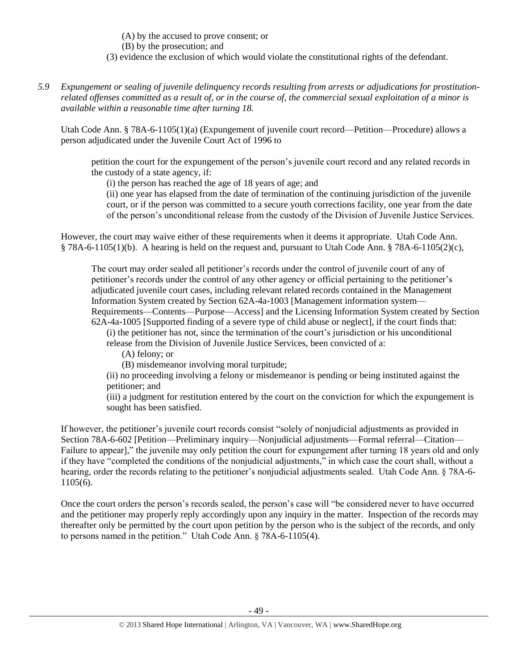(A) by the accused to prove consent; or

(B) by the prosecution; and

- (3) evidence the exclusion of which would violate the constitutional rights of the defendant.
- *5.9 Expungement or sealing of juvenile delinquency records resulting from arrests or adjudications for prostitutionrelated offenses committed as a result of, or in the course of, the commercial sexual exploitation of a minor is available within a reasonable time after turning 18.*

Utah Code Ann. § 78A-6-1105(1)(a) (Expungement of juvenile court record—Petition—Procedure) allows a person adjudicated under the Juvenile Court Act of 1996 to

petition the court for the expungement of the person's juvenile court record and any related records in the custody of a state agency, if:

(i) the person has reached the age of 18 years of age; and

(ii) one year has elapsed from the date of termination of the continuing jurisdiction of the juvenile court, or if the person was committed to a secure youth corrections facility, one year from the date of the person's unconditional release from the custody of the Division of Juvenile Justice Services.

However, the court may waive either of these requirements when it deems it appropriate. Utah Code Ann.  $§$  78A-6-1105(1)(b). A hearing is held on the request and, pursuant to Utah Code Ann. § 78A-6-1105(2)(c),

The court may order sealed all petitioner's records under the control of juvenile court of any of petitioner's records under the control of any other agency or official pertaining to the petitioner's adjudicated juvenile court cases, including relevant related records contained in the Management Information System created by Section 62A-4a-1003 [Management information system— Requirements—Contents—Purpose—Access] and the Licensing Information System created by Section 62A-4a-1005 [Supported finding of a severe type of child abuse or neglect], if the court finds that:

(i) the petitioner has not, since the termination of the court's jurisdiction or his unconditional

release from the Division of Juvenile Justice Services, been convicted of a:

(A) felony; or

(B) misdemeanor involving moral turpitude;

(ii) no proceeding involving a felony or misdemeanor is pending or being instituted against the petitioner; and

(iii) a judgment for restitution entered by the court on the conviction for which the expungement is sought has been satisfied.

If however, the petitioner's juvenile court records consist "solely of nonjudicial adjustments as provided in Section 78A-6-602 [Petition—Preliminary inquiry—Nonjudicial adjustments—Formal referral—Citation— Failure to appear]," the juvenile may only petition the court for expungement after turning 18 years old and only if they have "completed the conditions of the nonjudicial adjustments," in which case the court shall, without a hearing, order the records relating to the petitioner's nonjudicial adjustments sealed. Utah Code Ann. § 78A-6- 1105(6).

Once the court orders the person's records sealed, the person's case will "be considered never to have occurred and the petitioner may properly reply accordingly upon any inquiry in the matter. Inspection of the records may thereafter only be permitted by the court upon petition by the person who is the subject of the records, and only to persons named in the petition." Utah Code Ann. § 78A-6-1105(4).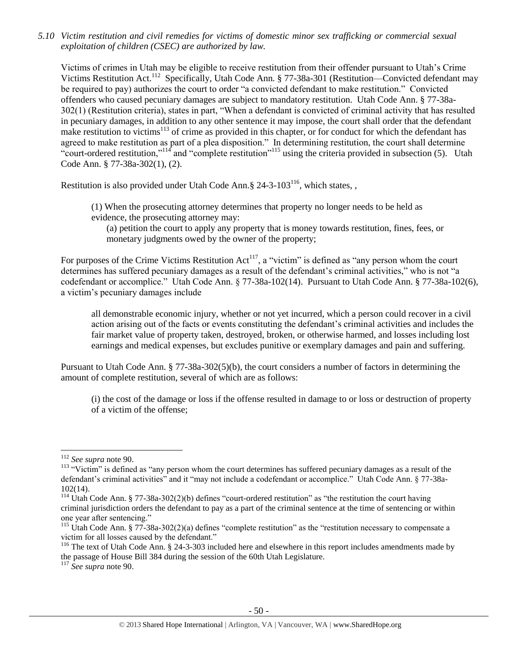*5.10 Victim restitution and civil remedies for victims of domestic minor sex trafficking or commercial sexual exploitation of children (CSEC) are authorized by law.* 

Victims of crimes in Utah may be eligible to receive restitution from their offender pursuant to Utah's Crime Victims Restitution Act.<sup>112</sup> Specifically, Utah Code Ann. § 77-38a-301 (Restitution—Convicted defendant may be required to pay) authorizes the court to order "a convicted defendant to make restitution." Convicted offenders who caused pecuniary damages are subject to mandatory restitution. Utah Code Ann. § 77-38a-302(1) (Restitution criteria), states in part, "When a defendant is convicted of criminal activity that has resulted in pecuniary damages, in addition to any other sentence it may impose, the court shall order that the defendant make restitution to victims<sup>113</sup> of crime as provided in this chapter, or for conduct for which the defendant has agreed to make restitution as part of a plea disposition." In determining restitution, the court shall determine "court-ordered restitution,"<sup>114</sup> and "complete restitution"<sup>115</sup> using the criteria provided in subsection (5). Utah Code Ann. § 77-38a-302(1), (2).

Restitution is also provided under Utah Code Ann. § 24-3-103<sup>116</sup>, which states, ,

(1) When the prosecuting attorney determines that property no longer needs to be held as evidence, the prosecuting attorney may:

(a) petition the court to apply any property that is money towards restitution, fines, fees, or monetary judgments owed by the owner of the property;

For purposes of the Crime Victims Restitution  $Act^{117}$ , a "victim" is defined as "any person whom the court determines has suffered pecuniary damages as a result of the defendant's criminal activities," who is not "a codefendant or accomplice." Utah Code Ann. § 77-38a-102(14). Pursuant to Utah Code Ann. § 77-38a-102(6), a victim's pecuniary damages include

all demonstrable economic injury, whether or not yet incurred, which a person could recover in a civil action arising out of the facts or events constituting the defendant's criminal activities and includes the fair market value of property taken, destroyed, broken, or otherwise harmed, and losses including lost earnings and medical expenses, but excludes punitive or exemplary damages and pain and suffering.

Pursuant to Utah Code Ann. § 77-38a-302(5)(b), the court considers a number of factors in determining the amount of complete restitution, several of which are as follows:

(i) the cost of the damage or loss if the offense resulted in damage to or loss or destruction of property of a victim of the offense;

<sup>112</sup> *See supra* not[e 90.](#page-36-0)

<sup>&</sup>lt;sup>113</sup> "Victim" is defined as "any person whom the court determines has suffered pecuniary damages as a result of the defendant's criminal activities" and it "may not include a codefendant or accomplice." Utah Code Ann. § 77-38a-102(14).

<sup>&</sup>lt;sup>114</sup> Utah Code Ann. § 77-38a-302(2)(b) defines "court-ordered restitution" as "the restitution the court having criminal jurisdiction orders the defendant to pay as a part of the criminal sentence at the time of sentencing or within one year after sentencing."

<sup>&</sup>lt;sup>115</sup> Utah Code Ann. § 77-38a-302(2)(a) defines "complete restitution" as the "restitution necessary to compensate a victim for all losses caused by the defendant."

<sup>&</sup>lt;sup>116</sup> The text of Utah Code Ann. § 24-3-303 included here and elsewhere in this report includes amendments made by the passage of House Bill 384 during the session of the 60th Utah Legislature.

<sup>117</sup> *See supra* not[e 90.](#page-36-0)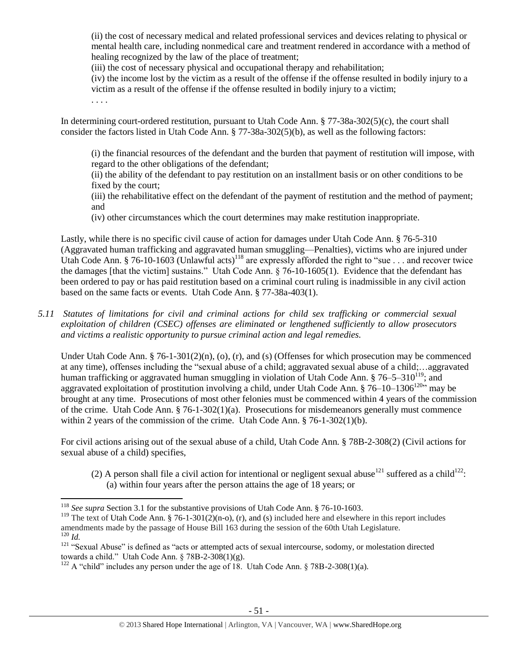(ii) the cost of necessary medical and related professional services and devices relating to physical or mental health care, including nonmedical care and treatment rendered in accordance with a method of healing recognized by the law of the place of treatment;

(iii) the cost of necessary physical and occupational therapy and rehabilitation;

(iv) the income lost by the victim as a result of the offense if the offense resulted in bodily injury to a victim as a result of the offense if the offense resulted in bodily injury to a victim;

. . . .

In determining court-ordered restitution, pursuant to Utah Code Ann. § 77-38a-302(5)(c), the court shall consider the factors listed in Utah Code Ann. § 77-38a-302(5)(b), as well as the following factors:

(i) the financial resources of the defendant and the burden that payment of restitution will impose, with regard to the other obligations of the defendant;

(ii) the ability of the defendant to pay restitution on an installment basis or on other conditions to be fixed by the court;

(iii) the rehabilitative effect on the defendant of the payment of restitution and the method of payment; and

(iv) other circumstances which the court determines may make restitution inappropriate.

Lastly, while there is no specific civil cause of action for damages under Utah Code Ann. § 76-5-310 (Aggravated human trafficking and aggravated human smuggling—Penalties), victims who are injured under Utah Code Ann. § 76-10-1603 (Unlawful acts)<sup>118</sup> are expressly afforded the right to "sue . . . and recover twice the damages [that the victim] sustains." Utah Code Ann. § 76-10-1605(1). Evidence that the defendant has been ordered to pay or has paid restitution based on a criminal court ruling is inadmissible in any civil action based on the same facts or events. Utah Code Ann. § 77-38a-403(1).

*5.11 Statutes of limitations for civil and criminal actions for child sex trafficking or commercial sexual exploitation of children (CSEC) offenses are eliminated or lengthened sufficiently to allow prosecutors and victims a realistic opportunity to pursue criminal action and legal remedies.*

Under Utah Code Ann. § 76-1-301(2)(n), (o), (r), and (s) (Offenses for which prosecution may be commenced at any time), offenses including the "sexual abuse of a child; aggravated sexual abuse of a child;…aggravated human trafficking or aggravated human smuggling in violation of Utah Code Ann.  $\S 76-5-310^{119}$ ; and aggravated exploitation of prostitution involving a child, under Utah Code Ann. § 76–10–1306<sup>120</sup>" may be brought at any time. Prosecutions of most other felonies must be commenced within 4 years of the commission of the crime. Utah Code Ann.  $\S$  76-1-302(1)(a). Prosecutions for misdemeanors generally must commence within 2 years of the commission of the crime. Utah Code Ann. § 76-1-302(1)(b).

For civil actions arising out of the sexual abuse of a child, Utah Code Ann. § 78B-2-308(2) (Civil actions for sexual abuse of a child) specifies,

(2) A person shall file a civil action for intentional or negligent sexual abuse<sup>121</sup> suffered as a child<sup>122</sup>: (a) within four years after the person attains the age of 18 years; or

 $\overline{a}$ 

<sup>118</sup> *See supra* Section 3.1 for the substantive provisions of Utah Code Ann. § 76-10-1603.

<sup>&</sup>lt;sup>119</sup> The text of Utah Code Ann. § 76-1-301(2)(n-o), (r), and (s) included here and elsewhere in this report includes amendments made by the passage of House Bill 163 during the session of the 60th Utah Legislature. <sup>120</sup> *Id.*

<sup>&</sup>lt;sup>121</sup> "Sexual Abuse" is defined as "acts or attempted acts of sexual intercourse, sodomy, or molestation directed towards a child." Utah Code Ann.  $\S 78B-2-308(1)(g)$ .

<sup>&</sup>lt;sup>122</sup> A "child" includes any person under the age of 18. Utah Code Ann.  $\S 78B-2-308(1)(a)$ .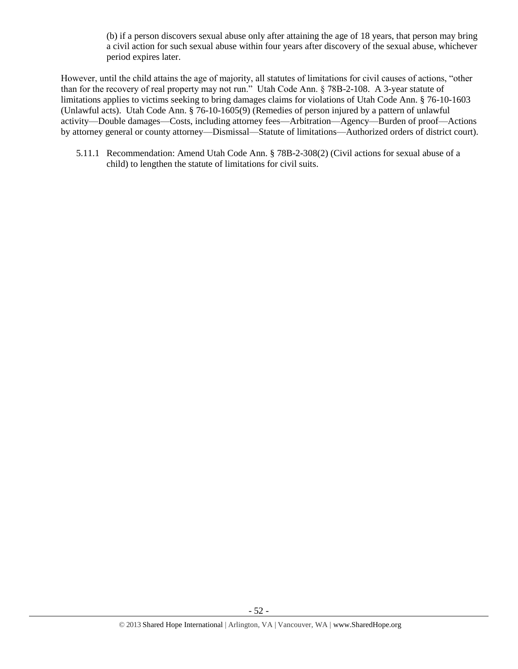(b) if a person discovers sexual abuse only after attaining the age of 18 years, that person may bring a civil action for such sexual abuse within four years after discovery of the sexual abuse, whichever period expires later.

However, until the child attains the age of majority, all statutes of limitations for civil causes of actions, "other than for the recovery of real property may not run." Utah Code Ann. § 78B-2-108. A 3-year statute of limitations applies to victims seeking to bring damages claims for violations of Utah Code Ann. § 76-10-1603 (Unlawful acts). Utah Code Ann. § 76-10-1605(9) (Remedies of person injured by a pattern of unlawful activity—Double damages—Costs, including attorney fees—Arbitration—Agency—Burden of proof—Actions by attorney general or county attorney—Dismissal—Statute of limitations—Authorized orders of district court).

5.11.1 Recommendation: Amend Utah Code Ann. § 78B-2-308(2) (Civil actions for sexual abuse of a child) to lengthen the statute of limitations for civil suits.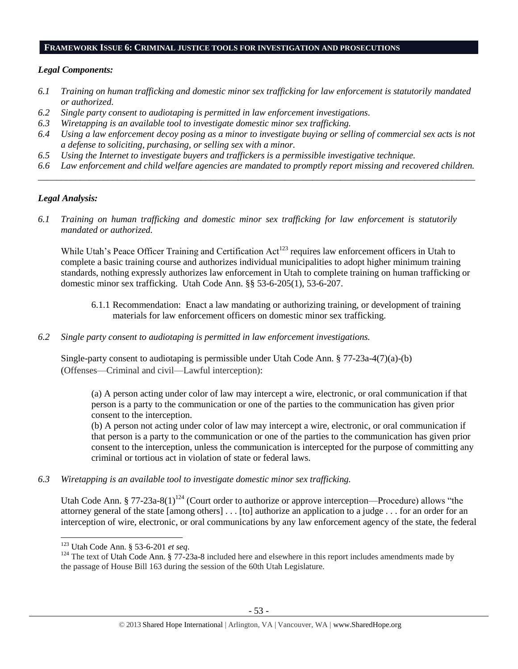#### **FRAMEWORK ISSUE 6: CRIMINAL JUSTICE TOOLS FOR INVESTIGATION AND PROSECUTIONS**

## *Legal Components:*

- *6.1 Training on human trafficking and domestic minor sex trafficking for law enforcement is statutorily mandated or authorized.*
- *6.2 Single party consent to audiotaping is permitted in law enforcement investigations.*
- *6.3 Wiretapping is an available tool to investigate domestic minor sex trafficking.*
- *6.4 Using a law enforcement decoy posing as a minor to investigate buying or selling of commercial sex acts is not a defense to soliciting, purchasing, or selling sex with a minor.*
- *6.5 Using the Internet to investigate buyers and traffickers is a permissible investigative technique.*
- *6.6 Law enforcement and child welfare agencies are mandated to promptly report missing and recovered children. \_\_\_\_\_\_\_\_\_\_\_\_\_\_\_\_\_\_\_\_\_\_\_\_\_\_\_\_\_\_\_\_\_\_\_\_\_\_\_\_\_\_\_\_\_\_\_\_\_\_\_\_\_\_\_\_\_\_\_\_\_\_\_\_\_\_\_\_\_\_\_\_\_\_\_\_\_\_\_\_\_\_\_\_\_\_\_\_\_\_\_\_\_\_*

## *Legal Analysis:*

*6.1 Training on human trafficking and domestic minor sex trafficking for law enforcement is statutorily mandated or authorized.*

While Utah's Peace Officer Training and Certification Act<sup>123</sup> requires law enforcement officers in Utah to complete a basic training course and authorizes individual municipalities to adopt higher minimum training standards, nothing expressly authorizes law enforcement in Utah to complete training on human trafficking or domestic minor sex trafficking. Utah Code Ann. §§ 53-6-205(1), 53-6-207.

- 6.1.1 Recommendation: Enact a law mandating or authorizing training, or development of training materials for law enforcement officers on domestic minor sex trafficking.
- *6.2 Single party consent to audiotaping is permitted in law enforcement investigations.*

Single-party consent to audiotaping is permissible under Utah Code Ann. § 77-23a-4(7)(a)-(b) (Offenses—Criminal and civil—Lawful interception):

(a) A person acting under color of law may intercept a wire, electronic, or oral communication if that person is a party to the communication or one of the parties to the communication has given prior consent to the interception.

(b) A person not acting under color of law may intercept a wire, electronic, or oral communication if that person is a party to the communication or one of the parties to the communication has given prior consent to the interception, unless the communication is intercepted for the purpose of committing any criminal or tortious act in violation of state or federal laws.

*6.3 Wiretapping is an available tool to investigate domestic minor sex trafficking.* 

Utah Code Ann. § 77-23a-8(1)<sup>124</sup> (Court order to authorize or approve interception—Procedure) allows "the attorney general of the state [among others] . . . [to] authorize an application to a judge . . . for an order for an interception of wire, electronic, or oral communications by any law enforcement agency of the state, the federal

<sup>123</sup> Utah Code Ann. § 53-6-201 *et seq*.

<sup>&</sup>lt;sup>124</sup> The text of Utah Code Ann. § 77-23a-8 included here and elsewhere in this report includes amendments made by the passage of House Bill 163 during the session of the 60th Utah Legislature.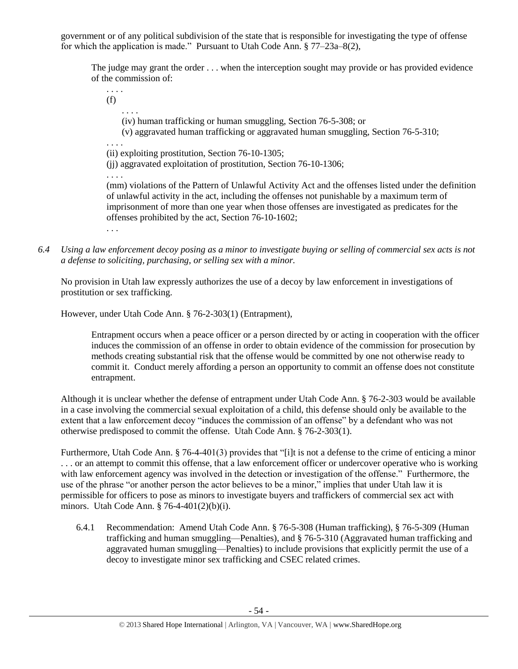government or of any political subdivision of the state that is responsible for investigating the type of offense for which the application is made." Pursuant to Utah Code Ann. § 77–23a–8(2),

The judge may grant the order . . . when the interception sought may provide or has provided evidence of the commission of:

. . . . (f) . . . . (iv) human trafficking or human smuggling, Section 76-5-308; or (v) aggravated human trafficking or aggravated human smuggling, Section 76-5-310; . . . . (ii) exploiting prostitution, Section 76-10-1305; (jj) aggravated exploitation of prostitution, Section 76-10-1306; . . . . (mm) violations of the Pattern of Unlawful Activity Act and the offenses listed under the definition of unlawful activity in the act, including the offenses not punishable by a maximum term of imprisonment of more than one year when those offenses are investigated as predicates for the offenses prohibited by the act, Section 76-10-1602; . . .

*6.4 Using a law enforcement decoy posing as a minor to investigate buying or selling of commercial sex acts is not a defense to soliciting, purchasing, or selling sex with a minor.*

No provision in Utah law expressly authorizes the use of a decoy by law enforcement in investigations of prostitution or sex trafficking.

However, under Utah Code Ann. § 76-2-303(1) (Entrapment),

Entrapment occurs when a peace officer or a person directed by or acting in cooperation with the officer induces the commission of an offense in order to obtain evidence of the commission for prosecution by methods creating substantial risk that the offense would be committed by one not otherwise ready to commit it. Conduct merely affording a person an opportunity to commit an offense does not constitute entrapment.

Although it is unclear whether the defense of entrapment under Utah Code Ann. § 76-2-303 would be available in a case involving the commercial sexual exploitation of a child, this defense should only be available to the extent that a law enforcement decoy "induces the commission of an offense" by a defendant who was not otherwise predisposed to commit the offense. Utah Code Ann. § 76-2-303(1).

Furthermore, Utah Code Ann. § 76-4-401(3) provides that "[i]t is not a defense to the crime of enticing a minor . . . or an attempt to commit this offense, that a law enforcement officer or undercover operative who is working with law enforcement agency was involved in the detection or investigation of the offense." Furthermore, the use of the phrase "or another person the actor believes to be a minor," implies that under Utah law it is permissible for officers to pose as minors to investigate buyers and traffickers of commercial sex act with minors. Utah Code Ann. § 76-4-401(2)(b)(i).

6.4.1 Recommendation: Amend Utah Code Ann. § 76-5-308 (Human trafficking), § 76-5-309 (Human trafficking and human smuggling—Penalties), and § 76-5-310 (Aggravated human trafficking and aggravated human smuggling—Penalties) to include provisions that explicitly permit the use of a decoy to investigate minor sex trafficking and CSEC related crimes.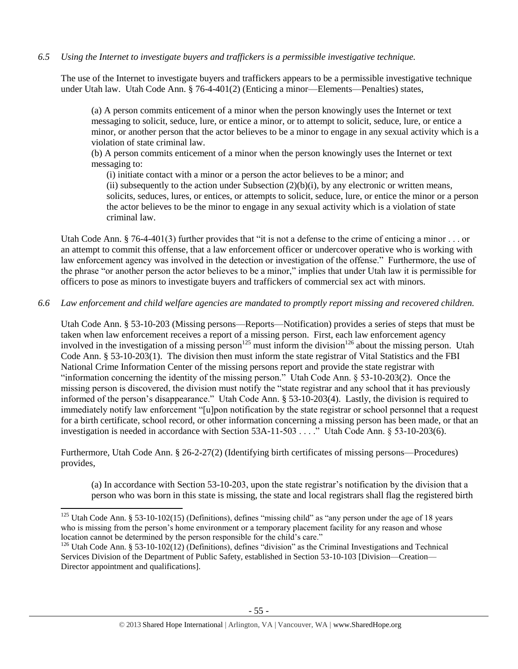*6.5 Using the Internet to investigate buyers and traffickers is a permissible investigative technique.*

The use of the Internet to investigate buyers and traffickers appears to be a permissible investigative technique under Utah law. Utah Code Ann. § 76-4-401(2) (Enticing a minor—Elements—Penalties) states,

(a) A person commits enticement of a minor when the person knowingly uses the Internet or text messaging to solicit, seduce, lure, or entice a minor, or to attempt to solicit, seduce, lure, or entice a minor, or another person that the actor believes to be a minor to engage in any sexual activity which is a violation of state criminal law.

(b) A person commits enticement of a minor when the person knowingly uses the Internet or text messaging to:

(i) initiate contact with a minor or a person the actor believes to be a minor; and

(ii) subsequently to the action under Subsection  $(2)(b)(i)$ , by any electronic or written means, solicits, seduces, lures, or entices, or attempts to solicit, seduce, lure, or entice the minor or a person the actor believes to be the minor to engage in any sexual activity which is a violation of state criminal law.

Utah Code Ann. § 76-4-401(3) further provides that "it is not a defense to the crime of enticing a minor  $\ldots$  or an attempt to commit this offense, that a law enforcement officer or undercover operative who is working with law enforcement agency was involved in the detection or investigation of the offense." Furthermore, the use of the phrase "or another person the actor believes to be a minor," implies that under Utah law it is permissible for officers to pose as minors to investigate buyers and traffickers of commercial sex act with minors.

*6.6 Law enforcement and child welfare agencies are mandated to promptly report missing and recovered children.*

Utah Code Ann. § 53-10-203 (Missing persons—Reports—Notification) provides a series of steps that must be taken when law enforcement receives a report of a missing person. First, each law enforcement agency involved in the investigation of a missing person<sup>125</sup> must inform the division<sup>126</sup> about the missing person. Utah Code Ann. § 53-10-203(1). The division then must inform the state registrar of Vital Statistics and the FBI National Crime Information Center of the missing persons report and provide the state registrar with "information concerning the identity of the missing person." Utah Code Ann. § 53-10-203(2). Once the missing person is discovered, the division must notify the "state registrar and any school that it has previously informed of the person's disappearance." Utah Code Ann. § 53-10-203(4). Lastly, the division is required to immediately notify law enforcement "[u]pon notification by the state registrar or school personnel that a request for a birth certificate, school record, or other information concerning a missing person has been made, or that an investigation is needed in accordance with Section 53A-11-503 . . . ." Utah Code Ann. § 53-10-203(6).

Furthermore, Utah Code Ann. § 26-2-27(2) (Identifying birth certificates of missing persons—Procedures) provides,

(a) In accordance with Section 53-10-203, upon the state registrar's notification by the division that a person who was born in this state is missing, the state and local registrars shall flag the registered birth

 $\overline{\phantom{a}}$ <sup>125</sup> Utah Code Ann. § 53-10-102(15) (Definitions), defines "missing child" as "any person under the age of 18 years who is missing from the person's home environment or a temporary placement facility for any reason and whose location cannot be determined by the person responsible for the child's care."

<sup>&</sup>lt;sup>126</sup> Utah Code Ann. § 53-10-102(12) (Definitions), defines "division" as the Criminal Investigations and Technical Services Division of the Department of Public Safety, established in Section 53-10-103 [Division—Creation— Director appointment and qualifications].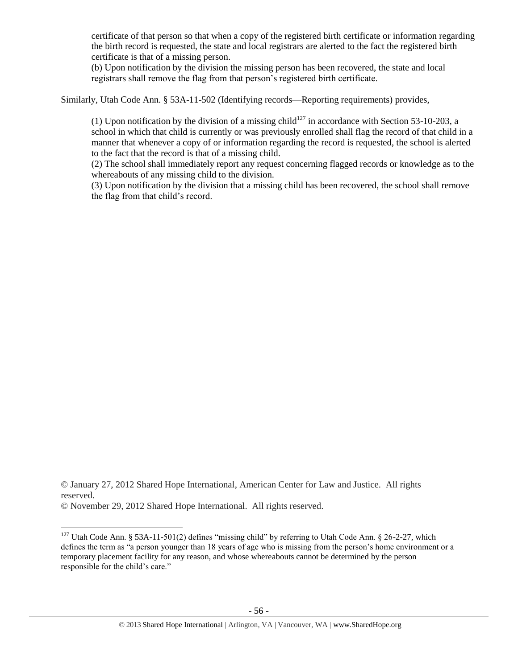certificate of that person so that when a copy of the registered birth certificate or information regarding the birth record is requested, the state and local registrars are alerted to the fact the registered birth certificate is that of a missing person.

(b) Upon notification by the division the missing person has been recovered, the state and local registrars shall remove the flag from that person's registered birth certificate.

Similarly, Utah Code Ann. § 53A-11-502 (Identifying records—Reporting requirements) provides,

(1) Upon notification by the division of a missing child<sup>127</sup> in accordance with Section 53-10-203, a school in which that child is currently or was previously enrolled shall flag the record of that child in a manner that whenever a copy of or information regarding the record is requested, the school is alerted to the fact that the record is that of a missing child.

(2) The school shall immediately report any request concerning flagged records or knowledge as to the whereabouts of any missing child to the division.

(3) Upon notification by the division that a missing child has been recovered, the school shall remove the flag from that child's record.

<sup>©</sup> January 27, 2012 Shared Hope International, American Center for Law and Justice. All rights reserved.

<sup>©</sup> November 29, 2012 Shared Hope International. All rights reserved.

<sup>&</sup>lt;sup>127</sup> Utah Code Ann. § 53A-11-501(2) defines "missing child" by referring to Utah Code Ann. § 26-2-27, which defines the term as "a person younger than 18 years of age who is missing from the person's home environment or a temporary placement facility for any reason, and whose whereabouts cannot be determined by the person responsible for the child's care."